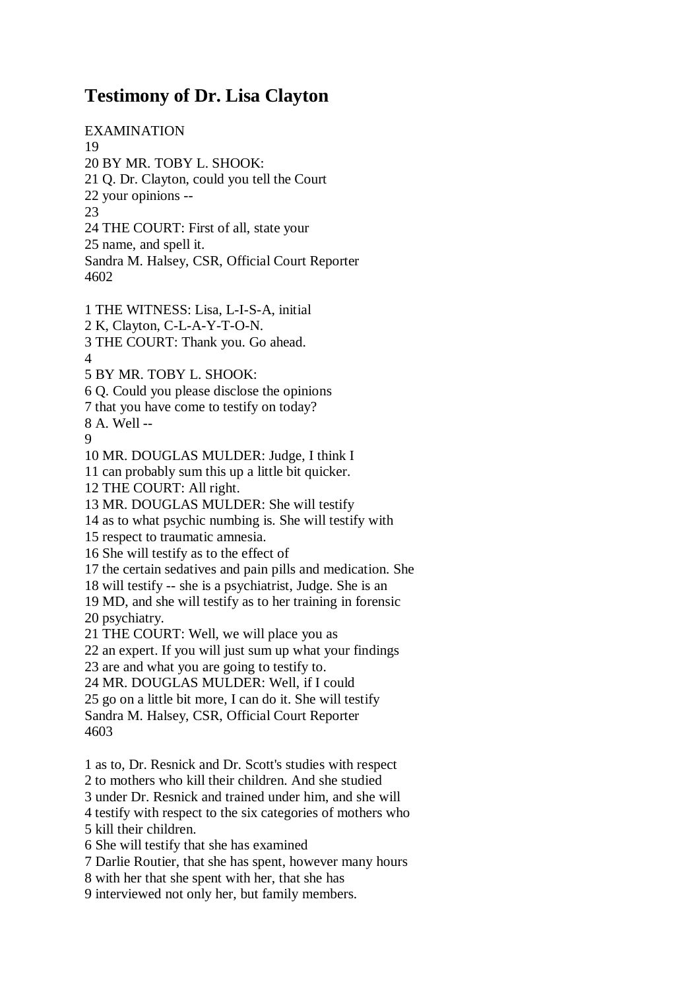## **Testimony of Dr. Lisa Clayton**

EXAMINATION 19 20 BY MR. TOBY L. SHOOK: 21 Q. Dr. Clayton, could you tell the Court 22 your opinions -- 23 24 THE COURT: First of all, state your 25 name, and spell it. Sandra M. Halsey, CSR, Official Court Reporter 4602

1 THE WITNESS: Lisa, L-I-S-A, initial 2 K, Clayton, C-L-A-Y-T-O-N. 3 THE COURT: Thank you. Go ahead. 4 5 BY MR. TOBY L. SHOOK: 6 Q. Could you please disclose the opinions 7 that you have come to testify on today? 8 A. Well -- 9 10 MR. DOUGLAS MULDER: Judge, I think I 11 can probably sum this up a little bit quicker. 12 THE COURT: All right. 13 MR. DOUGLAS MULDER: She will testify 14 as to what psychic numbing is. She will testify with 15 respect to traumatic amnesia. 16 She will testify as to the effect of 17 the certain sedatives and pain pills and medication. She 18 will testify -- she is a psychiatrist, Judge. She is an 19 MD, and she will testify as to her training in forensic 20 psychiatry. 21 THE COURT: Well, we will place you as 22 an expert. If you will just sum up what your findings 23 are and what you are going to testify to. 24 MR. DOUGLAS MULDER: Well, if I could 25 go on a little bit more, I can do it. She will testify Sandra M. Halsey, CSR, Official Court Reporter 4603 1 as to, Dr. Resnick and Dr. Scott's studies with respect 2 to mothers who kill their children. And she studied 3 under Dr. Resnick and trained under him, and she will 4 testify with respect to the six categories of mothers who 5 kill their children.

6 She will testify that she has examined

7 Darlie Routier, that she has spent, however many hours

8 with her that she spent with her, that she has

9 interviewed not only her, but family members.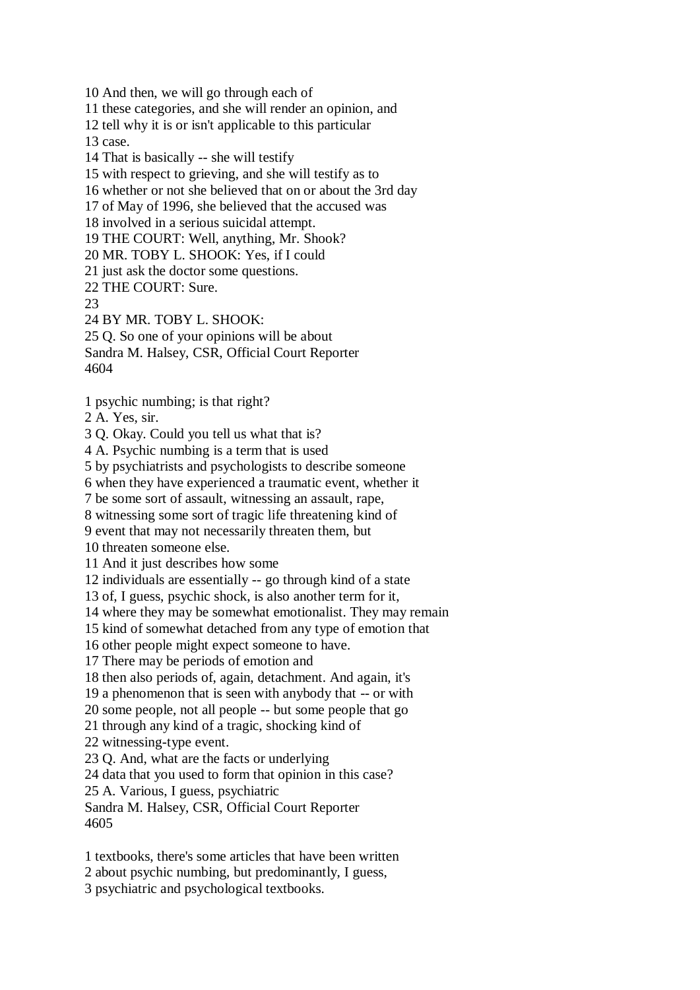10 And then, we will go through each of

11 these categories, and she will render an opinion, and

12 tell why it is or isn't applicable to this particular 13 case.

14 That is basically -- she will testify

15 with respect to grieving, and she will testify as to

16 whether or not she believed that on or about the 3rd day

17 of May of 1996, she believed that the accused was

18 involved in a serious suicidal attempt.

19 THE COURT: Well, anything, Mr. Shook?

20 MR. TOBY L. SHOOK: Yes, if I could

21 just ask the doctor some questions.

22 THE COURT: Sure.

23

24 BY MR. TOBY L. SHOOK:

25 Q. So one of your opinions will be about

Sandra M. Halsey, CSR, Official Court Reporter 4604

1 psychic numbing; is that right?

2 A. Yes, sir.

3 Q. Okay. Could you tell us what that is?

4 A. Psychic numbing is a term that is used

5 by psychiatrists and psychologists to describe someone

6 when they have experienced a traumatic event, whether it

7 be some sort of assault, witnessing an assault, rape,

8 witnessing some sort of tragic life threatening kind of

9 event that may not necessarily threaten them, but

10 threaten someone else.

11 And it just describes how some

12 individuals are essentially -- go through kind of a state

13 of, I guess, psychic shock, is also another term for it,

14 where they may be somewhat emotionalist. They may remain

15 kind of somewhat detached from any type of emotion that

16 other people might expect someone to have.

17 There may be periods of emotion and

18 then also periods of, again, detachment. And again, it's

19 a phenomenon that is seen with anybody that -- or with

20 some people, not all people -- but some people that go

21 through any kind of a tragic, shocking kind of

22 witnessing-type event.

23 Q. And, what are the facts or underlying

24 data that you used to form that opinion in this case?

25 A. Various, I guess, psychiatric

Sandra M. Halsey, CSR, Official Court Reporter 4605

1 textbooks, there's some articles that have been written

2 about psychic numbing, but predominantly, I guess,

3 psychiatric and psychological textbooks.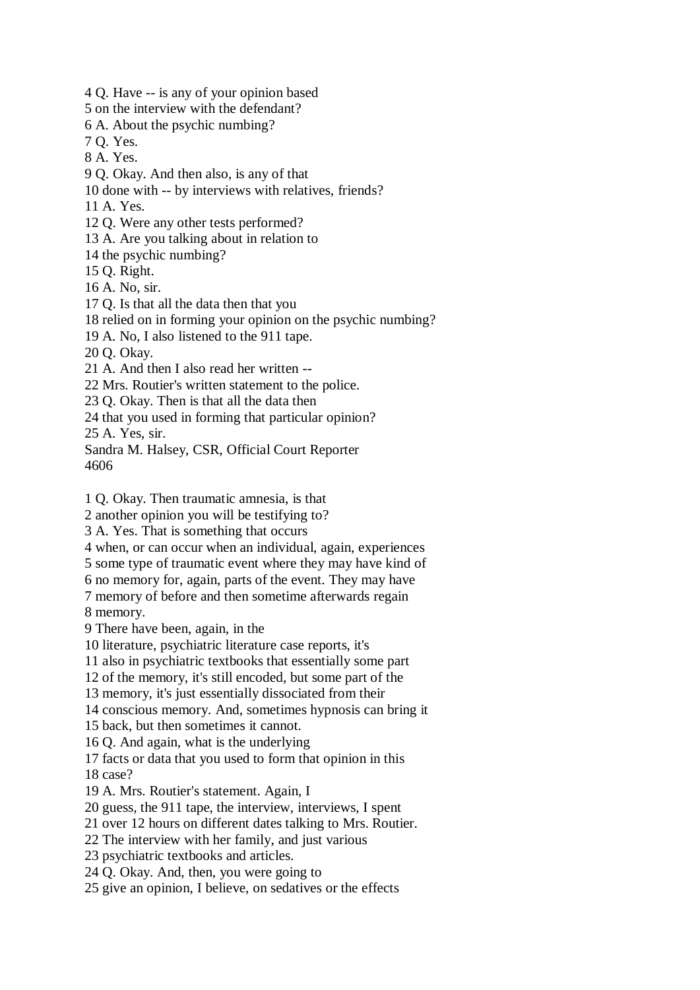4 Q. Have -- is any of your opinion based

5 on the interview with the defendant?

6 A. About the psychic numbing?

7 Q. Yes.

8 A. Yes.

9 Q. Okay. And then also, is any of that

10 done with -- by interviews with relatives, friends?

11 A. Yes.

12 Q. Were any other tests performed?

13 A. Are you talking about in relation to

14 the psychic numbing?

15 Q. Right.

16 A. No, sir.

17 Q. Is that all the data then that you

18 relied on in forming your opinion on the psychic numbing?

19 A. No, I also listened to the 911 tape.

20 Q. Okay.

21 A. And then I also read her written --

22 Mrs. Routier's written statement to the police.

23 Q. Okay. Then is that all the data then

24 that you used in forming that particular opinion?

25 A. Yes, sir.

Sandra M. Halsey, CSR, Official Court Reporter 4606

1 Q. Okay. Then traumatic amnesia, is that

2 another opinion you will be testifying to?

3 A. Yes. That is something that occurs

4 when, or can occur when an individual, again, experiences

5 some type of traumatic event where they may have kind of

6 no memory for, again, parts of the event. They may have

7 memory of before and then sometime afterwards regain

8 memory.

9 There have been, again, in the

10 literature, psychiatric literature case reports, it's

11 also in psychiatric textbooks that essentially some part

12 of the memory, it's still encoded, but some part of the

13 memory, it's just essentially dissociated from their

14 conscious memory. And, sometimes hypnosis can bring it

15 back, but then sometimes it cannot.

16 Q. And again, what is the underlying

17 facts or data that you used to form that opinion in this 18 case?

19 A. Mrs. Routier's statement. Again, I

20 guess, the 911 tape, the interview, interviews, I spent

21 over 12 hours on different dates talking to Mrs. Routier.

22 The interview with her family, and just various

23 psychiatric textbooks and articles.

24 Q. Okay. And, then, you were going to

25 give an opinion, I believe, on sedatives or the effects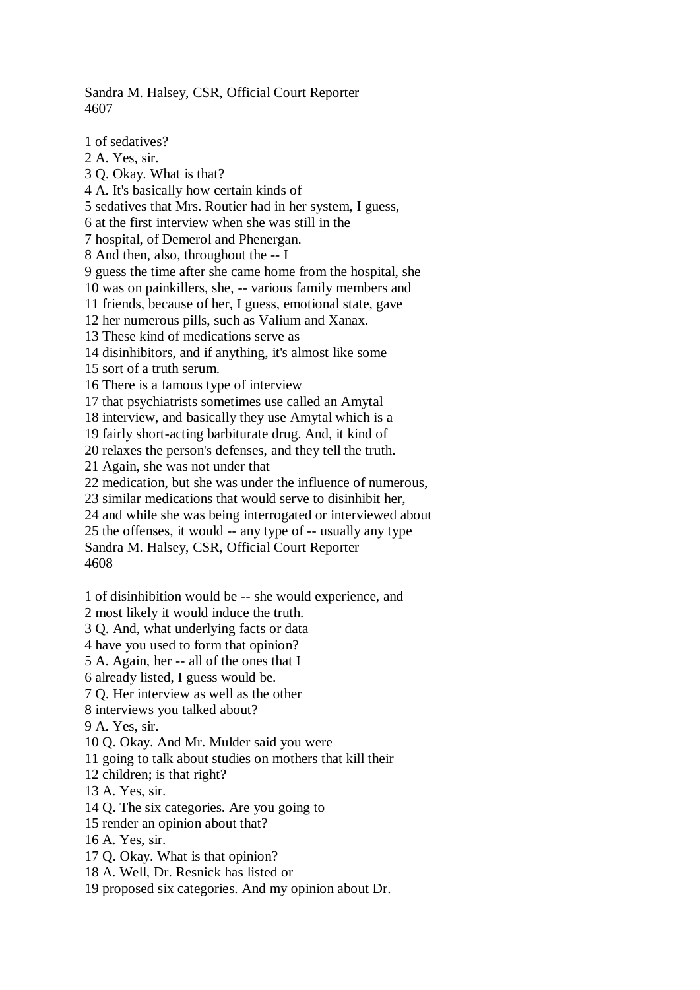Sandra M. Halsey, CSR, Official Court Reporter 4607

1 of sedatives? 2 A. Yes, sir. 3 Q. Okay. What is that? 4 A. It's basically how certain kinds of 5 sedatives that Mrs. Routier had in her system, I guess, 6 at the first interview when she was still in the 7 hospital, of Demerol and Phenergan. 8 And then, also, throughout the -- I 9 guess the time after she came home from the hospital, she 10 was on painkillers, she, -- various family members and 11 friends, because of her, I guess, emotional state, gave 12 her numerous pills, such as Valium and Xanax. 13 These kind of medications serve as 14 disinhibitors, and if anything, it's almost like some 15 sort of a truth serum. 16 There is a famous type of interview 17 that psychiatrists sometimes use called an Amytal 18 interview, and basically they use Amytal which is a 19 fairly short-acting barbiturate drug. And, it kind of 20 relaxes the person's defenses, and they tell the truth. 21 Again, she was not under that 22 medication, but she was under the influence of numerous, 23 similar medications that would serve to disinhibit her, 24 and while she was being interrogated or interviewed about 25 the offenses, it would -- any type of -- usually any type Sandra M. Halsey, CSR, Official Court Reporter 4608 1 of disinhibition would be -- she would experience, and 2 most likely it would induce the truth. 3 Q. And, what underlying facts or data 4 have you used to form that opinion? 5 A. Again, her -- all of the ones that I 6 already listed, I guess would be. 7 Q. Her interview as well as the other 8 interviews you talked about? 9 A. Yes, sir. 10 Q. Okay. And Mr. Mulder said you were 11 going to talk about studies on mothers that kill their 12 children; is that right? 13 A. Yes, sir. 14 Q. The six categories. Are you going to 15 render an opinion about that? 16 A. Yes, sir. 17 Q. Okay. What is that opinion? 18 A. Well, Dr. Resnick has listed or 19 proposed six categories. And my opinion about Dr.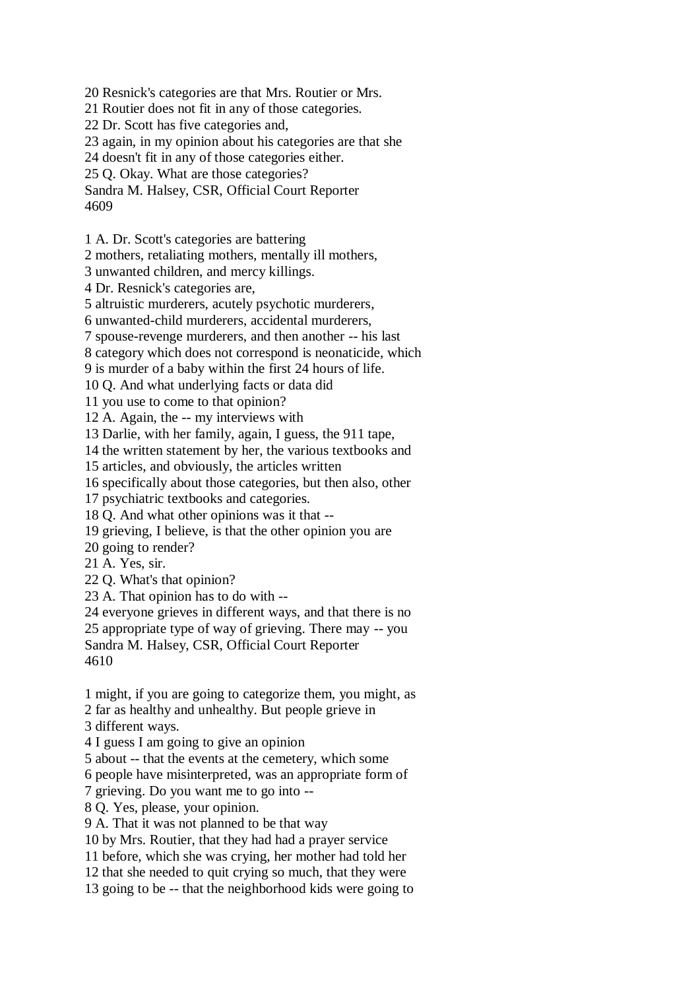20 Resnick's categories are that Mrs. Routier or Mrs.

21 Routier does not fit in any of those categories.

22 Dr. Scott has five categories and,

23 again, in my opinion about his categories are that she

24 doesn't fit in any of those categories either.

25 Q. Okay. What are those categories?

Sandra M. Halsey, CSR, Official Court Reporter 4609

1 A. Dr. Scott's categories are battering

2 mothers, retaliating mothers, mentally ill mothers,

3 unwanted children, and mercy killings.

4 Dr. Resnick's categories are,

5 altruistic murderers, acutely psychotic murderers,

6 unwanted-child murderers, accidental murderers,

7 spouse-revenge murderers, and then another -- his last

8 category which does not correspond is neonaticide, which

9 is murder of a baby within the first 24 hours of life.

10 Q. And what underlying facts or data did

11 you use to come to that opinion?

12 A. Again, the -- my interviews with

13 Darlie, with her family, again, I guess, the 911 tape,

14 the written statement by her, the various textbooks and

15 articles, and obviously, the articles written

16 specifically about those categories, but then also, other

17 psychiatric textbooks and categories.

18 Q. And what other opinions was it that --

19 grieving, I believe, is that the other opinion you are

20 going to render?

21 A. Yes, sir.

22 Q. What's that opinion?

23 A. That opinion has to do with --

24 everyone grieves in different ways, and that there is no

25 appropriate type of way of grieving. There may -- you

Sandra M. Halsey, CSR, Official Court Reporter 4610

1 might, if you are going to categorize them, you might, as

2 far as healthy and unhealthy. But people grieve in

3 different ways.

4 I guess I am going to give an opinion

5 about -- that the events at the cemetery, which some

6 people have misinterpreted, was an appropriate form of

7 grieving. Do you want me to go into --

8 Q. Yes, please, your opinion.

9 A. That it was not planned to be that way

10 by Mrs. Routier, that they had had a prayer service

11 before, which she was crying, her mother had told her

12 that she needed to quit crying so much, that they were

13 going to be -- that the neighborhood kids were going to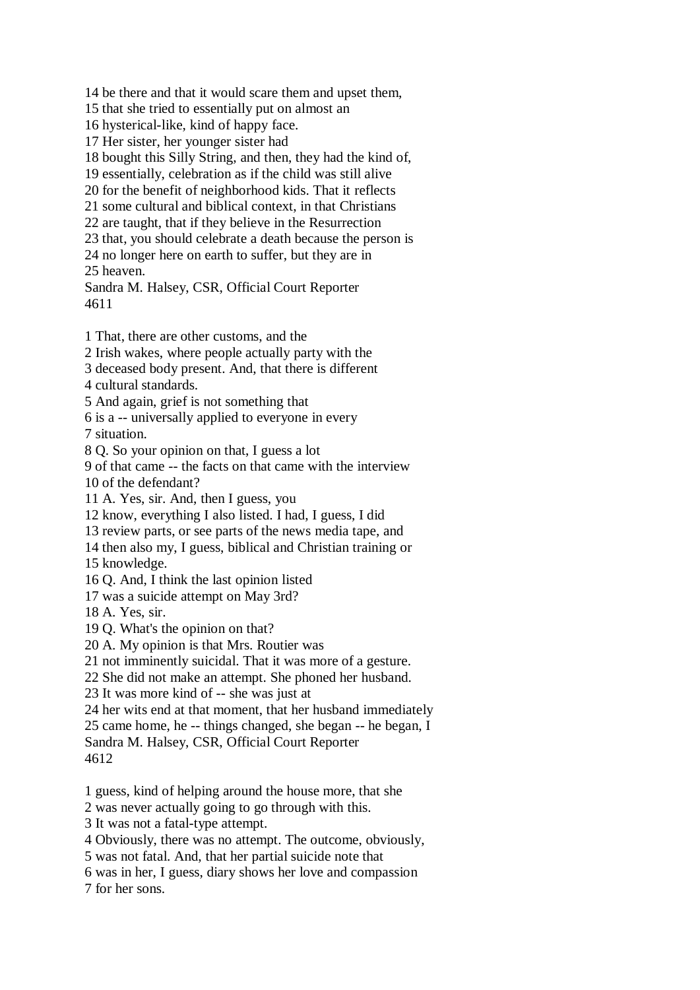14 be there and that it would scare them and upset them,

15 that she tried to essentially put on almost an

16 hysterical-like, kind of happy face.

17 Her sister, her younger sister had

18 bought this Silly String, and then, they had the kind of,

19 essentially, celebration as if the child was still alive

20 for the benefit of neighborhood kids. That it reflects

21 some cultural and biblical context, in that Christians

22 are taught, that if they believe in the Resurrection

23 that, you should celebrate a death because the person is

24 no longer here on earth to suffer, but they are in 25 heaven.

Sandra M. Halsey, CSR, Official Court Reporter 4611

1 That, there are other customs, and the

2 Irish wakes, where people actually party with the

3 deceased body present. And, that there is different

4 cultural standards.

5 And again, grief is not something that

6 is a -- universally applied to everyone in every 7 situation.

8 Q. So your opinion on that, I guess a lot

9 of that came -- the facts on that came with the interview 10 of the defendant?

11 A. Yes, sir. And, then I guess, you

12 know, everything I also listed. I had, I guess, I did

13 review parts, or see parts of the news media tape, and

14 then also my, I guess, biblical and Christian training or

15 knowledge.

16 Q. And, I think the last opinion listed

17 was a suicide attempt on May 3rd?

18 A. Yes, sir.

19 Q. What's the opinion on that?

20 A. My opinion is that Mrs. Routier was

21 not imminently suicidal. That it was more of a gesture.

22 She did not make an attempt. She phoned her husband.

23 It was more kind of -- she was just at

24 her wits end at that moment, that her husband immediately

25 came home, he -- things changed, she began -- he began, I

Sandra M. Halsey, CSR, Official Court Reporter 4612

1 guess, kind of helping around the house more, that she

2 was never actually going to go through with this.

3 It was not a fatal-type attempt.

4 Obviously, there was no attempt. The outcome, obviously,

5 was not fatal. And, that her partial suicide note that

6 was in her, I guess, diary shows her love and compassion

7 for her sons.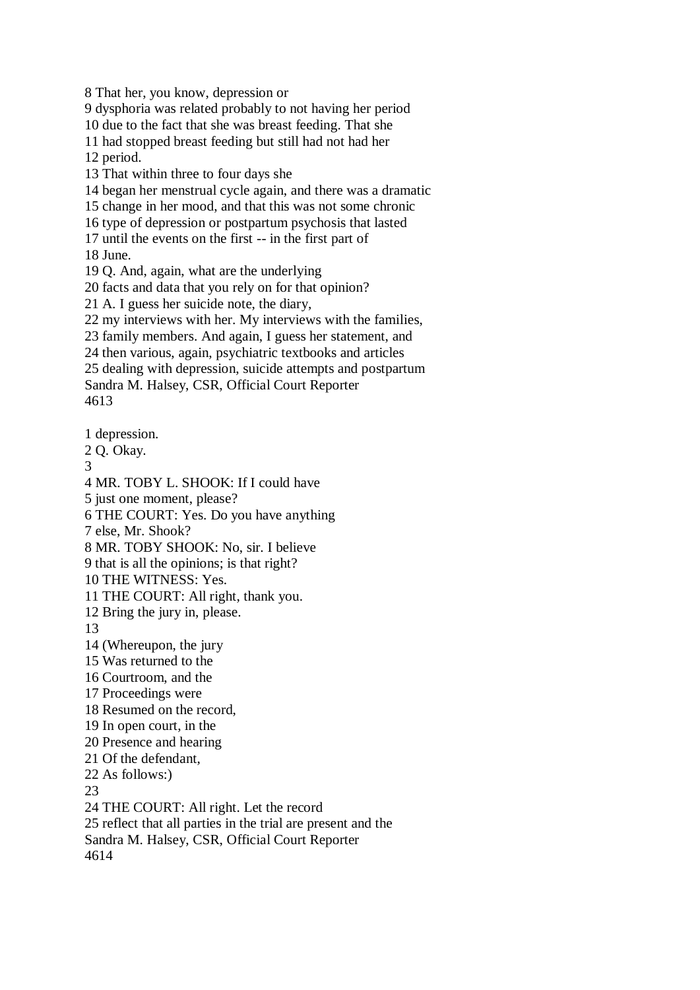8 That her, you know, depression or

9 dysphoria was related probably to not having her period

10 due to the fact that she was breast feeding. That she

11 had stopped breast feeding but still had not had her 12 period.

13 That within three to four days she

14 began her menstrual cycle again, and there was a dramatic

15 change in her mood, and that this was not some chronic

16 type of depression or postpartum psychosis that lasted

17 until the events on the first -- in the first part of

18 June.

19 Q. And, again, what are the underlying

20 facts and data that you rely on for that opinion?

21 A. I guess her suicide note, the diary,

22 my interviews with her. My interviews with the families,

23 family members. And again, I guess her statement, and

24 then various, again, psychiatric textbooks and articles

25 dealing with depression, suicide attempts and postpartum

Sandra M. Halsey, CSR, Official Court Reporter 4613

1 depression.

2 Q. Okay.

3

4 MR. TOBY L. SHOOK: If I could have

5 just one moment, please?

6 THE COURT: Yes. Do you have anything

7 else, Mr. Shook?

8 MR. TOBY SHOOK: No, sir. I believe

9 that is all the opinions; is that right?

10 THE WITNESS: Yes.

11 THE COURT: All right, thank you.

12 Bring the jury in, please.

13

14 (Whereupon, the jury

15 Was returned to the

16 Courtroom, and the

17 Proceedings were

18 Resumed on the record,

19 In open court, in the

20 Presence and hearing

21 Of the defendant,

22 As follows:)

23

24 THE COURT: All right. Let the record 25 reflect that all parties in the trial are present and the Sandra M. Halsey, CSR, Official Court Reporter 4614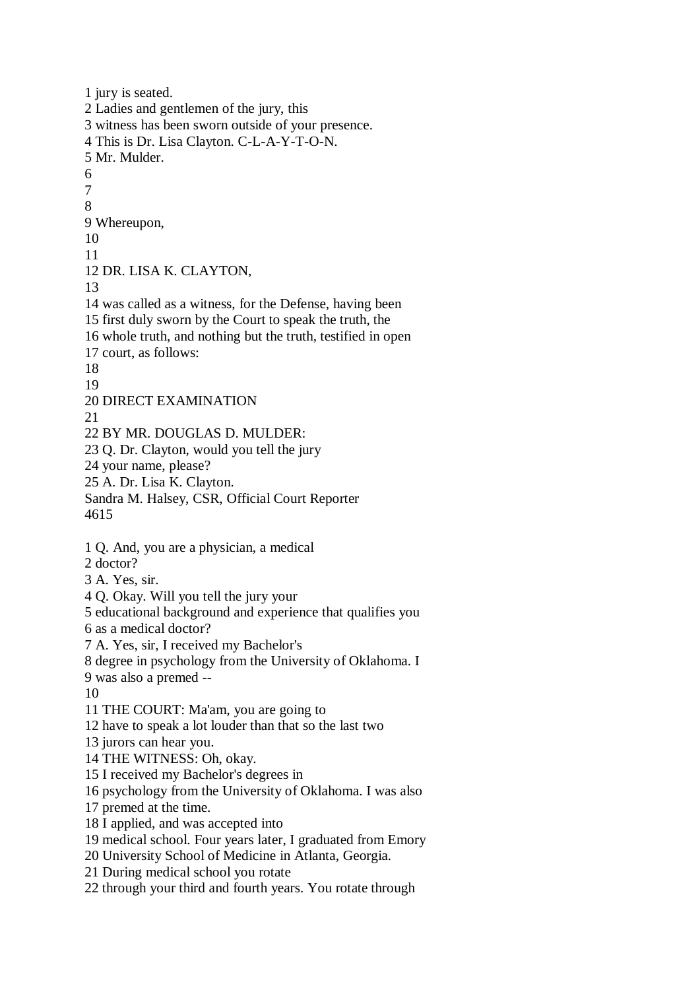1 jury is seated. 2 Ladies and gentlemen of the jury, this 3 witness has been sworn outside of your presence. 4 This is Dr. Lisa Clayton. C-L-A-Y-T-O-N. 5 Mr. Mulder. 6 7 8 9 Whereupon, 10 11 12 DR. LISA K. CLAYTON, 13 14 was called as a witness, for the Defense, having been 15 first duly sworn by the Court to speak the truth, the 16 whole truth, and nothing but the truth, testified in open 17 court, as follows: 18 19 20 DIRECT EXAMINATION 21 22 BY MR. DOUGLAS D. MULDER: 23 Q. Dr. Clayton, would you tell the jury 24 your name, please? 25 A. Dr. Lisa K. Clayton. Sandra M. Halsey, CSR, Official Court Reporter 4615 1 Q. And, you are a physician, a medical 2 doctor? 3 A. Yes, sir. 4 Q. Okay. Will you tell the jury your 5 educational background and experience that qualifies you 6 as a medical doctor? 7 A. Yes, sir, I received my Bachelor's 8 degree in psychology from the University of Oklahoma. I 9 was also a premed -- 10 11 THE COURT: Ma'am, you are going to 12 have to speak a lot louder than that so the last two 13 jurors can hear you. 14 THE WITNESS: Oh, okay. 15 I received my Bachelor's degrees in 16 psychology from the University of Oklahoma. I was also 17 premed at the time. 18 I applied, and was accepted into 19 medical school. Four years later, I graduated from Emory 20 University School of Medicine in Atlanta, Georgia. 21 During medical school you rotate 22 through your third and fourth years. You rotate through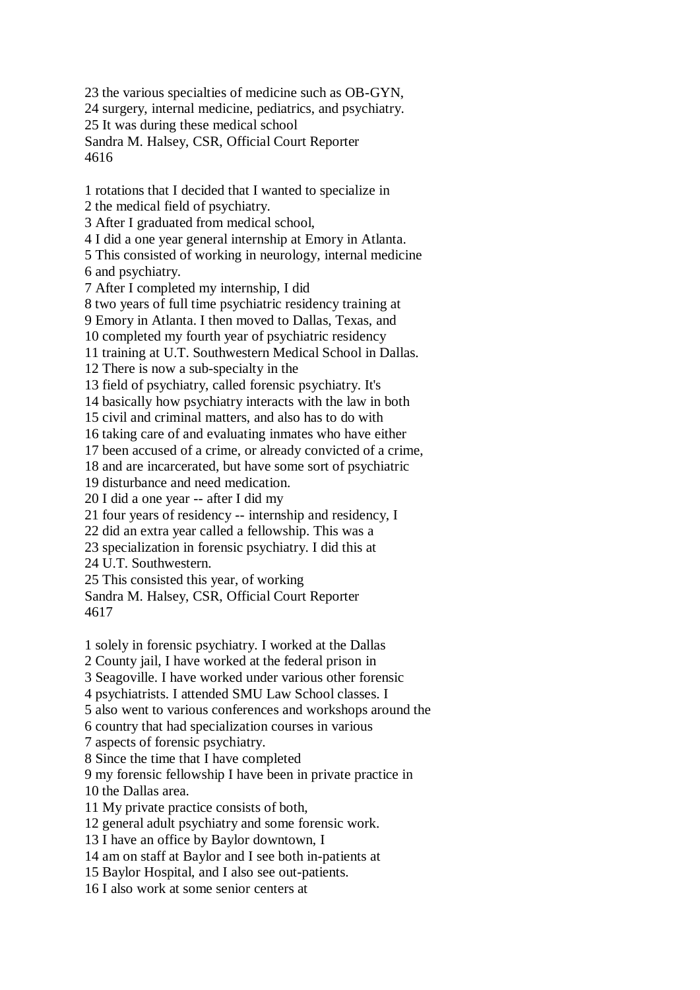23 the various specialties of medicine such as OB-GYN, 24 surgery, internal medicine, pediatrics, and psychiatry. 25 It was during these medical school Sandra M. Halsey, CSR, Official Court Reporter 4616

1 rotations that I decided that I wanted to specialize in 2 the medical field of psychiatry.

3 After I graduated from medical school,

4 I did a one year general internship at Emory in Atlanta.

5 This consisted of working in neurology, internal medicine 6 and psychiatry.

7 After I completed my internship, I did

8 two years of full time psychiatric residency training at

9 Emory in Atlanta. I then moved to Dallas, Texas, and

10 completed my fourth year of psychiatric residency

11 training at U.T. Southwestern Medical School in Dallas.

12 There is now a sub-specialty in the

13 field of psychiatry, called forensic psychiatry. It's

14 basically how psychiatry interacts with the law in both

15 civil and criminal matters, and also has to do with

16 taking care of and evaluating inmates who have either

17 been accused of a crime, or already convicted of a crime,

18 and are incarcerated, but have some sort of psychiatric

19 disturbance and need medication.

20 I did a one year -- after I did my

21 four years of residency -- internship and residency, I

22 did an extra year called a fellowship. This was a

23 specialization in forensic psychiatry. I did this at

24 U.T. Southwestern.

25 This consisted this year, of working

Sandra M. Halsey, CSR, Official Court Reporter 4617

1 solely in forensic psychiatry. I worked at the Dallas

2 County jail, I have worked at the federal prison in

3 Seagoville. I have worked under various other forensic

4 psychiatrists. I attended SMU Law School classes. I

5 also went to various conferences and workshops around the

6 country that had specialization courses in various

7 aspects of forensic psychiatry.

8 Since the time that I have completed

9 my forensic fellowship I have been in private practice in 10 the Dallas area.

11 My private practice consists of both,

12 general adult psychiatry and some forensic work.

13 I have an office by Baylor downtown, I

14 am on staff at Baylor and I see both in-patients at

15 Baylor Hospital, and I also see out-patients.

16 I also work at some senior centers at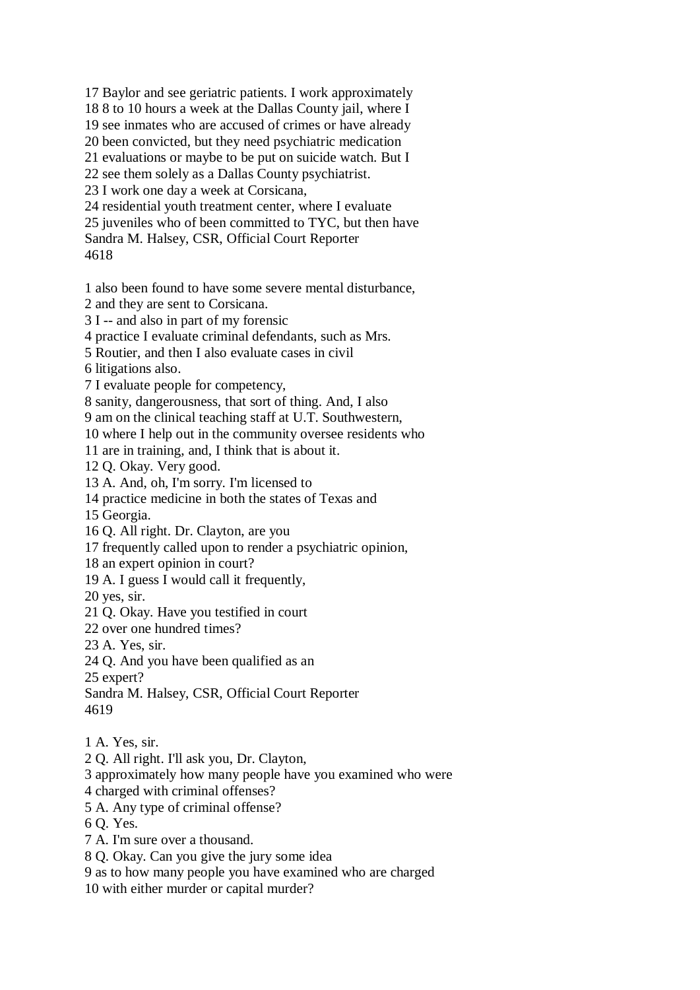17 Baylor and see geriatric patients. I work approximately

18 8 to 10 hours a week at the Dallas County jail, where I

19 see inmates who are accused of crimes or have already

20 been convicted, but they need psychiatric medication

21 evaluations or maybe to be put on suicide watch. But I

22 see them solely as a Dallas County psychiatrist.

23 I work one day a week at Corsicana,

24 residential youth treatment center, where I evaluate

25 juveniles who of been committed to TYC, but then have

Sandra M. Halsey, CSR, Official Court Reporter

4618

1 also been found to have some severe mental disturbance,

2 and they are sent to Corsicana.

3 I -- and also in part of my forensic

4 practice I evaluate criminal defendants, such as Mrs.

5 Routier, and then I also evaluate cases in civil

6 litigations also.

7 I evaluate people for competency,

8 sanity, dangerousness, that sort of thing. And, I also

9 am on the clinical teaching staff at U.T. Southwestern,

10 where I help out in the community oversee residents who

11 are in training, and, I think that is about it.

12 Q. Okay. Very good.

13 A. And, oh, I'm sorry. I'm licensed to

14 practice medicine in both the states of Texas and

15 Georgia.

16 Q. All right. Dr. Clayton, are you

17 frequently called upon to render a psychiatric opinion,

18 an expert opinion in court?

19 A. I guess I would call it frequently,

20 yes, sir.

21 Q. Okay. Have you testified in court

22 over one hundred times?

23 A. Yes, sir.

24 Q. And you have been qualified as an

25 expert?

Sandra M. Halsey, CSR, Official Court Reporter 4619

1 A. Yes, sir.

2 Q. All right. I'll ask you, Dr. Clayton,

3 approximately how many people have you examined who were

4 charged with criminal offenses?

5 A. Any type of criminal offense?

6 Q. Yes.

7 A. I'm sure over a thousand.

8 Q. Okay. Can you give the jury some idea

9 as to how many people you have examined who are charged

10 with either murder or capital murder?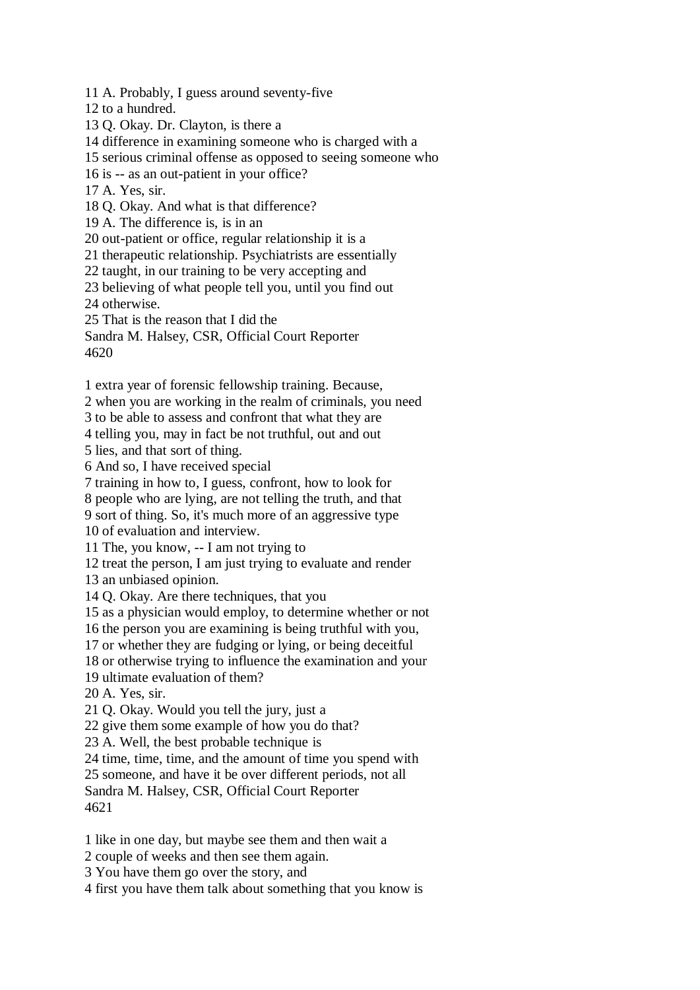11 A. Probably, I guess around seventy-five

12 to a hundred.

13 Q. Okay. Dr. Clayton, is there a

14 difference in examining someone who is charged with a

15 serious criminal offense as opposed to seeing someone who

16 is -- as an out-patient in your office?

17 A. Yes, sir.

18 Q. Okay. And what is that difference?

19 A. The difference is, is in an

20 out-patient or office, regular relationship it is a

21 therapeutic relationship. Psychiatrists are essentially

22 taught, in our training to be very accepting and

23 believing of what people tell you, until you find out

24 otherwise.

25 That is the reason that I did the

Sandra M. Halsey, CSR, Official Court Reporter 4620

1 extra year of forensic fellowship training. Because,

2 when you are working in the realm of criminals, you need

3 to be able to assess and confront that what they are

4 telling you, may in fact be not truthful, out and out

5 lies, and that sort of thing.

6 And so, I have received special

7 training in how to, I guess, confront, how to look for

8 people who are lying, are not telling the truth, and that

9 sort of thing. So, it's much more of an aggressive type

10 of evaluation and interview.

11 The, you know, -- I am not trying to

12 treat the person, I am just trying to evaluate and render

13 an unbiased opinion.

14 Q. Okay. Are there techniques, that you

15 as a physician would employ, to determine whether or not

16 the person you are examining is being truthful with you,

17 or whether they are fudging or lying, or being deceitful

18 or otherwise trying to influence the examination and your

19 ultimate evaluation of them?

20 A. Yes, sir.

21 Q. Okay. Would you tell the jury, just a

22 give them some example of how you do that?

23 A. Well, the best probable technique is

24 time, time, time, and the amount of time you spend with

25 someone, and have it be over different periods, not all

Sandra M. Halsey, CSR, Official Court Reporter 4621

1 like in one day, but maybe see them and then wait a

2 couple of weeks and then see them again.

3 You have them go over the story, and

4 first you have them talk about something that you know is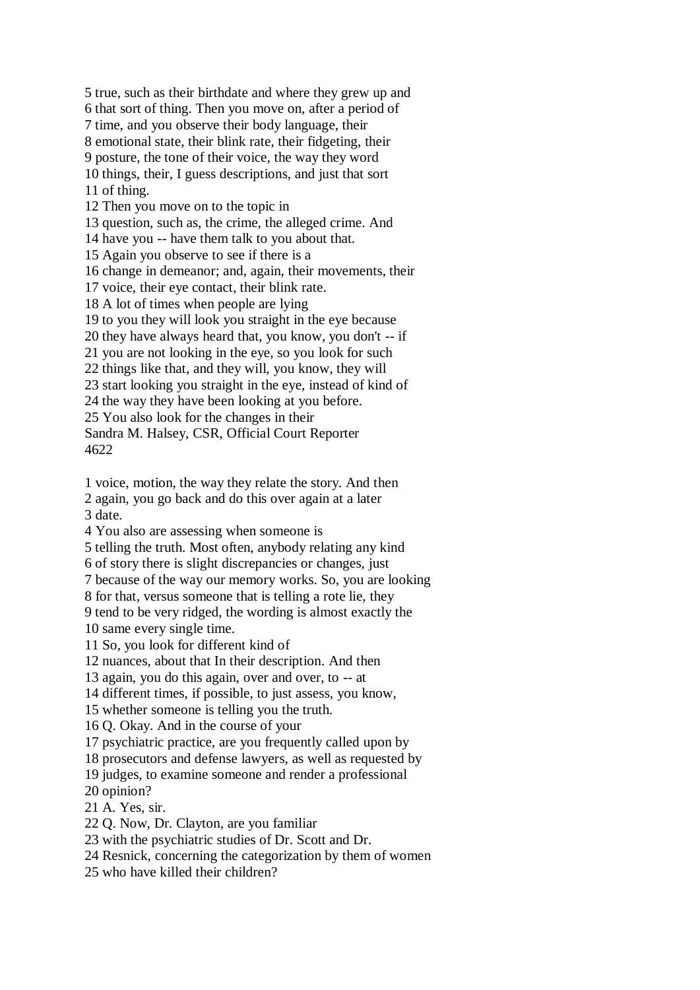5 true, such as their birthdate and where they grew up and 6 that sort of thing. Then you move on, after a period of 7 time, and you observe their body language, their 8 emotional state, their blink rate, their fidgeting, their 9 posture, the tone of their voice, the way they word 10 things, their, I guess descriptions, and just that sort 11 of thing. 12 Then you move on to the topic in 13 question, such as, the crime, the alleged crime. And 14 have you -- have them talk to you about that. 15 Again you observe to see if there is a 16 change in demeanor; and, again, their movements, their 17 voice, their eye contact, their blink rate. 18 A lot of times when people are lying 19 to you they will look you straight in the eye because 20 they have always heard that, you know, you don't -- if 21 you are not looking in the eye, so you look for such 22 things like that, and they will, you know, they will 23 start looking you straight in the eye, instead of kind of 24 the way they have been looking at you before. 25 You also look for the changes in their Sandra M. Halsey, CSR, Official Court Reporter 4622

1 voice, motion, the way they relate the story. And then 2 again, you go back and do this over again at a later 3 date.

4 You also are assessing when someone is

5 telling the truth. Most often, anybody relating any kind

6 of story there is slight discrepancies or changes, just

7 because of the way our memory works. So, you are looking

8 for that, versus someone that is telling a rote lie, they

9 tend to be very ridged, the wording is almost exactly the 10 same every single time.

11 So, you look for different kind of

12 nuances, about that In their description. And then

13 again, you do this again, over and over, to -- at

14 different times, if possible, to just assess, you know,

15 whether someone is telling you the truth.

16 Q. Okay. And in the course of your

17 psychiatric practice, are you frequently called upon by

18 prosecutors and defense lawyers, as well as requested by

19 judges, to examine someone and render a professional

20 opinion?

21 A. Yes, sir.

22 Q. Now, Dr. Clayton, are you familiar

23 with the psychiatric studies of Dr. Scott and Dr.

24 Resnick, concerning the categorization by them of women

25 who have killed their children?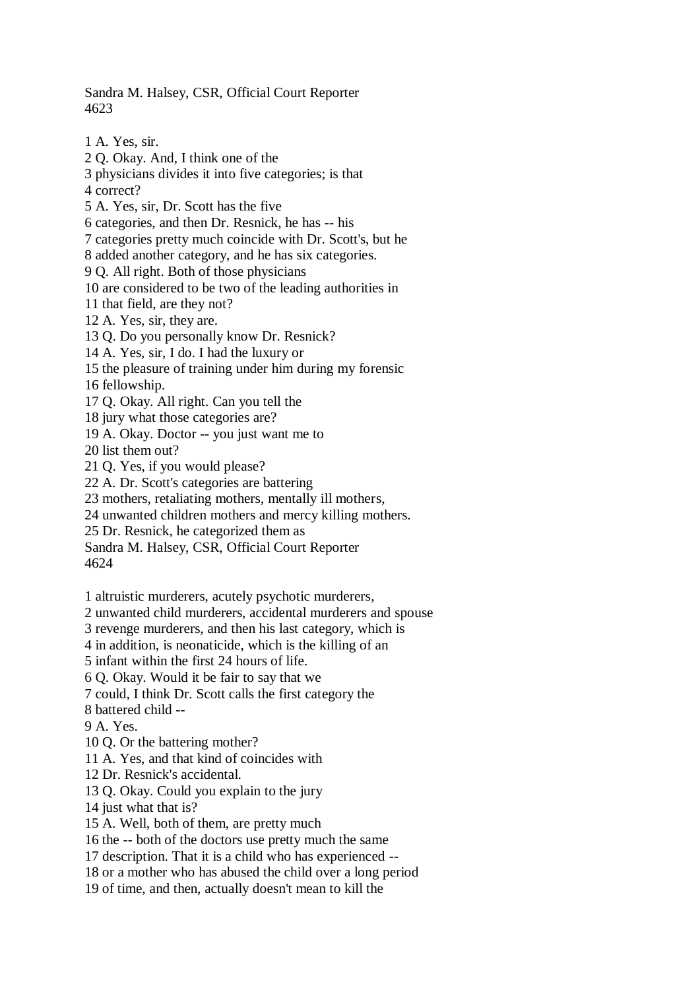Sandra M. Halsey, CSR, Official Court Reporter 4623

1 A. Yes, sir. 2 Q. Okay. And, I think one of the 3 physicians divides it into five categories; is that 4 correct? 5 A. Yes, sir, Dr. Scott has the five 6 categories, and then Dr. Resnick, he has -- his 7 categories pretty much coincide with Dr. Scott's, but he 8 added another category, and he has six categories. 9 Q. All right. Both of those physicians 10 are considered to be two of the leading authorities in 11 that field, are they not? 12 A. Yes, sir, they are. 13 Q. Do you personally know Dr. Resnick? 14 A. Yes, sir, I do. I had the luxury or 15 the pleasure of training under him during my forensic 16 fellowship. 17 Q. Okay. All right. Can you tell the 18 jury what those categories are? 19 A. Okay. Doctor -- you just want me to 20 list them out? 21 Q. Yes, if you would please? 22 A. Dr. Scott's categories are battering 23 mothers, retaliating mothers, mentally ill mothers, 24 unwanted children mothers and mercy killing mothers. 25 Dr. Resnick, he categorized them as Sandra M. Halsey, CSR, Official Court Reporter 4624 1 altruistic murderers, acutely psychotic murderers, 2 unwanted child murderers, accidental murderers and spouse 3 revenge murderers, and then his last category, which is 4 in addition, is neonaticide, which is the killing of an 5 infant within the first 24 hours of life. 6 Q. Okay. Would it be fair to say that we 7 could, I think Dr. Scott calls the first category the

8 battered child --

9 A. Yes.

10 Q. Or the battering mother?

11 A. Yes, and that kind of coincides with

12 Dr. Resnick's accidental.

13 Q. Okay. Could you explain to the jury

14 just what that is?

15 A. Well, both of them, are pretty much

16 the -- both of the doctors use pretty much the same

17 description. That it is a child who has experienced --

18 or a mother who has abused the child over a long period

19 of time, and then, actually doesn't mean to kill the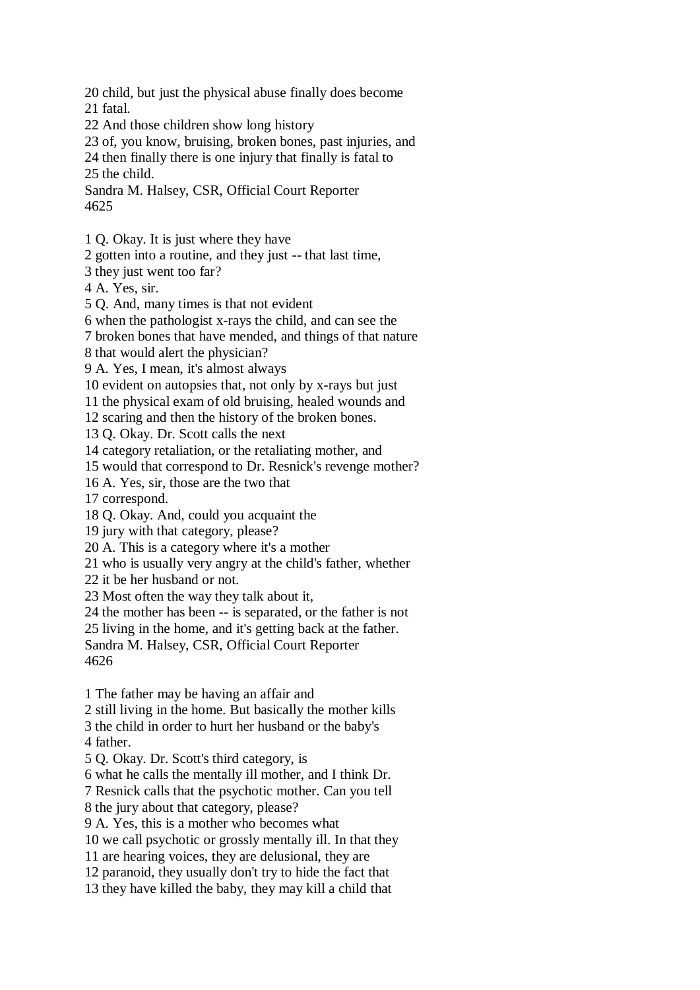20 child, but just the physical abuse finally does become 21 fatal.

22 And those children show long history

23 of, you know, bruising, broken bones, past injuries, and

24 then finally there is one injury that finally is fatal to

25 the child.

Sandra M. Halsey, CSR, Official Court Reporter 4625

1 Q. Okay. It is just where they have

2 gotten into a routine, and they just -- that last time,

3 they just went too far?

4 A. Yes, sir.

5 Q. And, many times is that not evident

6 when the pathologist x-rays the child, and can see the

7 broken bones that have mended, and things of that nature

8 that would alert the physician?

9 A. Yes, I mean, it's almost always

10 evident on autopsies that, not only by x-rays but just

11 the physical exam of old bruising, healed wounds and

12 scaring and then the history of the broken bones.

13 Q. Okay. Dr. Scott calls the next

14 category retaliation, or the retaliating mother, and

15 would that correspond to Dr. Resnick's revenge mother?

16 A. Yes, sir, those are the two that

17 correspond.

18 Q. Okay. And, could you acquaint the

19 jury with that category, please?

20 A. This is a category where it's a mother

21 who is usually very angry at the child's father, whether

22 it be her husband or not.

23 Most often the way they talk about it,

24 the mother has been -- is separated, or the father is not

25 living in the home, and it's getting back at the father.

Sandra M. Halsey, CSR, Official Court Reporter 4626

1 The father may be having an affair and

2 still living in the home. But basically the mother kills

3 the child in order to hurt her husband or the baby's 4 father.

5 Q. Okay. Dr. Scott's third category, is

6 what he calls the mentally ill mother, and I think Dr.

7 Resnick calls that the psychotic mother. Can you tell

8 the jury about that category, please?

9 A. Yes, this is a mother who becomes what

10 we call psychotic or grossly mentally ill. In that they

11 are hearing voices, they are delusional, they are

12 paranoid, they usually don't try to hide the fact that

13 they have killed the baby, they may kill a child that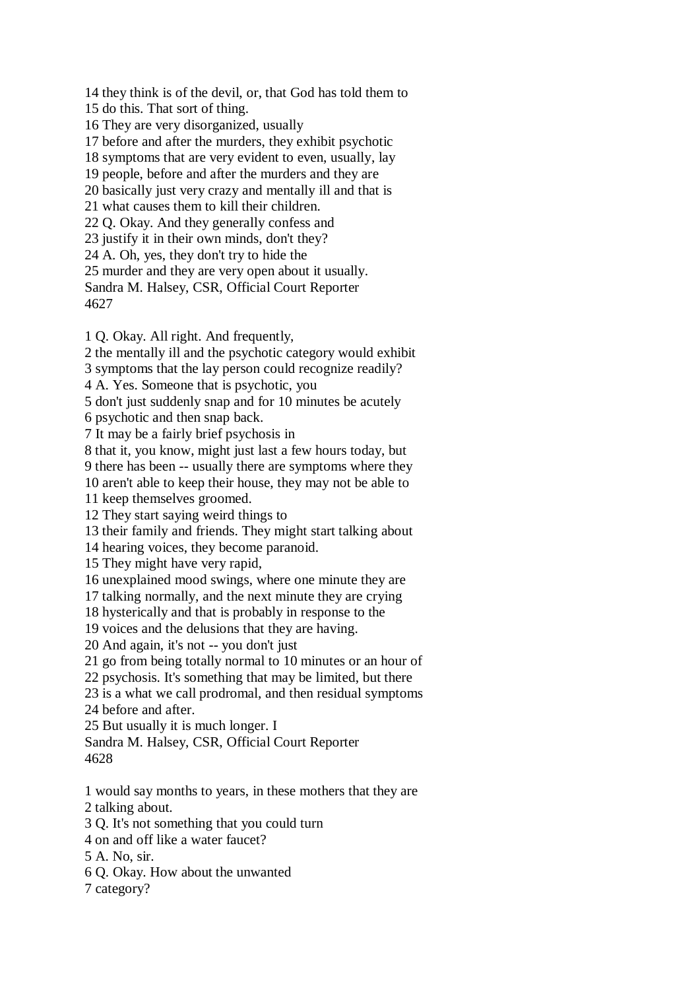14 they think is of the devil, or, that God has told them to 15 do this. That sort of thing. 16 They are very disorganized, usually 17 before and after the murders, they exhibit psychotic 18 symptoms that are very evident to even, usually, lay 19 people, before and after the murders and they are 20 basically just very crazy and mentally ill and that is 21 what causes them to kill their children. 22 Q. Okay. And they generally confess and 23 justify it in their own minds, don't they? 24 A. Oh, yes, they don't try to hide the 25 murder and they are very open about it usually. Sandra M. Halsey, CSR, Official Court Reporter 4627

1 Q. Okay. All right. And frequently,

2 the mentally ill and the psychotic category would exhibit

3 symptoms that the lay person could recognize readily?

4 A. Yes. Someone that is psychotic, you

5 don't just suddenly snap and for 10 minutes be acutely

6 psychotic and then snap back.

7 It may be a fairly brief psychosis in

8 that it, you know, might just last a few hours today, but

9 there has been -- usually there are symptoms where they

10 aren't able to keep their house, they may not be able to

11 keep themselves groomed.

12 They start saying weird things to

13 their family and friends. They might start talking about

14 hearing voices, they become paranoid.

15 They might have very rapid,

16 unexplained mood swings, where one minute they are

17 talking normally, and the next minute they are crying

18 hysterically and that is probably in response to the

19 voices and the delusions that they are having.

20 And again, it's not -- you don't just

21 go from being totally normal to 10 minutes or an hour of

22 psychosis. It's something that may be limited, but there

23 is a what we call prodromal, and then residual symptoms

24 before and after.

25 But usually it is much longer. I

Sandra M. Halsey, CSR, Official Court Reporter 4628

1 would say months to years, in these mothers that they are 2 talking about.

3 Q. It's not something that you could turn

- 4 on and off like a water faucet?
- 5 A. No, sir.
- 6 Q. Okay. How about the unwanted

7 category?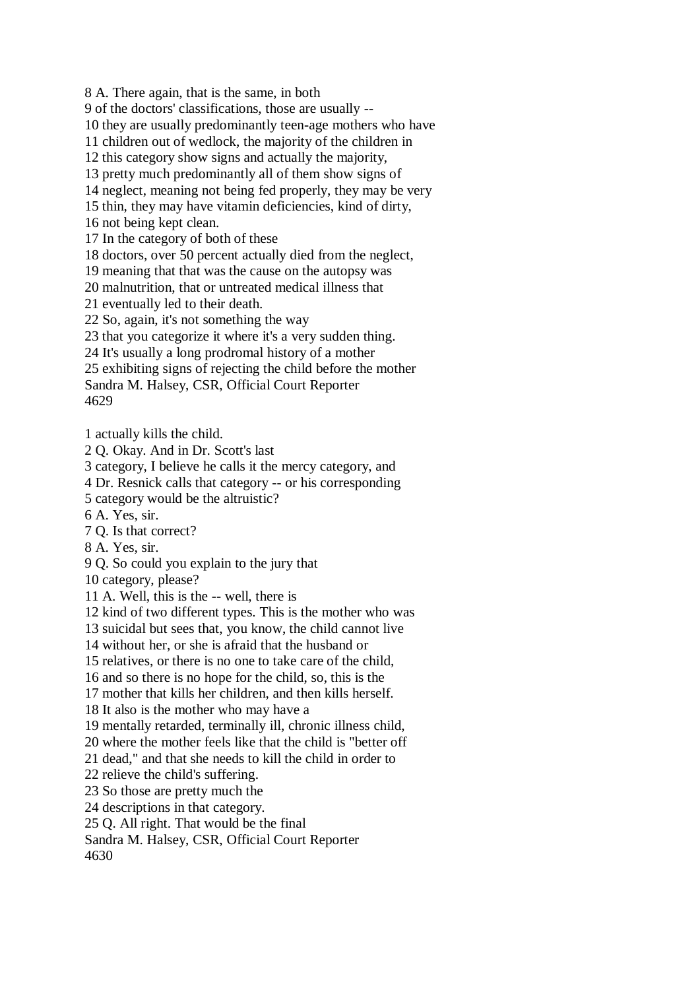8 A. There again, that is the same, in both

9 of the doctors' classifications, those are usually --

10 they are usually predominantly teen-age mothers who have

11 children out of wedlock, the majority of the children in

12 this category show signs and actually the majority,

13 pretty much predominantly all of them show signs of

14 neglect, meaning not being fed properly, they may be very

15 thin, they may have vitamin deficiencies, kind of dirty,

16 not being kept clean.

17 In the category of both of these

18 doctors, over 50 percent actually died from the neglect,

19 meaning that that was the cause on the autopsy was

20 malnutrition, that or untreated medical illness that

21 eventually led to their death.

22 So, again, it's not something the way

23 that you categorize it where it's a very sudden thing.

24 It's usually a long prodromal history of a mother

25 exhibiting signs of rejecting the child before the mother

Sandra M. Halsey, CSR, Official Court Reporter

4629

1 actually kills the child.

2 Q. Okay. And in Dr. Scott's last

3 category, I believe he calls it the mercy category, and

4 Dr. Resnick calls that category -- or his corresponding

5 category would be the altruistic?

6 A. Yes, sir.

7 Q. Is that correct?

8 A. Yes, sir.

9 Q. So could you explain to the jury that

10 category, please?

11 A. Well, this is the -- well, there is

12 kind of two different types. This is the mother who was

13 suicidal but sees that, you know, the child cannot live

14 without her, or she is afraid that the husband or

15 relatives, or there is no one to take care of the child,

16 and so there is no hope for the child, so, this is the

17 mother that kills her children, and then kills herself.

18 It also is the mother who may have a

19 mentally retarded, terminally ill, chronic illness child,

20 where the mother feels like that the child is "better off

21 dead," and that she needs to kill the child in order to

22 relieve the child's suffering.

23 So those are pretty much the

24 descriptions in that category.

25 Q. All right. That would be the final

Sandra M. Halsey, CSR, Official Court Reporter

4630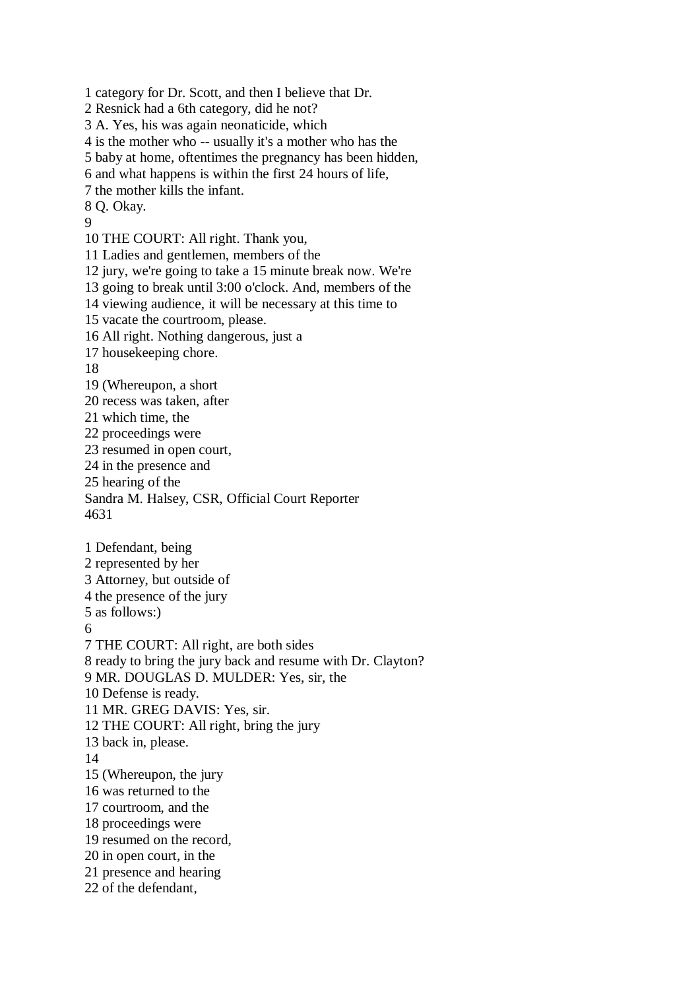1 category for Dr. Scott, and then I believe that Dr. 2 Resnick had a 6th category, did he not? 3 A. Yes, his was again neonaticide, which 4 is the mother who -- usually it's a mother who has the 5 baby at home, oftentimes the pregnancy has been hidden, 6 and what happens is within the first 24 hours of life, 7 the mother kills the infant. 8 Q. Okay. 9 10 THE COURT: All right. Thank you, 11 Ladies and gentlemen, members of the 12 jury, we're going to take a 15 minute break now. We're 13 going to break until 3:00 o'clock. And, members of the 14 viewing audience, it will be necessary at this time to 15 vacate the courtroom, please. 16 All right. Nothing dangerous, just a 17 housekeeping chore. 18 19 (Whereupon, a short 20 recess was taken, after 21 which time, the 22 proceedings were 23 resumed in open court, 24 in the presence and 25 hearing of the Sandra M. Halsey, CSR, Official Court Reporter 4631 1 Defendant, being 2 represented by her 3 Attorney, but outside of 4 the presence of the jury 5 as follows:) 6 7 THE COURT: All right, are both sides 8 ready to bring the jury back and resume with Dr. Clayton? 9 MR. DOUGLAS D. MULDER: Yes, sir, the 10 Defense is ready. 11 MR. GREG DAVIS: Yes, sir. 12 THE COURT: All right, bring the jury 13 back in, please. 14 15 (Whereupon, the jury 16 was returned to the 17 courtroom, and the 18 proceedings were 19 resumed on the record, 20 in open court, in the 21 presence and hearing 22 of the defendant,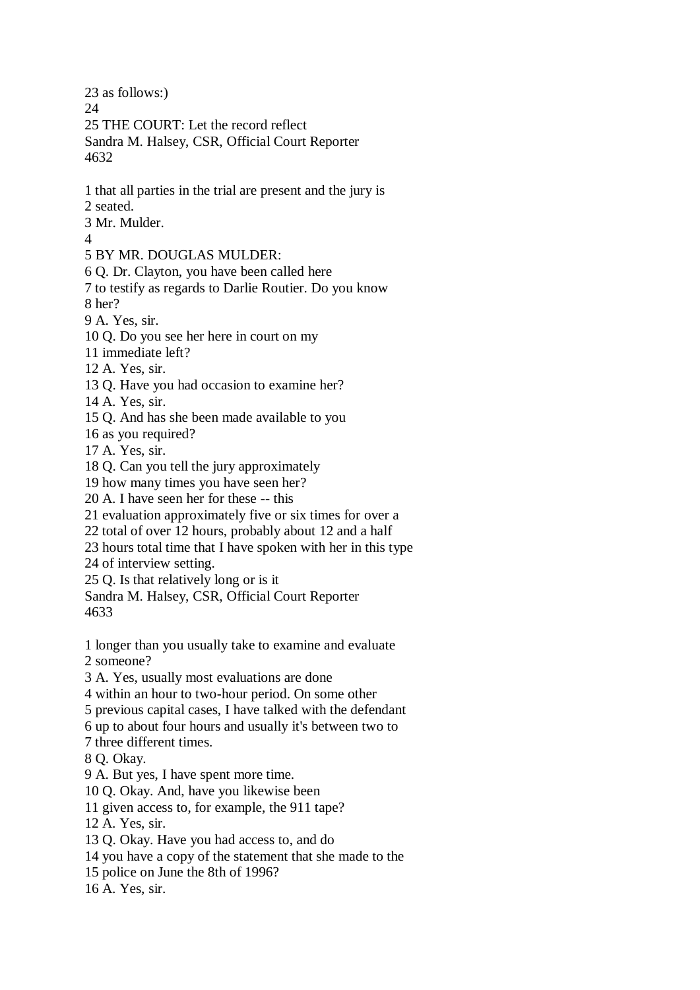23 as follows:) 24 25 THE COURT: Let the record reflect Sandra M. Halsey, CSR, Official Court Reporter 4632 1 that all parties in the trial are present and the jury is 2 seated. 3 Mr. Mulder. 4 5 BY MR. DOUGLAS MULDER: 6 Q. Dr. Clayton, you have been called here 7 to testify as regards to Darlie Routier. Do you know 8 her? 9 A. Yes, sir. 10 Q. Do you see her here in court on my 11 immediate left? 12 A. Yes, sir. 13 Q. Have you had occasion to examine her? 14 A. Yes, sir. 15 Q. And has she been made available to you 16 as you required? 17 A. Yes, sir. 18 Q. Can you tell the jury approximately 19 how many times you have seen her? 20 A. I have seen her for these -- this 21 evaluation approximately five or six times for over a 22 total of over 12 hours, probably about 12 and a half 23 hours total time that I have spoken with her in this type 24 of interview setting. 25 Q. Is that relatively long or is it Sandra M. Halsey, CSR, Official Court Reporter 4633 1 longer than you usually take to examine and evaluate 2 someone? 3 A. Yes, usually most evaluations are done 4 within an hour to two-hour period. On some other 5 previous capital cases, I have talked with the defendant 6 up to about four hours and usually it's between two to 7 three different times. 8 Q. Okay. 9 A. But yes, I have spent more time. 10 Q. Okay. And, have you likewise been 11 given access to, for example, the 911 tape? 12 A. Yes, sir. 13 Q. Okay. Have you had access to, and do 14 you have a copy of the statement that she made to the 15 police on June the 8th of 1996? 16 A. Yes, sir.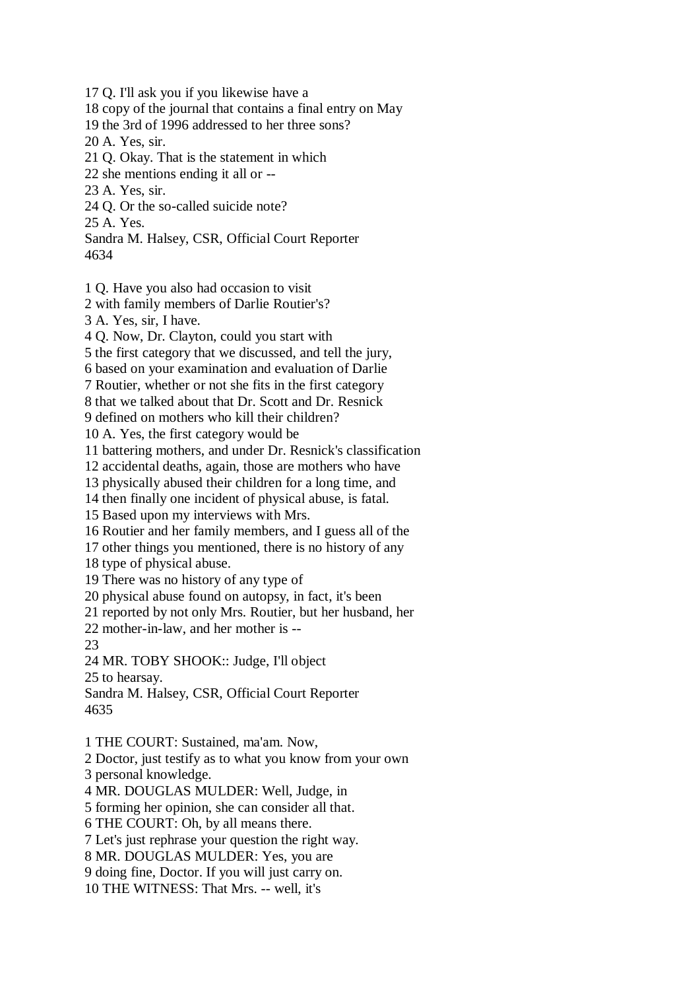17 Q. I'll ask you if you likewise have a 18 copy of the journal that contains a final entry on May 19 the 3rd of 1996 addressed to her three sons? 20 A. Yes, sir. 21 Q. Okay. That is the statement in which 22 she mentions ending it all or -- 23 A. Yes, sir. 24 Q. Or the so-called suicide note? 25 A. Yes. Sandra M. Halsey, CSR, Official Court Reporter 4634 1 Q. Have you also had occasion to visit 2 with family members of Darlie Routier's? 3 A. Yes, sir, I have. 4 Q. Now, Dr. Clayton, could you start with 5 the first category that we discussed, and tell the jury, 6 based on your examination and evaluation of Darlie 7 Routier, whether or not she fits in the first category 8 that we talked about that Dr. Scott and Dr. Resnick 9 defined on mothers who kill their children? 10 A. Yes, the first category would be 11 battering mothers, and under Dr. Resnick's classification 12 accidental deaths, again, those are mothers who have 13 physically abused their children for a long time, and 14 then finally one incident of physical abuse, is fatal. 15 Based upon my interviews with Mrs. 16 Routier and her family members, and I guess all of the 17 other things you mentioned, there is no history of any 18 type of physical abuse. 19 There was no history of any type of 20 physical abuse found on autopsy, in fact, it's been 21 reported by not only Mrs. Routier, but her husband, her 22 mother-in-law, and her mother is -- 23 24 MR. TOBY SHOOK:: Judge, I'll object 25 to hearsay. Sandra M. Halsey, CSR, Official Court Reporter 4635 1 THE COURT: Sustained, ma'am. Now, 2 Doctor, just testify as to what you know from your own 3 personal knowledge. 4 MR. DOUGLAS MULDER: Well, Judge, in 5 forming her opinion, she can consider all that. 6 THE COURT: Oh, by all means there. 7 Let's just rephrase your question the right way. 8 MR. DOUGLAS MULDER: Yes, you are 9 doing fine, Doctor. If you will just carry on. 10 THE WITNESS: That Mrs. -- well, it's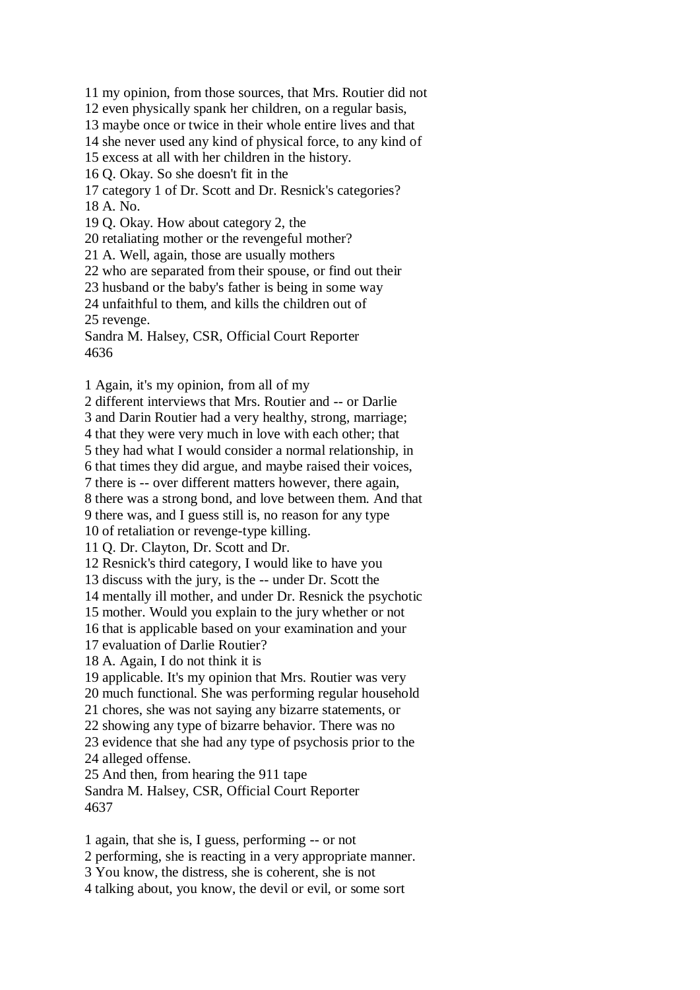11 my opinion, from those sources, that Mrs. Routier did not 12 even physically spank her children, on a regular basis, 13 maybe once or twice in their whole entire lives and that 14 she never used any kind of physical force, to any kind of 15 excess at all with her children in the history. 16 Q. Okay. So she doesn't fit in the 17 category 1 of Dr. Scott and Dr. Resnick's categories? 18 A. No. 19 Q. Okay. How about category 2, the 20 retaliating mother or the revengeful mother? 21 A. Well, again, those are usually mothers 22 who are separated from their spouse, or find out their 23 husband or the baby's father is being in some way 24 unfaithful to them, and kills the children out of 25 revenge. Sandra M. Halsey, CSR, Official Court Reporter 4636

1 Again, it's my opinion, from all of my

2 different interviews that Mrs. Routier and -- or Darlie 3 and Darin Routier had a very healthy, strong, marriage; 4 that they were very much in love with each other; that 5 they had what I would consider a normal relationship, in 6 that times they did argue, and maybe raised their voices, 7 there is -- over different matters however, there again, 8 there was a strong bond, and love between them. And that 9 there was, and I guess still is, no reason for any type 10 of retaliation or revenge-type killing. 11 Q. Dr. Clayton, Dr. Scott and Dr. 12 Resnick's third category, I would like to have you 13 discuss with the jury, is the -- under Dr. Scott the 14 mentally ill mother, and under Dr. Resnick the psychotic 15 mother. Would you explain to the jury whether or not 16 that is applicable based on your examination and your 17 evaluation of Darlie Routier? 18 A. Again, I do not think it is 19 applicable. It's my opinion that Mrs. Routier was very 20 much functional. She was performing regular household 21 chores, she was not saying any bizarre statements, or 22 showing any type of bizarre behavior. There was no 23 evidence that she had any type of psychosis prior to the 24 alleged offense. 25 And then, from hearing the 911 tape Sandra M. Halsey, CSR, Official Court Reporter 4637

1 again, that she is, I guess, performing -- or not 2 performing, she is reacting in a very appropriate manner. 3 You know, the distress, she is coherent, she is not 4 talking about, you know, the devil or evil, or some sort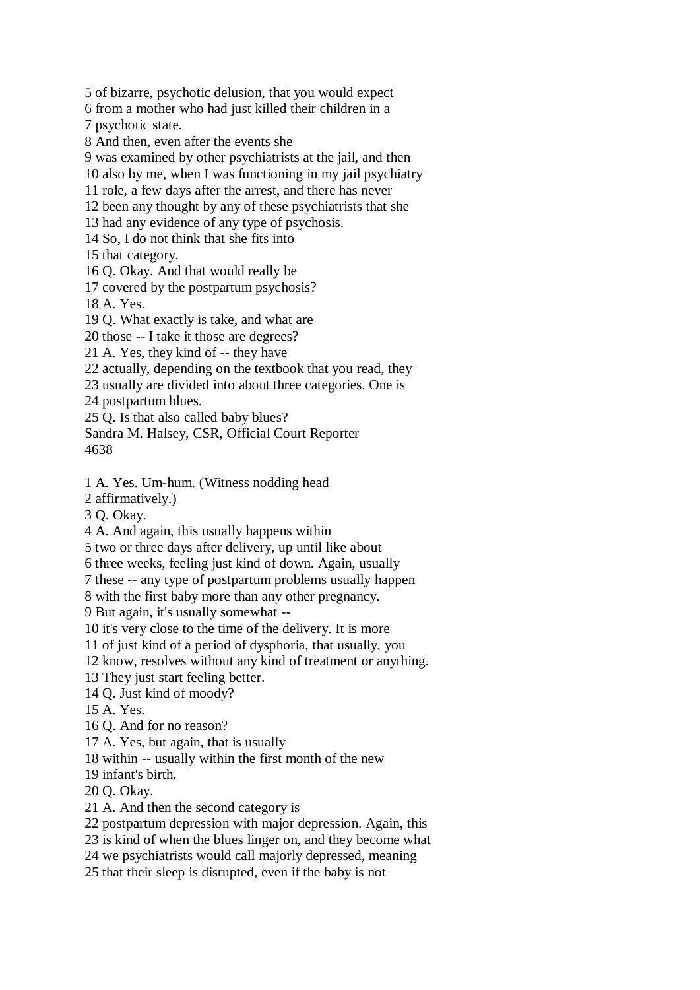5 of bizarre, psychotic delusion, that you would expect 6 from a mother who had just killed their children in a 7 psychotic state. 8 And then, even after the events she 9 was examined by other psychiatrists at the jail, and then 10 also by me, when I was functioning in my jail psychiatry 11 role, a few days after the arrest, and there has never 12 been any thought by any of these psychiatrists that she 13 had any evidence of any type of psychosis. 14 So, I do not think that she fits into 15 that category. 16 Q. Okay. And that would really be 17 covered by the postpartum psychosis? 18 A. Yes. 19 Q. What exactly is take, and what are 20 those -- I take it those are degrees? 21 A. Yes, they kind of -- they have 22 actually, depending on the textbook that you read, they 23 usually are divided into about three categories. One is 24 postpartum blues. 25 Q. Is that also called baby blues? Sandra M. Halsey, CSR, Official Court Reporter 4638 1 A. Yes. Um-hum. (Witness nodding head 2 affirmatively.) 3 Q. Okay. 4 A. And again, this usually happens within 5 two or three days after delivery, up until like about 6 three weeks, feeling just kind of down. Again, usually 7 these -- any type of postpartum problems usually happen 8 with the first baby more than any other pregnancy. 9 But again, it's usually somewhat -- 10 it's very close to the time of the delivery. It is more 11 of just kind of a period of dysphoria, that usually, you 12 know, resolves without any kind of treatment or anything. 13 They just start feeling better. 14 Q. Just kind of moody? 15 A. Yes.

- 16 Q. And for no reason?
- 17 A. Yes, but again, that is usually
- 18 within -- usually within the first month of the new
- 19 infant's birth.
- 20 Q. Okay.
- 21 A. And then the second category is
- 22 postpartum depression with major depression. Again, this
- 23 is kind of when the blues linger on, and they become what
- 24 we psychiatrists would call majorly depressed, meaning
- 25 that their sleep is disrupted, even if the baby is not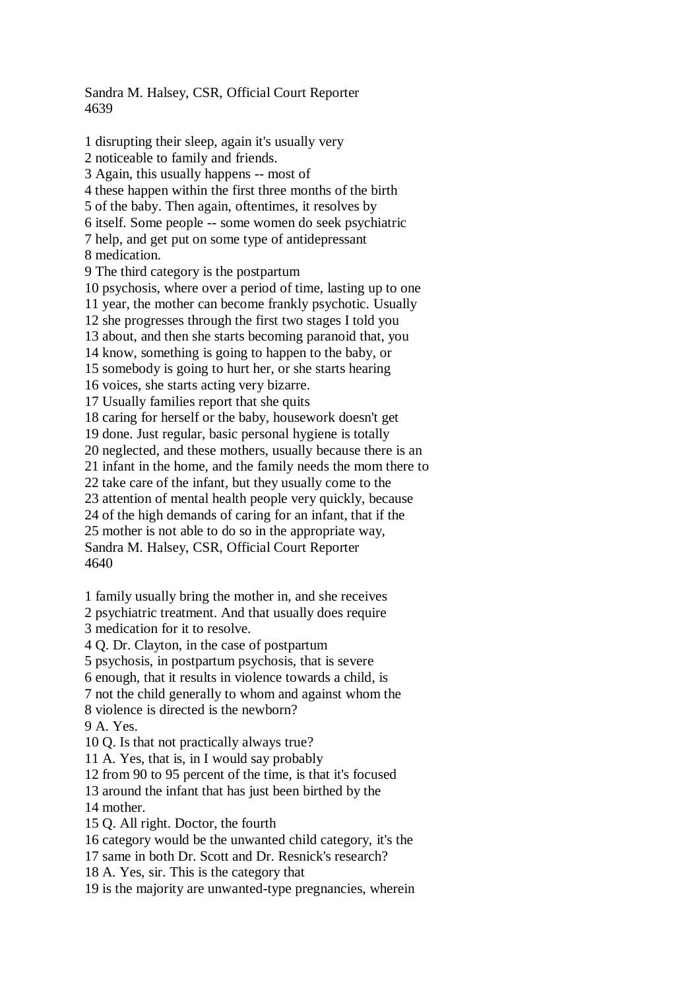Sandra M. Halsey, CSR, Official Court Reporter 4639

1 disrupting their sleep, again it's usually very 2 noticeable to family and friends. 3 Again, this usually happens -- most of 4 these happen within the first three months of the birth 5 of the baby. Then again, oftentimes, it resolves by 6 itself. Some people -- some women do seek psychiatric 7 help, and get put on some type of antidepressant 8 medication. 9 The third category is the postpartum 10 psychosis, where over a period of time, lasting up to one 11 year, the mother can become frankly psychotic. Usually 12 she progresses through the first two stages I told you 13 about, and then she starts becoming paranoid that, you 14 know, something is going to happen to the baby, or 15 somebody is going to hurt her, or she starts hearing 16 voices, she starts acting very bizarre. 17 Usually families report that she quits 18 caring for herself or the baby, housework doesn't get 19 done. Just regular, basic personal hygiene is totally 20 neglected, and these mothers, usually because there is an 21 infant in the home, and the family needs the mom there to 22 take care of the infant, but they usually come to the 23 attention of mental health people very quickly, because 24 of the high demands of caring for an infant, that if the 25 mother is not able to do so in the appropriate way, Sandra M. Halsey, CSR, Official Court Reporter 4640 1 family usually bring the mother in, and she receives

2 psychiatric treatment. And that usually does require

3 medication for it to resolve.

4 Q. Dr. Clayton, in the case of postpartum

5 psychosis, in postpartum psychosis, that is severe

6 enough, that it results in violence towards a child, is

7 not the child generally to whom and against whom the 8 violence is directed is the newborn?

9 A. Yes.

10 Q. Is that not practically always true?

11 A. Yes, that is, in I would say probably

12 from 90 to 95 percent of the time, is that it's focused

13 around the infant that has just been birthed by the 14 mother.

15 Q. All right. Doctor, the fourth

16 category would be the unwanted child category, it's the

17 same in both Dr. Scott and Dr. Resnick's research?

18 A. Yes, sir. This is the category that

19 is the majority are unwanted-type pregnancies, wherein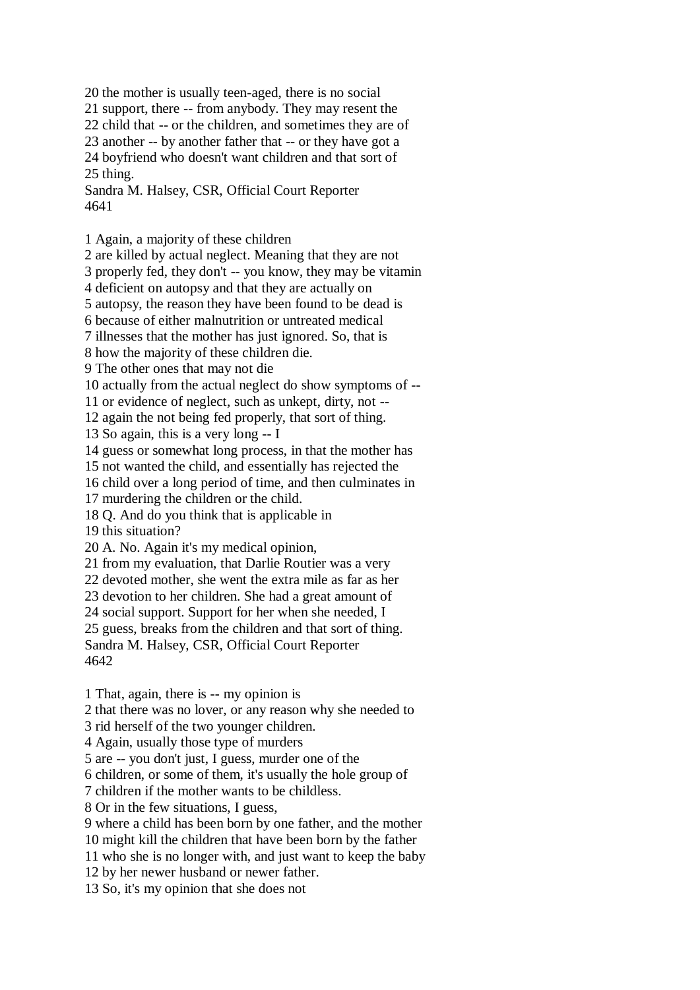20 the mother is usually teen-aged, there is no social

21 support, there -- from anybody. They may resent the

22 child that -- or the children, and sometimes they are of

23 another -- by another father that -- or they have got a 24 boyfriend who doesn't want children and that sort of

25 thing.

Sandra M. Halsey, CSR, Official Court Reporter 4641

1 Again, a majority of these children

2 are killed by actual neglect. Meaning that they are not

3 properly fed, they don't -- you know, they may be vitamin

4 deficient on autopsy and that they are actually on

5 autopsy, the reason they have been found to be dead is

6 because of either malnutrition or untreated medical

7 illnesses that the mother has just ignored. So, that is

8 how the majority of these children die.

9 The other ones that may not die

10 actually from the actual neglect do show symptoms of --

11 or evidence of neglect, such as unkept, dirty, not --

12 again the not being fed properly, that sort of thing.

13 So again, this is a very long -- I

14 guess or somewhat long process, in that the mother has

15 not wanted the child, and essentially has rejected the

16 child over a long period of time, and then culminates in

17 murdering the children or the child.

18 Q. And do you think that is applicable in

19 this situation?

20 A. No. Again it's my medical opinion,

21 from my evaluation, that Darlie Routier was a very

22 devoted mother, she went the extra mile as far as her

23 devotion to her children. She had a great amount of

24 social support. Support for her when she needed, I

25 guess, breaks from the children and that sort of thing.

Sandra M. Halsey, CSR, Official Court Reporter 4642

1 That, again, there is -- my opinion is

2 that there was no lover, or any reason why she needed to

3 rid herself of the two younger children.

4 Again, usually those type of murders

5 are -- you don't just, I guess, murder one of the

6 children, or some of them, it's usually the hole group of

7 children if the mother wants to be childless.

8 Or in the few situations, I guess,

9 where a child has been born by one father, and the mother

10 might kill the children that have been born by the father

11 who she is no longer with, and just want to keep the baby

12 by her newer husband or newer father.

13 So, it's my opinion that she does not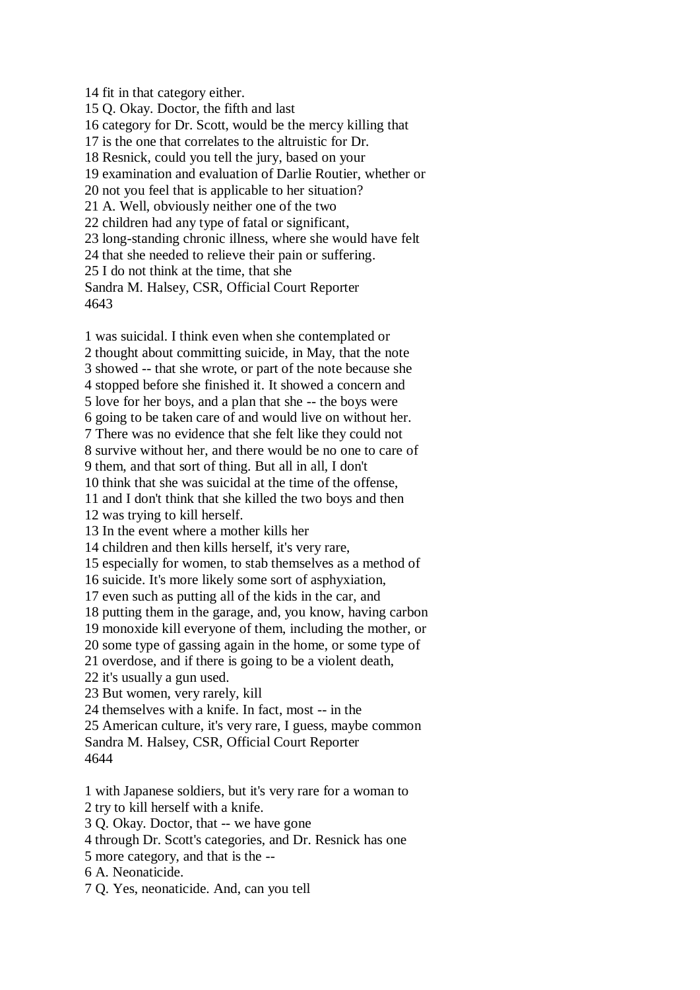14 fit in that category either. 15 Q. Okay. Doctor, the fifth and last 16 category for Dr. Scott, would be the mercy killing that 17 is the one that correlates to the altruistic for Dr. 18 Resnick, could you tell the jury, based on your 19 examination and evaluation of Darlie Routier, whether or 20 not you feel that is applicable to her situation? 21 A. Well, obviously neither one of the two 22 children had any type of fatal or significant, 23 long-standing chronic illness, where she would have felt 24 that she needed to relieve their pain or suffering. 25 I do not think at the time, that she Sandra M. Halsey, CSR, Official Court Reporter 4643

1 was suicidal. I think even when she contemplated or 2 thought about committing suicide, in May, that the note 3 showed -- that she wrote, or part of the note because she 4 stopped before she finished it. It showed a concern and 5 love for her boys, and a plan that she -- the boys were 6 going to be taken care of and would live on without her. 7 There was no evidence that she felt like they could not 8 survive without her, and there would be no one to care of 9 them, and that sort of thing. But all in all, I don't 10 think that she was suicidal at the time of the offense, 11 and I don't think that she killed the two boys and then 12 was trying to kill herself. 13 In the event where a mother kills her 14 children and then kills herself, it's very rare, 15 especially for women, to stab themselves as a method of 16 suicide. It's more likely some sort of asphyxiation, 17 even such as putting all of the kids in the car, and 18 putting them in the garage, and, you know, having carbon 19 monoxide kill everyone of them, including the mother, or 20 some type of gassing again in the home, or some type of 21 overdose, and if there is going to be a violent death, 22 it's usually a gun used. 23 But women, very rarely, kill 24 themselves with a knife. In fact, most -- in the 25 American culture, it's very rare, I guess, maybe common Sandra M. Halsey, CSR, Official Court Reporter 4644

1 with Japanese soldiers, but it's very rare for a woman to 2 try to kill herself with a knife.

3 Q. Okay. Doctor, that -- we have gone

4 through Dr. Scott's categories, and Dr. Resnick has one

5 more category, and that is the --

6 A. Neonaticide.

7 Q. Yes, neonaticide. And, can you tell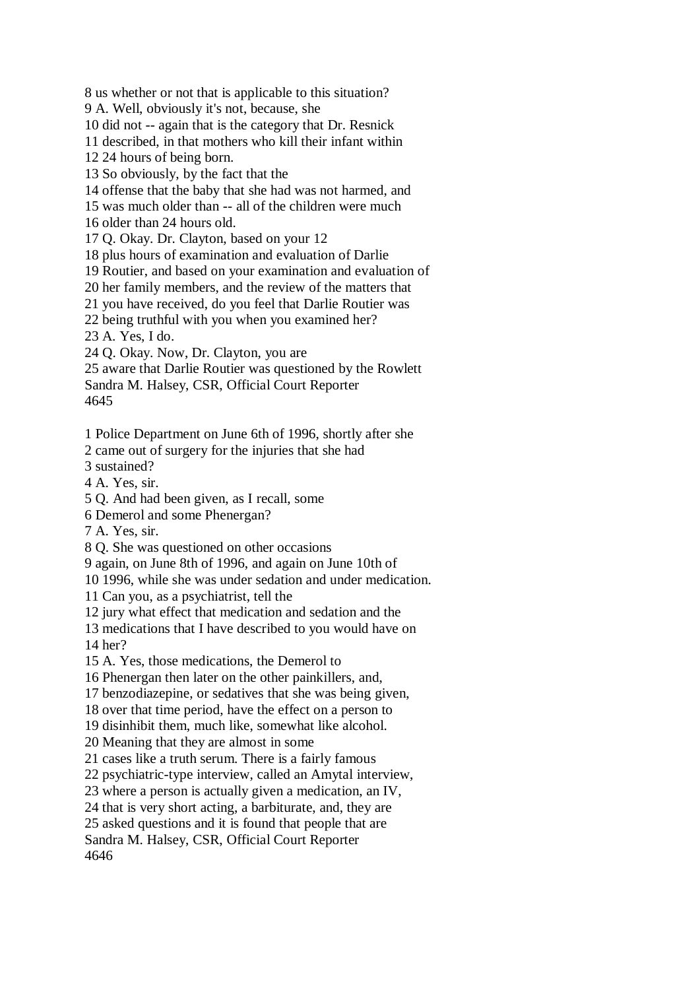8 us whether or not that is applicable to this situation?

9 A. Well, obviously it's not, because, she

10 did not -- again that is the category that Dr. Resnick

11 described, in that mothers who kill their infant within

12 24 hours of being born.

13 So obviously, by the fact that the

14 offense that the baby that she had was not harmed, and

15 was much older than -- all of the children were much

16 older than 24 hours old.

17 Q. Okay. Dr. Clayton, based on your 12

18 plus hours of examination and evaluation of Darlie

19 Routier, and based on your examination and evaluation of

20 her family members, and the review of the matters that

21 you have received, do you feel that Darlie Routier was

22 being truthful with you when you examined her?

23 A. Yes, I do.

24 Q. Okay. Now, Dr. Clayton, you are

25 aware that Darlie Routier was questioned by the Rowlett Sandra M. Halsey, CSR, Official Court Reporter 4645

1 Police Department on June 6th of 1996, shortly after she

2 came out of surgery for the injuries that she had

3 sustained?

4 A. Yes, sir.

5 Q. And had been given, as I recall, some

6 Demerol and some Phenergan?

7 A. Yes, sir.

8 Q. She was questioned on other occasions

9 again, on June 8th of 1996, and again on June 10th of

10 1996, while she was under sedation and under medication.

11 Can you, as a psychiatrist, tell the

12 jury what effect that medication and sedation and the

13 medications that I have described to you would have on 14 her?

15 A. Yes, those medications, the Demerol to

16 Phenergan then later on the other painkillers, and,

17 benzodiazepine, or sedatives that she was being given,

18 over that time period, have the effect on a person to

19 disinhibit them, much like, somewhat like alcohol.

20 Meaning that they are almost in some

21 cases like a truth serum. There is a fairly famous

22 psychiatric-type interview, called an Amytal interview,

23 where a person is actually given a medication, an IV,

24 that is very short acting, a barbiturate, and, they are

25 asked questions and it is found that people that are

Sandra M. Halsey, CSR, Official Court Reporter 4646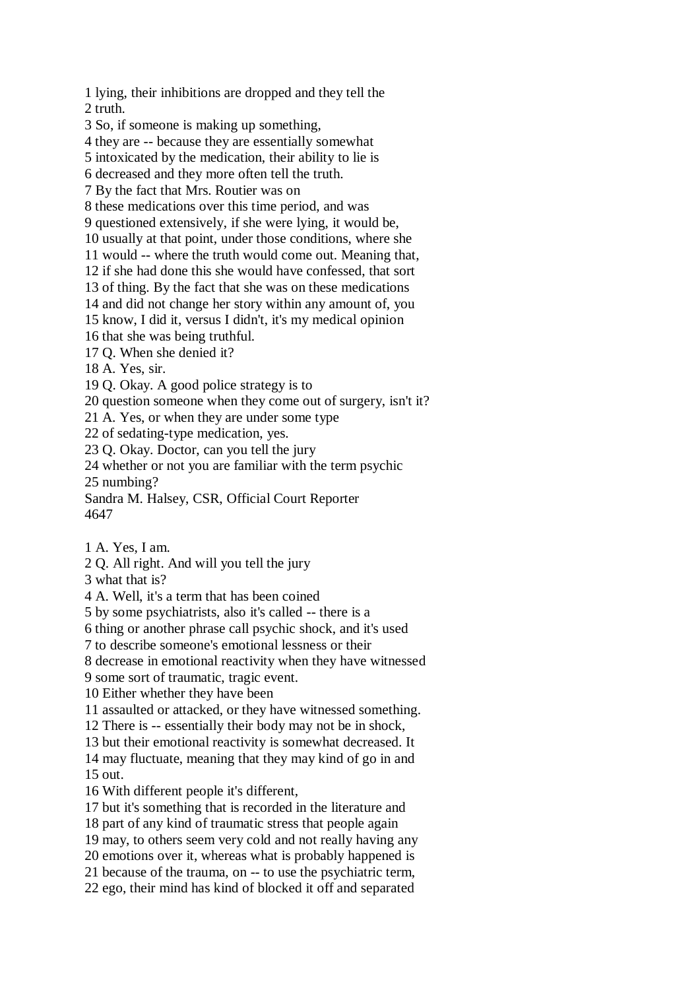1 lying, their inhibitions are dropped and they tell the 2 truth.

3 So, if someone is making up something,

4 they are -- because they are essentially somewhat

5 intoxicated by the medication, their ability to lie is

6 decreased and they more often tell the truth.

7 By the fact that Mrs. Routier was on

8 these medications over this time period, and was

9 questioned extensively, if she were lying, it would be,

10 usually at that point, under those conditions, where she

11 would -- where the truth would come out. Meaning that,

12 if she had done this she would have confessed, that sort

13 of thing. By the fact that she was on these medications

14 and did not change her story within any amount of, you

15 know, I did it, versus I didn't, it's my medical opinion

16 that she was being truthful.

17 Q. When she denied it?

18 A. Yes, sir.

19 Q. Okay. A good police strategy is to

20 question someone when they come out of surgery, isn't it?

21 A. Yes, or when they are under some type

22 of sedating-type medication, yes.

23 Q. Okay. Doctor, can you tell the jury

24 whether or not you are familiar with the term psychic

25 numbing?

Sandra M. Halsey, CSR, Official Court Reporter 4647

1 A. Yes, I am.

2 Q. All right. And will you tell the jury

3 what that is?

4 A. Well, it's a term that has been coined

5 by some psychiatrists, also it's called -- there is a

6 thing or another phrase call psychic shock, and it's used

7 to describe someone's emotional lessness or their

8 decrease in emotional reactivity when they have witnessed

9 some sort of traumatic, tragic event.

10 Either whether they have been

11 assaulted or attacked, or they have witnessed something.

12 There is -- essentially their body may not be in shock,

13 but their emotional reactivity is somewhat decreased. It

14 may fluctuate, meaning that they may kind of go in and 15 out.

16 With different people it's different,

17 but it's something that is recorded in the literature and

18 part of any kind of traumatic stress that people again

19 may, to others seem very cold and not really having any

20 emotions over it, whereas what is probably happened is

21 because of the trauma, on -- to use the psychiatric term, 22 ego, their mind has kind of blocked it off and separated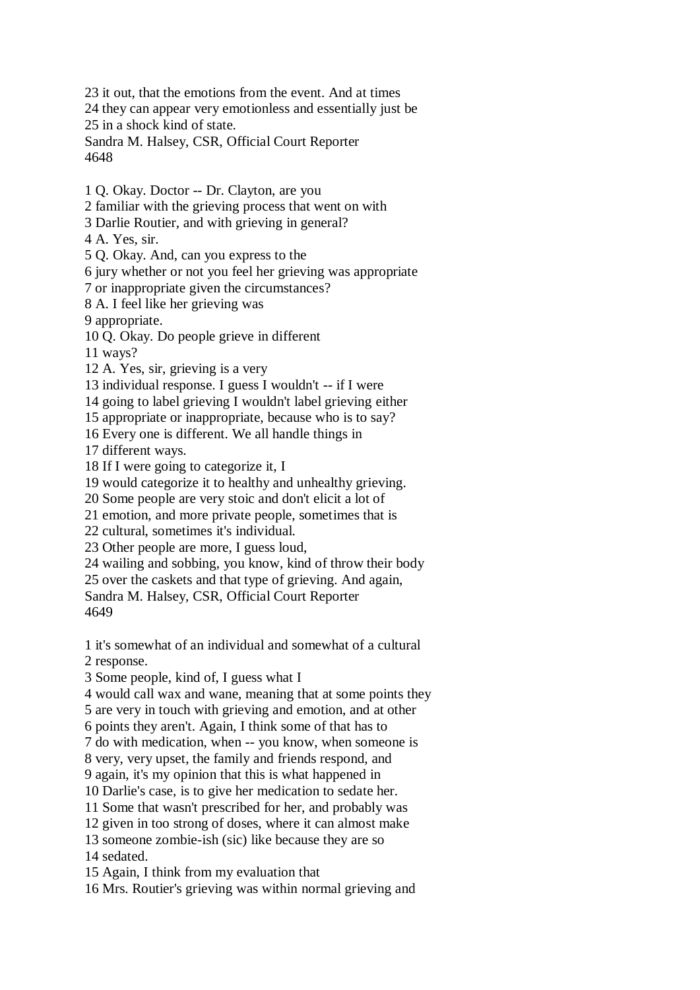23 it out, that the emotions from the event. And at times 24 they can appear very emotionless and essentially just be 25 in a shock kind of state. Sandra M. Halsey, CSR, Official Court Reporter 4648

1 Q. Okay. Doctor -- Dr. Clayton, are you

2 familiar with the grieving process that went on with

3 Darlie Routier, and with grieving in general?

4 A. Yes, sir.

5 Q. Okay. And, can you express to the

6 jury whether or not you feel her grieving was appropriate

7 or inappropriate given the circumstances?

8 A. I feel like her grieving was

9 appropriate.

10 Q. Okay. Do people grieve in different

11 ways?

12 A. Yes, sir, grieving is a very

13 individual response. I guess I wouldn't -- if I were

14 going to label grieving I wouldn't label grieving either

15 appropriate or inappropriate, because who is to say?

16 Every one is different. We all handle things in

17 different ways.

18 If I were going to categorize it, I

19 would categorize it to healthy and unhealthy grieving.

20 Some people are very stoic and don't elicit a lot of

21 emotion, and more private people, sometimes that is

22 cultural, sometimes it's individual.

23 Other people are more, I guess loud,

24 wailing and sobbing, you know, kind of throw their body

25 over the caskets and that type of grieving. And again,

Sandra M. Halsey, CSR, Official Court Reporter 4649

1 it's somewhat of an individual and somewhat of a cultural 2 response.

3 Some people, kind of, I guess what I

4 would call wax and wane, meaning that at some points they

5 are very in touch with grieving and emotion, and at other

6 points they aren't. Again, I think some of that has to

7 do with medication, when -- you know, when someone is

8 very, very upset, the family and friends respond, and

9 again, it's my opinion that this is what happened in

10 Darlie's case, is to give her medication to sedate her.

11 Some that wasn't prescribed for her, and probably was

12 given in too strong of doses, where it can almost make

13 someone zombie-ish (sic) like because they are so

14 sedated.

15 Again, I think from my evaluation that

16 Mrs. Routier's grieving was within normal grieving and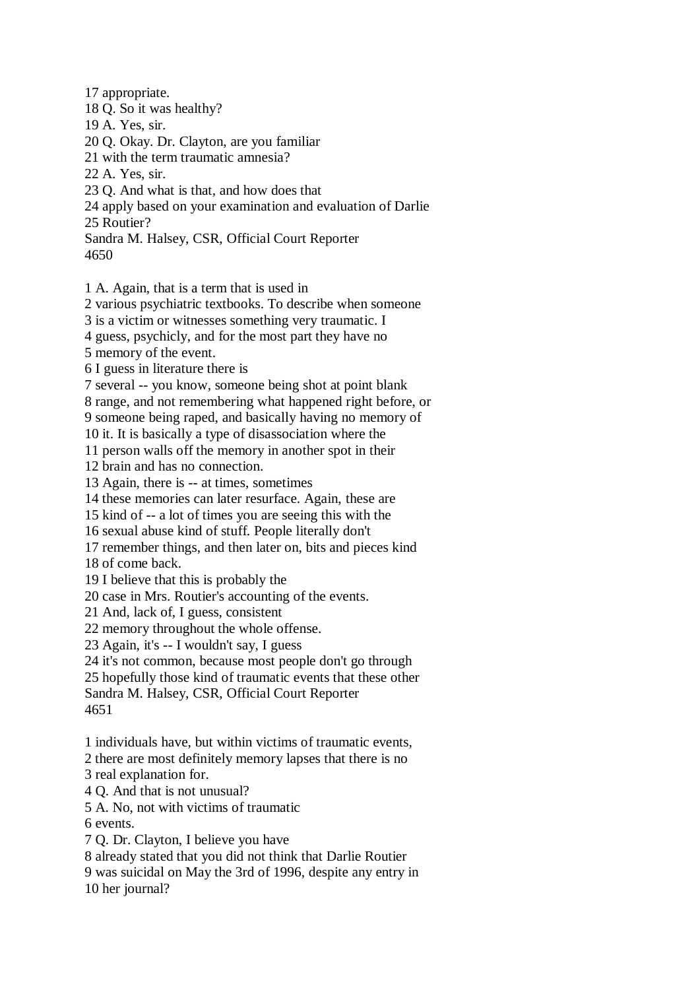17 appropriate. 18 Q. So it was healthy? 19 A. Yes, sir. 20 Q. Okay. Dr. Clayton, are you familiar 21 with the term traumatic amnesia? 22 A. Yes, sir. 23 Q. And what is that, and how does that 24 apply based on your examination and evaluation of Darlie 25 Routier? Sandra M. Halsey, CSR, Official Court Reporter 4650 1 A. Again, that is a term that is used in

2 various psychiatric textbooks. To describe when someone

3 is a victim or witnesses something very traumatic. I

4 guess, psychicly, and for the most part they have no

5 memory of the event.

6 I guess in literature there is

7 several -- you know, someone being shot at point blank

8 range, and not remembering what happened right before, or 9 someone being raped, and basically having no memory of

10 it. It is basically a type of disassociation where the

11 person walls off the memory in another spot in their

12 brain and has no connection.

13 Again, there is -- at times, sometimes

14 these memories can later resurface. Again, these are

15 kind of -- a lot of times you are seeing this with the

16 sexual abuse kind of stuff. People literally don't

17 remember things, and then later on, bits and pieces kind

18 of come back.

19 I believe that this is probably the

20 case in Mrs. Routier's accounting of the events.

21 And, lack of, I guess, consistent

22 memory throughout the whole offense.

23 Again, it's -- I wouldn't say, I guess

24 it's not common, because most people don't go through

25 hopefully those kind of traumatic events that these other

Sandra M. Halsey, CSR, Official Court Reporter

4651

1 individuals have, but within victims of traumatic events,

2 there are most definitely memory lapses that there is no

3 real explanation for.

4 Q. And that is not unusual?

5 A. No, not with victims of traumatic

6 events.

7 Q. Dr. Clayton, I believe you have

8 already stated that you did not think that Darlie Routier

9 was suicidal on May the 3rd of 1996, despite any entry in

10 her journal?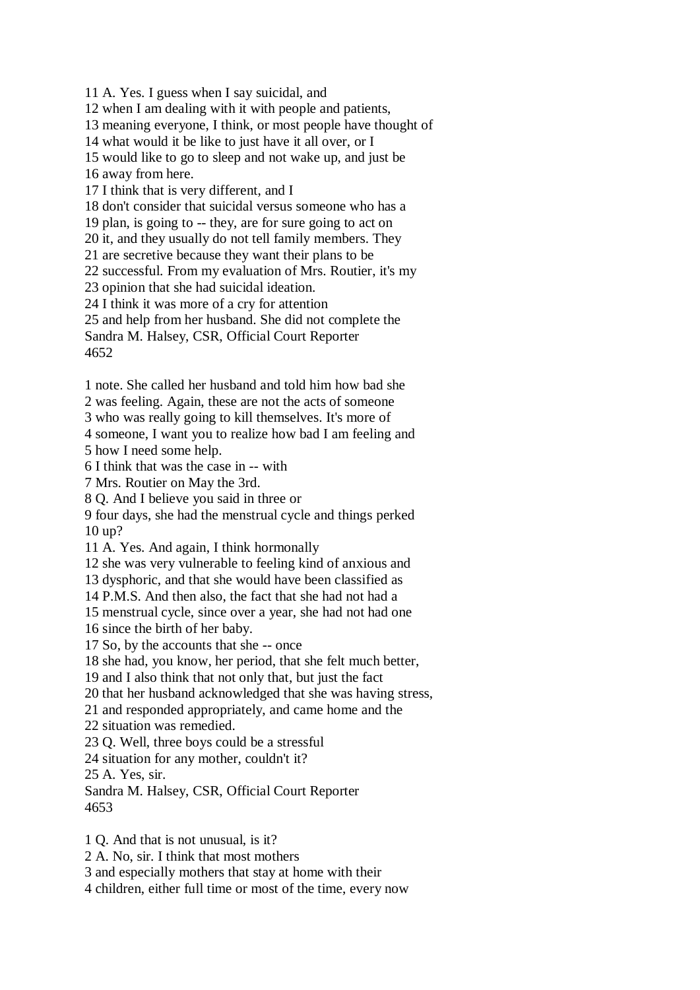11 A. Yes. I guess when I say suicidal, and 12 when I am dealing with it with people and patients, 13 meaning everyone, I think, or most people have thought of 14 what would it be like to just have it all over, or I 15 would like to go to sleep and not wake up, and just be 16 away from here. 17 I think that is very different, and I 18 don't consider that suicidal versus someone who has a 19 plan, is going to -- they, are for sure going to act on 20 it, and they usually do not tell family members. They 21 are secretive because they want their plans to be 22 successful. From my evaluation of Mrs. Routier, it's my 23 opinion that she had suicidal ideation. 24 I think it was more of a cry for attention 25 and help from her husband. She did not complete the Sandra M. Halsey, CSR, Official Court Reporter 4652

1 note. She called her husband and told him how bad she

2 was feeling. Again, these are not the acts of someone

3 who was really going to kill themselves. It's more of

4 someone, I want you to realize how bad I am feeling and 5 how I need some help.

6 I think that was the case in -- with

7 Mrs. Routier on May the 3rd.

8 Q. And I believe you said in three or

9 four days, she had the menstrual cycle and things perked 10 up?

11 A. Yes. And again, I think hormonally

12 she was very vulnerable to feeling kind of anxious and

13 dysphoric, and that she would have been classified as

14 P.M.S. And then also, the fact that she had not had a

15 menstrual cycle, since over a year, she had not had one

16 since the birth of her baby.

17 So, by the accounts that she -- once

18 she had, you know, her period, that she felt much better,

19 and I also think that not only that, but just the fact

20 that her husband acknowledged that she was having stress,

21 and responded appropriately, and came home and the

22 situation was remedied.

23 Q. Well, three boys could be a stressful

24 situation for any mother, couldn't it?

25 A. Yes, sir.

Sandra M. Halsey, CSR, Official Court Reporter 4653

1 Q. And that is not unusual, is it?

2 A. No, sir. I think that most mothers

3 and especially mothers that stay at home with their

4 children, either full time or most of the time, every now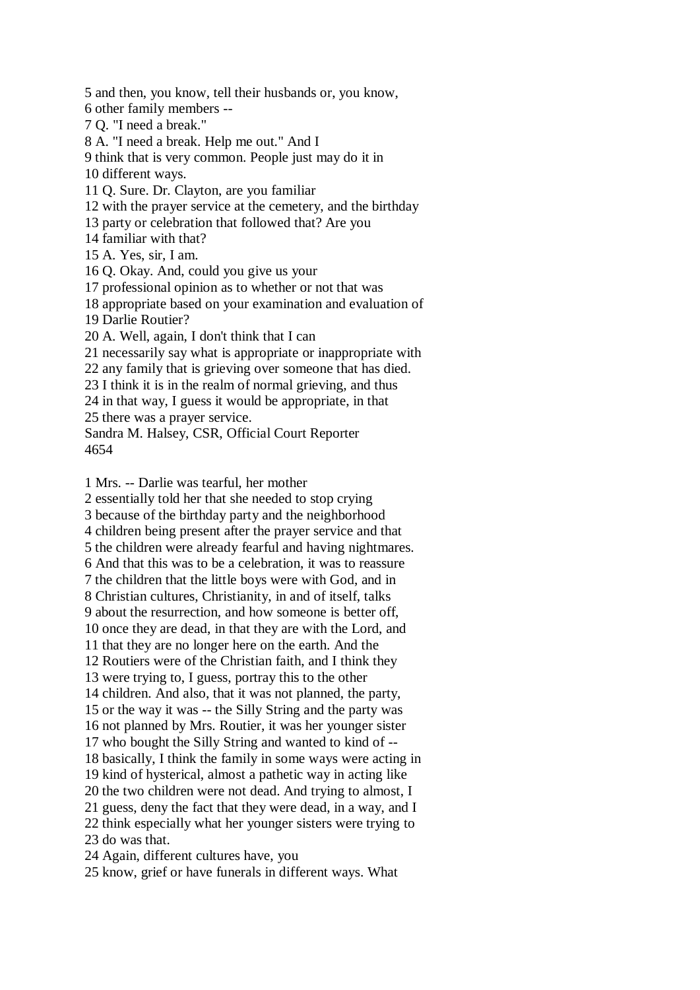5 and then, you know, tell their husbands or, you know, 6 other family members -- 7 Q. "I need a break." 8 A. "I need a break. Help me out." And I 9 think that is very common. People just may do it in 10 different ways. 11 Q. Sure. Dr. Clayton, are you familiar 12 with the prayer service at the cemetery, and the birthday 13 party or celebration that followed that? Are you 14 familiar with that? 15 A. Yes, sir, I am. 16 Q. Okay. And, could you give us your 17 professional opinion as to whether or not that was 18 appropriate based on your examination and evaluation of 19 Darlie Routier? 20 A. Well, again, I don't think that I can 21 necessarily say what is appropriate or inappropriate with 22 any family that is grieving over someone that has died. 23 I think it is in the realm of normal grieving, and thus 24 in that way, I guess it would be appropriate, in that 25 there was a prayer service. Sandra M. Halsey, CSR, Official Court Reporter 4654

1 Mrs. -- Darlie was tearful, her mother

2 essentially told her that she needed to stop crying 3 because of the birthday party and the neighborhood 4 children being present after the prayer service and that 5 the children were already fearful and having nightmares. 6 And that this was to be a celebration, it was to reassure 7 the children that the little boys were with God, and in 8 Christian cultures, Christianity, in and of itself, talks 9 about the resurrection, and how someone is better off, 10 once they are dead, in that they are with the Lord, and 11 that they are no longer here on the earth. And the 12 Routiers were of the Christian faith, and I think they 13 were trying to, I guess, portray this to the other 14 children. And also, that it was not planned, the party, 15 or the way it was -- the Silly String and the party was 16 not planned by Mrs. Routier, it was her younger sister 17 who bought the Silly String and wanted to kind of -- 18 basically, I think the family in some ways were acting in 19 kind of hysterical, almost a pathetic way in acting like 20 the two children were not dead. And trying to almost, I 21 guess, deny the fact that they were dead, in a way, and I 22 think especially what her younger sisters were trying to 23 do was that. 24 Again, different cultures have, you

25 know, grief or have funerals in different ways. What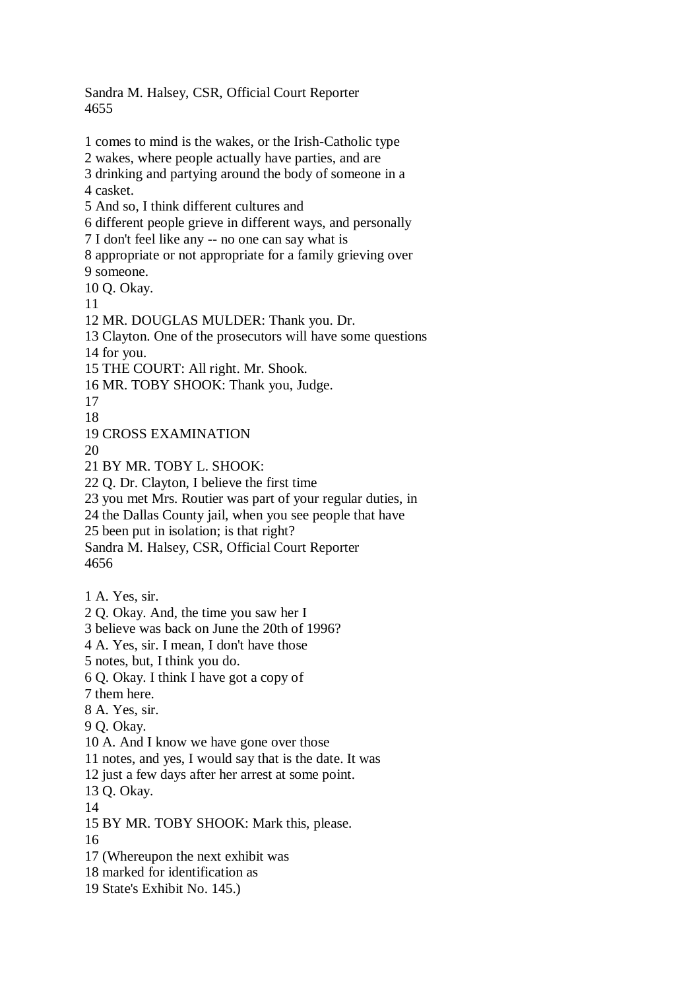Sandra M. Halsey, CSR, Official Court Reporter 4655

1 comes to mind is the wakes, or the Irish-Catholic type 2 wakes, where people actually have parties, and are 3 drinking and partying around the body of someone in a 4 casket. 5 And so, I think different cultures and 6 different people grieve in different ways, and personally 7 I don't feel like any -- no one can say what is 8 appropriate or not appropriate for a family grieving over 9 someone. 10 Q. Okay. 11 12 MR. DOUGLAS MULDER: Thank you. Dr. 13 Clayton. One of the prosecutors will have some questions 14 for you. 15 THE COURT: All right. Mr. Shook. 16 MR. TOBY SHOOK: Thank you, Judge. 17 18 19 CROSS EXAMINATION  $20$ 21 BY MR. TOBY L. SHOOK: 22 Q. Dr. Clayton, I believe the first time 23 you met Mrs. Routier was part of your regular duties, in 24 the Dallas County jail, when you see people that have 25 been put in isolation; is that right? Sandra M. Halsey, CSR, Official Court Reporter 4656 1 A. Yes, sir. 2 Q. Okay. And, the time you saw her I 3 believe was back on June the 20th of 1996? 4 A. Yes, sir. I mean, I don't have those 5 notes, but, I think you do. 6 Q. Okay. I think I have got a copy of 7 them here. 8 A. Yes, sir. 9 Q. Okay. 10 A. And I know we have gone over those 11 notes, and yes, I would say that is the date. It was 12 just a few days after her arrest at some point. 13 Q. Okay. 14 15 BY MR. TOBY SHOOK: Mark this, please. 16 17 (Whereupon the next exhibit was 18 marked for identification as 19 State's Exhibit No. 145.)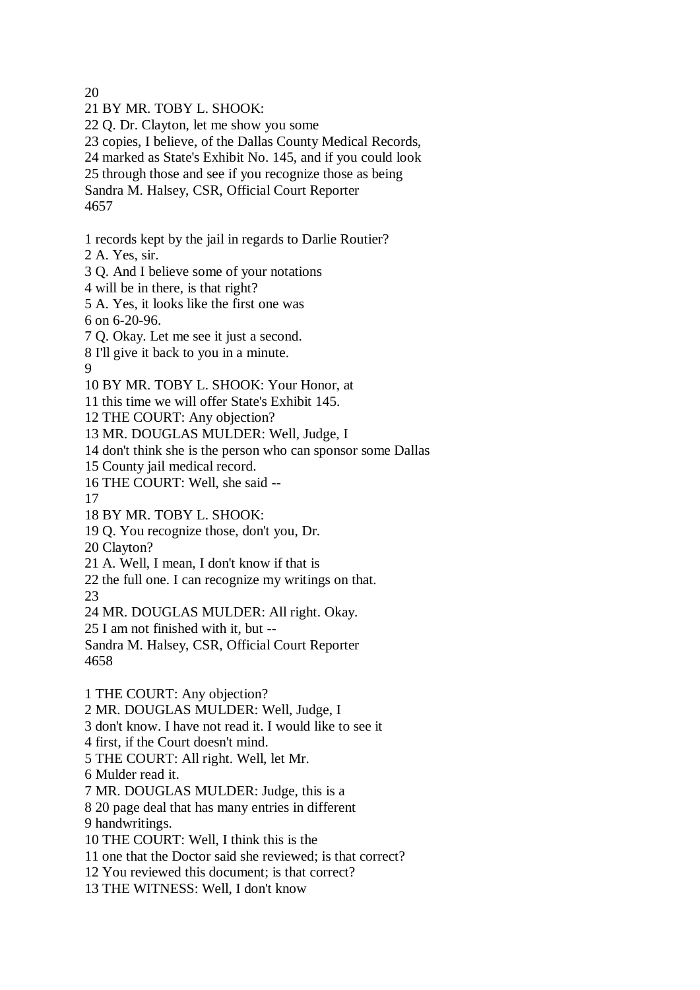20

21 BY MR. TOBY L. SHOOK: 22 Q. Dr. Clayton, let me show you some 23 copies, I believe, of the Dallas County Medical Records, 24 marked as State's Exhibit No. 145, and if you could look 25 through those and see if you recognize those as being Sandra M. Halsey, CSR, Official Court Reporter 4657

1 records kept by the jail in regards to Darlie Routier?

2 A. Yes, sir.

3 Q. And I believe some of your notations

4 will be in there, is that right?

5 A. Yes, it looks like the first one was

6 on 6-20-96.

7 Q. Okay. Let me see it just a second.

8 I'll give it back to you in a minute.

9

10 BY MR. TOBY L. SHOOK: Your Honor, at

11 this time we will offer State's Exhibit 145.

12 THE COURT: Any objection?

13 MR. DOUGLAS MULDER: Well, Judge, I

14 don't think she is the person who can sponsor some Dallas

15 County jail medical record.

16 THE COURT: Well, she said --

17

18 BY MR. TOBY L. SHOOK:

19 Q. You recognize those, don't you, Dr.

20 Clayton?

21 A. Well, I mean, I don't know if that is

22 the full one. I can recognize my writings on that.

23

24 MR. DOUGLAS MULDER: All right. Okay.

25 I am not finished with it, but --

Sandra M. Halsey, CSR, Official Court Reporter 4658

1 THE COURT: Any objection?

2 MR. DOUGLAS MULDER: Well, Judge, I

3 don't know. I have not read it. I would like to see it

4 first, if the Court doesn't mind.

5 THE COURT: All right. Well, let Mr.

6 Mulder read it.

7 MR. DOUGLAS MULDER: Judge, this is a

8 20 page deal that has many entries in different 9 handwritings.

10 THE COURT: Well, I think this is the

11 one that the Doctor said she reviewed; is that correct?

12 You reviewed this document; is that correct?

13 THE WITNESS: Well, I don't know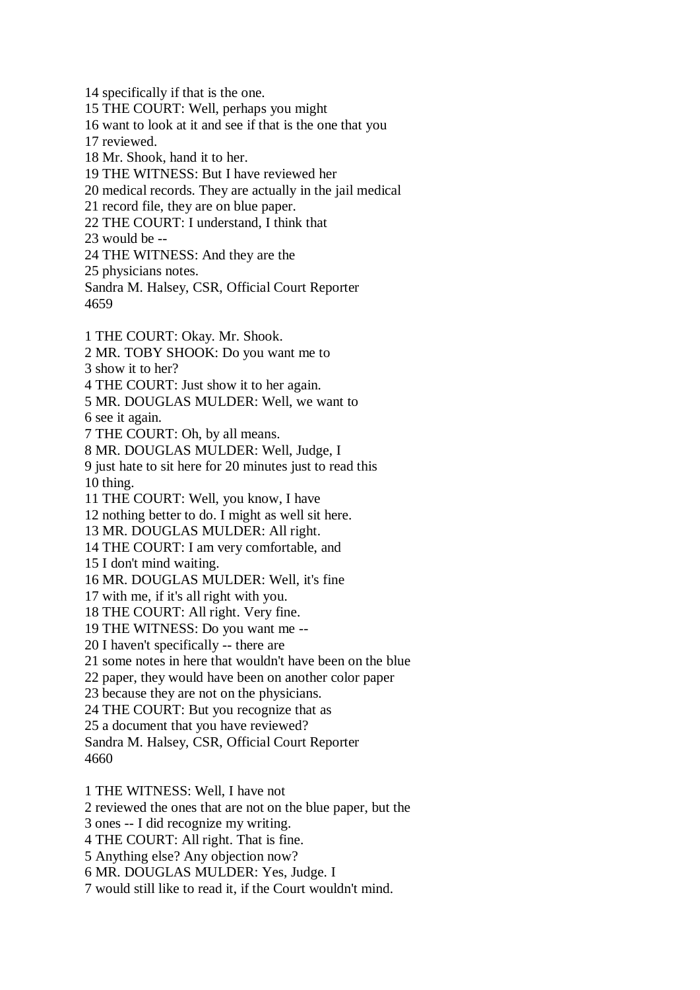14 specifically if that is the one. 15 THE COURT: Well, perhaps you might 16 want to look at it and see if that is the one that you 17 reviewed. 18 Mr. Shook, hand it to her. 19 THE WITNESS: But I have reviewed her 20 medical records. They are actually in the jail medical 21 record file, they are on blue paper. 22 THE COURT: I understand, I think that 23 would be -- 24 THE WITNESS: And they are the 25 physicians notes. Sandra M. Halsey, CSR, Official Court Reporter 4659 1 THE COURT: Okay. Mr. Shook. 2 MR. TOBY SHOOK: Do you want me to 3 show it to her? 4 THE COURT: Just show it to her again. 5 MR. DOUGLAS MULDER: Well, we want to 6 see it again. 7 THE COURT: Oh, by all means. 8 MR. DOUGLAS MULDER: Well, Judge, I 9 just hate to sit here for 20 minutes just to read this 10 thing. 11 THE COURT: Well, you know, I have 12 nothing better to do. I might as well sit here. 13 MR. DOUGLAS MULDER: All right. 14 THE COURT: I am very comfortable, and 15 I don't mind waiting. 16 MR. DOUGLAS MULDER: Well, it's fine 17 with me, if it's all right with you. 18 THE COURT: All right. Very fine. 19 THE WITNESS: Do you want me -- 20 I haven't specifically -- there are 21 some notes in here that wouldn't have been on the blue 22 paper, they would have been on another color paper 23 because they are not on the physicians. 24 THE COURT: But you recognize that as 25 a document that you have reviewed? Sandra M. Halsey, CSR, Official Court Reporter 4660 1 THE WITNESS: Well, I have not 2 reviewed the ones that are not on the blue paper, but the

3 ones -- I did recognize my writing.

4 THE COURT: All right. That is fine.

5 Anything else? Any objection now?

6 MR. DOUGLAS MULDER: Yes, Judge. I

7 would still like to read it, if the Court wouldn't mind.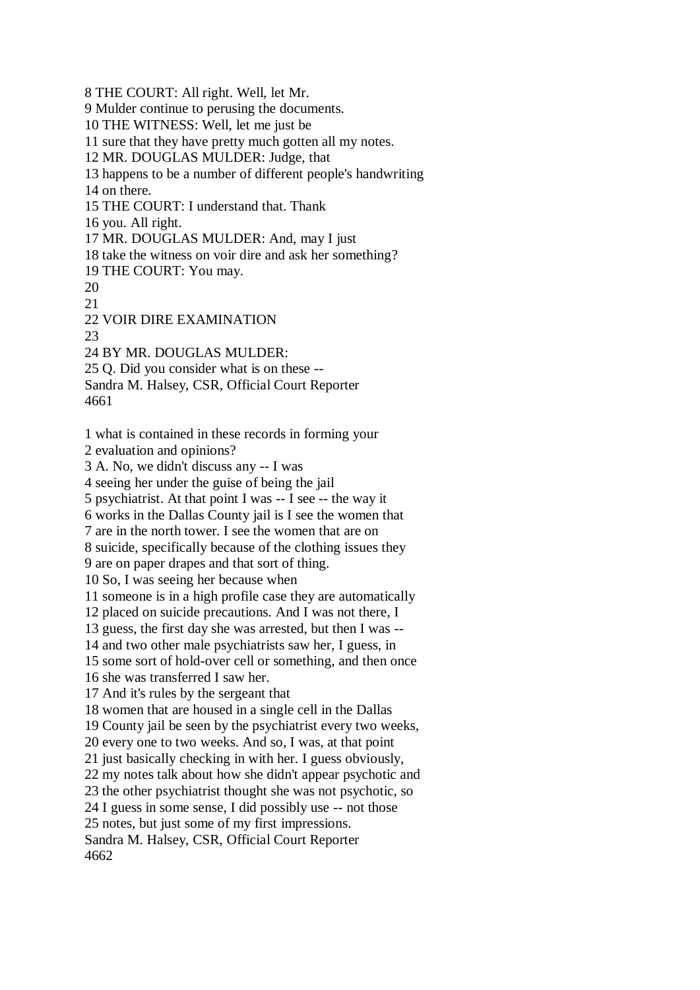8 THE COURT: All right. Well, let Mr. 9 Mulder continue to perusing the documents. 10 THE WITNESS: Well, let me just be 11 sure that they have pretty much gotten all my notes. 12 MR. DOUGLAS MULDER: Judge, that 13 happens to be a number of different people's handwriting 14 on there.

15 THE COURT: I understand that. Thank

16 you. All right.

17 MR. DOUGLAS MULDER: And, may I just

18 take the witness on voir dire and ask her something?

19 THE COURT: You may.

20

21

22 VOIR DIRE EXAMINATION

23

24 BY MR. DOUGLAS MULDER:

25 Q. Did you consider what is on these --

Sandra M. Halsey, CSR, Official Court Reporter

4661

1 what is contained in these records in forming your 2 evaluation and opinions? 3 A. No, we didn't discuss any -- I was 4 seeing her under the guise of being the jail 5 psychiatrist. At that point I was -- I see -- the way it 6 works in the Dallas County jail is I see the women that 7 are in the north tower. I see the women that are on 8 suicide, specifically because of the clothing issues they 9 are on paper drapes and that sort of thing. 10 So, I was seeing her because when 11 someone is in a high profile case they are automatically 12 placed on suicide precautions. And I was not there, I 13 guess, the first day she was arrested, but then I was -- 14 and two other male psychiatrists saw her, I guess, in 15 some sort of hold-over cell or something, and then once 16 she was transferred I saw her. 17 And it's rules by the sergeant that 18 women that are housed in a single cell in the Dallas 19 County jail be seen by the psychiatrist every two weeks, 20 every one to two weeks. And so, I was, at that point 21 just basically checking in with her. I guess obviously, 22 my notes talk about how she didn't appear psychotic and 23 the other psychiatrist thought she was not psychotic, so 24 I guess in some sense, I did possibly use -- not those 25 notes, but just some of my first impressions. Sandra M. Halsey, CSR, Official Court Reporter 4662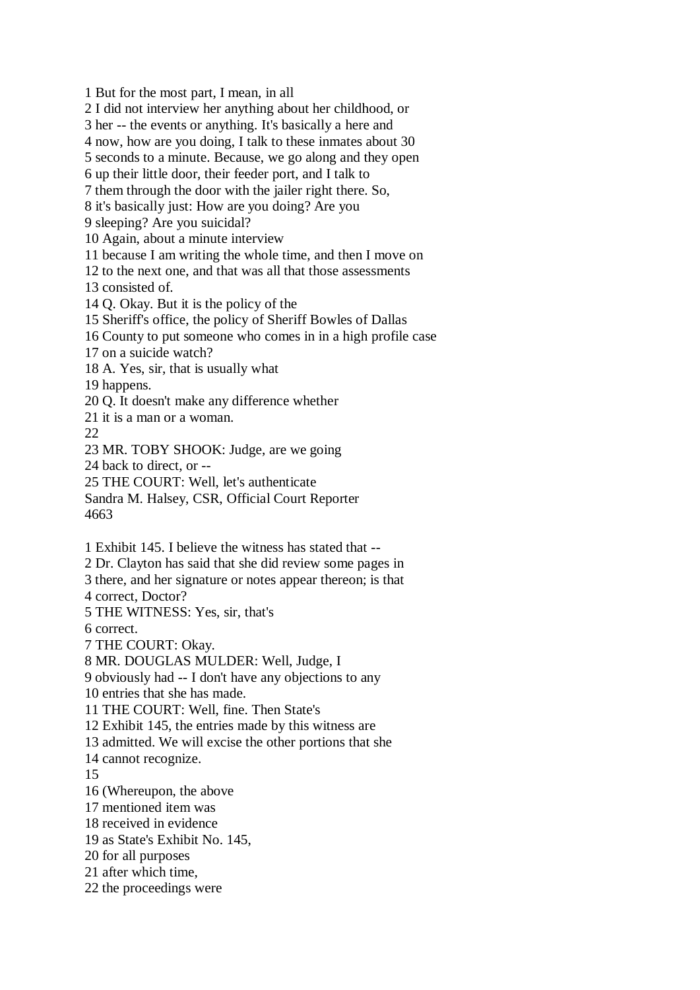1 But for the most part, I mean, in all 2 I did not interview her anything about her childhood, or 3 her -- the events or anything. It's basically a here and

4 now, how are you doing, I talk to these inmates about 30

5 seconds to a minute. Because, we go along and they open

6 up their little door, their feeder port, and I talk to

7 them through the door with the jailer right there. So,

8 it's basically just: How are you doing? Are you

9 sleeping? Are you suicidal?

10 Again, about a minute interview

11 because I am writing the whole time, and then I move on

12 to the next one, and that was all that those assessments

13 consisted of.

14 Q. Okay. But it is the policy of the

15 Sheriff's office, the policy of Sheriff Bowles of Dallas

16 County to put someone who comes in in a high profile case

17 on a suicide watch?

18 A. Yes, sir, that is usually what

19 happens.

20 Q. It doesn't make any difference whether

21 it is a man or a woman.

 $22$ 

23 MR. TOBY SHOOK: Judge, are we going

24 back to direct, or --

25 THE COURT: Well, let's authenticate

Sandra M. Halsey, CSR, Official Court Reporter 4663

1 Exhibit 145. I believe the witness has stated that --

2 Dr. Clayton has said that she did review some pages in

3 there, and her signature or notes appear thereon; is that

4 correct, Doctor?

5 THE WITNESS: Yes, sir, that's

6 correct.

7 THE COURT: Okay.

8 MR. DOUGLAS MULDER: Well, Judge, I

9 obviously had -- I don't have any objections to any

10 entries that she has made.

11 THE COURT: Well, fine. Then State's

12 Exhibit 145, the entries made by this witness are

13 admitted. We will excise the other portions that she

14 cannot recognize.

15

16 (Whereupon, the above

17 mentioned item was

18 received in evidence

19 as State's Exhibit No. 145,

20 for all purposes

21 after which time,

22 the proceedings were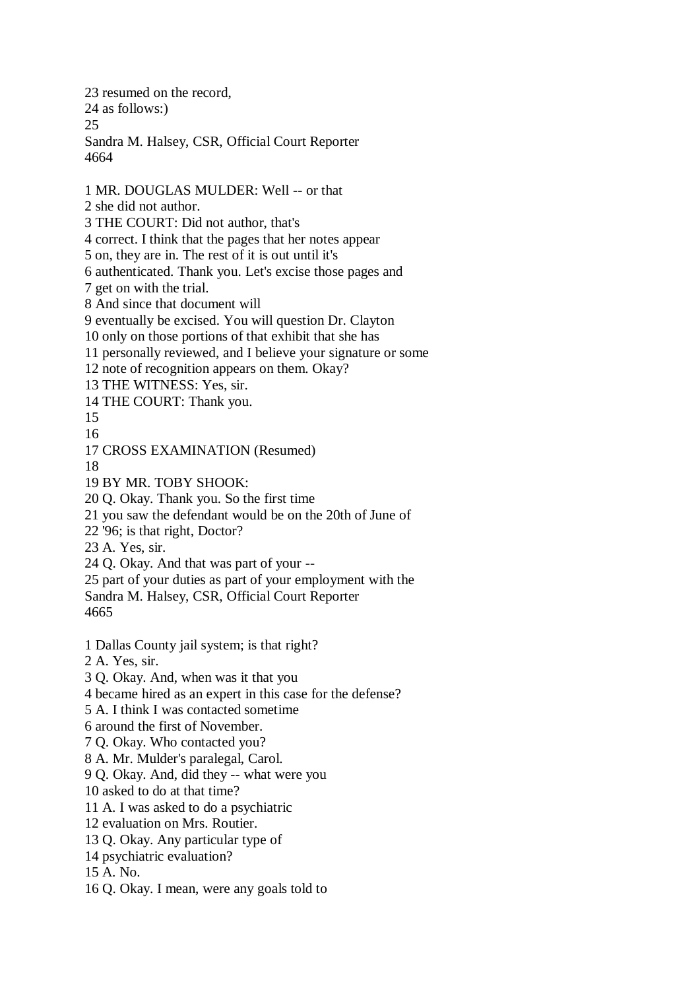23 resumed on the record, 24 as follows:) 25 Sandra M. Halsey, CSR, Official Court Reporter 4664 1 MR. DOUGLAS MULDER: Well -- or that 2 she did not author. 3 THE COURT: Did not author, that's 4 correct. I think that the pages that her notes appear 5 on, they are in. The rest of it is out until it's 6 authenticated. Thank you. Let's excise those pages and 7 get on with the trial. 8 And since that document will 9 eventually be excised. You will question Dr. Clayton 10 only on those portions of that exhibit that she has 11 personally reviewed, and I believe your signature or some 12 note of recognition appears on them. Okay? 13 THE WITNESS: Yes, sir. 14 THE COURT: Thank you. 15 16 17 CROSS EXAMINATION (Resumed) 18 19 BY MR. TOBY SHOOK: 20 Q. Okay. Thank you. So the first time 21 you saw the defendant would be on the 20th of June of 22 '96; is that right, Doctor? 23 A. Yes, sir. 24 Q. Okay. And that was part of your -- 25 part of your duties as part of your employment with the Sandra M. Halsey, CSR, Official Court Reporter 4665 1 Dallas County jail system; is that right? 2 A. Yes, sir. 3 Q. Okay. And, when was it that you 4 became hired as an expert in this case for the defense? 5 A. I think I was contacted sometime 6 around the first of November. 7 Q. Okay. Who contacted you? 8 A. Mr. Mulder's paralegal, Carol. 9 Q. Okay. And, did they -- what were you 10 asked to do at that time? 11 A. I was asked to do a psychiatric 12 evaluation on Mrs. Routier. 13 Q. Okay. Any particular type of 14 psychiatric evaluation? 15 A. No. 16 Q. Okay. I mean, were any goals told to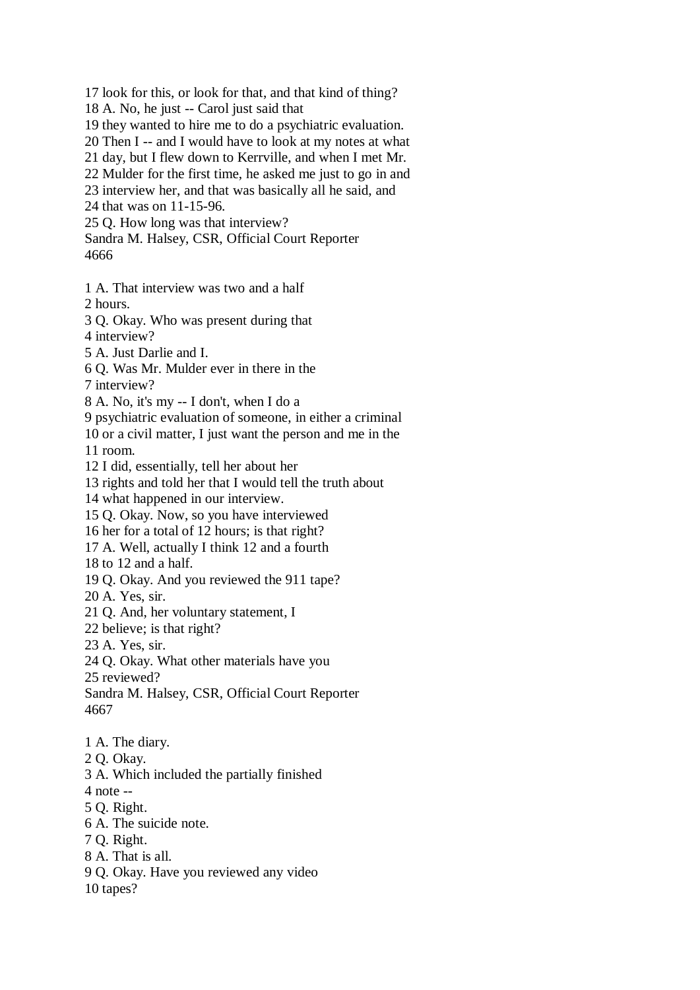17 look for this, or look for that, and that kind of thing?

18 A. No, he just -- Carol just said that

19 they wanted to hire me to do a psychiatric evaluation.

20 Then I -- and I would have to look at my notes at what

21 day, but I flew down to Kerrville, and when I met Mr.

22 Mulder for the first time, he asked me just to go in and

23 interview her, and that was basically all he said, and

24 that was on 11-15-96.

25 Q. How long was that interview?

Sandra M. Halsey, CSR, Official Court Reporter 4666

1 A. That interview was two and a half

2 hours.

3 Q. Okay. Who was present during that

4 interview?

5 A. Just Darlie and I.

6 Q. Was Mr. Mulder ever in there in the

7 interview?

8 A. No, it's my -- I don't, when I do a

9 psychiatric evaluation of someone, in either a criminal

10 or a civil matter, I just want the person and me in the

11 room.

12 I did, essentially, tell her about her

13 rights and told her that I would tell the truth about

14 what happened in our interview.

15 Q. Okay. Now, so you have interviewed

16 her for a total of 12 hours; is that right?

17 A. Well, actually I think 12 and a fourth

18 to 12 and a half.

19 Q. Okay. And you reviewed the 911 tape?

20 A. Yes, sir.

21 Q. And, her voluntary statement, I

22 believe; is that right?

23 A. Yes, sir.

24 Q. Okay. What other materials have you

25 reviewed?

Sandra M. Halsey, CSR, Official Court Reporter 4667

1 A. The diary.

2 Q. Okay.

3 A. Which included the partially finished

4 note --

5 Q. Right.

6 A. The suicide note.

7 Q. Right.

8 A. That is all.

9 Q. Okay. Have you reviewed any video

10 tapes?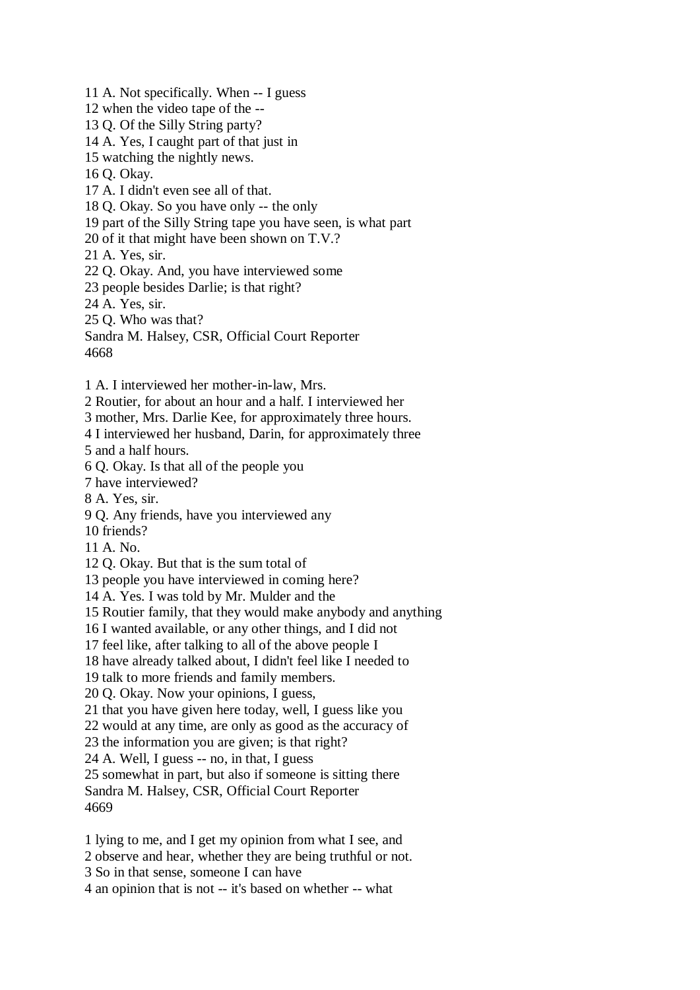11 A. Not specifically. When -- I guess 12 when the video tape of the -- 13 Q. Of the Silly String party? 14 A. Yes, I caught part of that just in 15 watching the nightly news. 16 Q. Okay. 17 A. I didn't even see all of that. 18 Q. Okay. So you have only -- the only 19 part of the Silly String tape you have seen, is what part 20 of it that might have been shown on T.V.? 21 A. Yes, sir. 22 Q. Okay. And, you have interviewed some 23 people besides Darlie; is that right? 24 A. Yes, sir. 25 Q. Who was that? Sandra M. Halsey, CSR, Official Court Reporter 4668 1 A. I interviewed her mother-in-law, Mrs. 2 Routier, for about an hour and a half. I interviewed her 3 mother, Mrs. Darlie Kee, for approximately three hours. 4 I interviewed her husband, Darin, for approximately three 5 and a half hours. 6 Q. Okay. Is that all of the people you 7 have interviewed? 8 A. Yes, sir. 9 Q. Any friends, have you interviewed any 10 friends? 11 A. No. 12 Q. Okay. But that is the sum total of 13 people you have interviewed in coming here? 14 A. Yes. I was told by Mr. Mulder and the 15 Routier family, that they would make anybody and anything 16 I wanted available, or any other things, and I did not 17 feel like, after talking to all of the above people I 18 have already talked about, I didn't feel like I needed to 19 talk to more friends and family members. 20 Q. Okay. Now your opinions, I guess, 21 that you have given here today, well, I guess like you 22 would at any time, are only as good as the accuracy of 23 the information you are given; is that right? 24 A. Well, I guess -- no, in that, I guess 25 somewhat in part, but also if someone is sitting there Sandra M. Halsey, CSR, Official Court Reporter 4669 1 lying to me, and I get my opinion from what I see, and 2 observe and hear, whether they are being truthful or not.

3 So in that sense, someone I can have

4 an opinion that is not -- it's based on whether -- what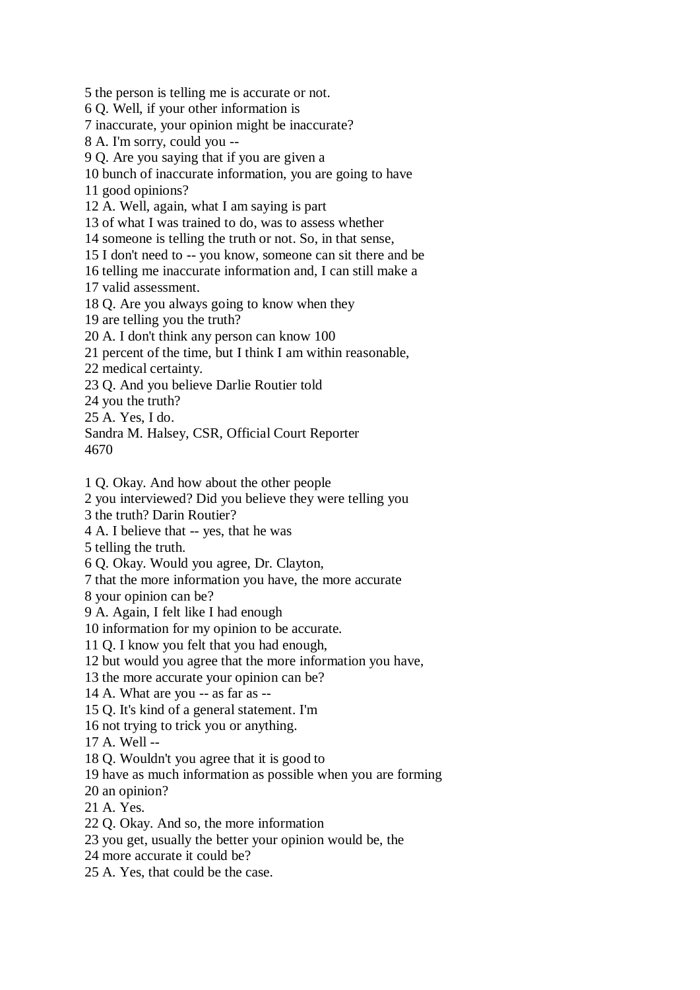5 the person is telling me is accurate or not.

6 Q. Well, if your other information is

7 inaccurate, your opinion might be inaccurate?

8 A. I'm sorry, could you --

9 Q. Are you saying that if you are given a

10 bunch of inaccurate information, you are going to have

11 good opinions?

12 A. Well, again, what I am saying is part

13 of what I was trained to do, was to assess whether

14 someone is telling the truth or not. So, in that sense,

15 I don't need to -- you know, someone can sit there and be

16 telling me inaccurate information and, I can still make a

17 valid assessment.

18 Q. Are you always going to know when they

19 are telling you the truth?

20 A. I don't think any person can know 100

21 percent of the time, but I think I am within reasonable,

22 medical certainty.

23 Q. And you believe Darlie Routier told

24 you the truth?

25 A. Yes, I do.

Sandra M. Halsey, CSR, Official Court Reporter 4670

1 Q. Okay. And how about the other people

2 you interviewed? Did you believe they were telling you

3 the truth? Darin Routier?

4 A. I believe that -- yes, that he was

5 telling the truth.

6 Q. Okay. Would you agree, Dr. Clayton,

7 that the more information you have, the more accurate

8 your opinion can be?

9 A. Again, I felt like I had enough

10 information for my opinion to be accurate.

11 Q. I know you felt that you had enough,

12 but would you agree that the more information you have,

13 the more accurate your opinion can be?

14 A. What are you -- as far as --

15 Q. It's kind of a general statement. I'm

16 not trying to trick you or anything.

17 A. Well --

18 Q. Wouldn't you agree that it is good to

19 have as much information as possible when you are forming

20 an opinion?

21 A. Yes.

22 Q. Okay. And so, the more information

23 you get, usually the better your opinion would be, the

24 more accurate it could be?

25 A. Yes, that could be the case.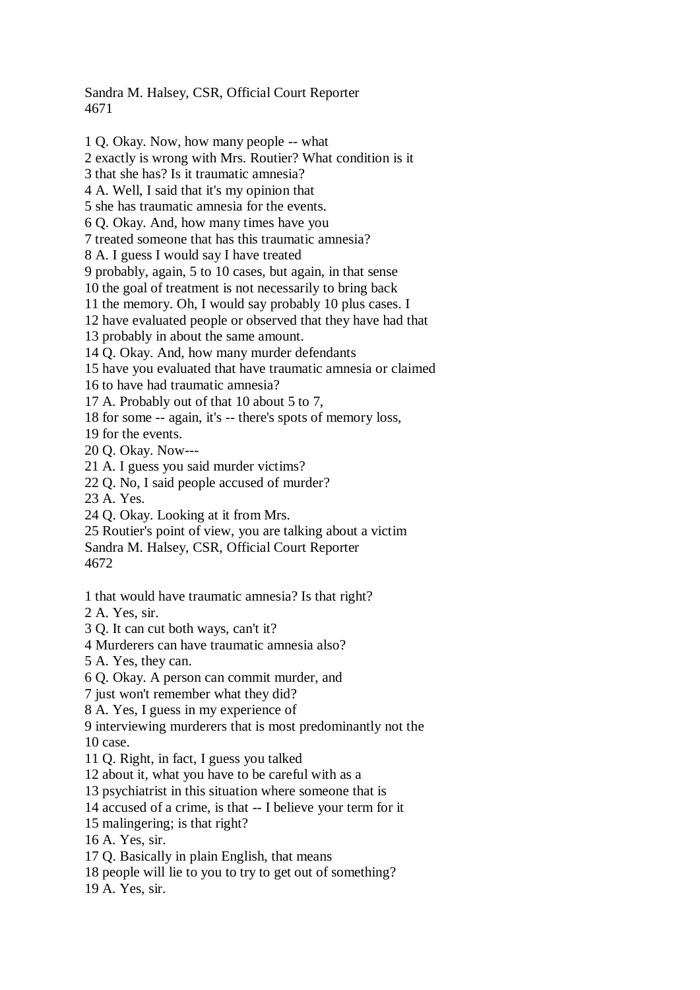Sandra M. Halsey, CSR, Official Court Reporter 4671

1 Q. Okay. Now, how many people -- what 2 exactly is wrong with Mrs. Routier? What condition is it 3 that she has? Is it traumatic amnesia? 4 A. Well, I said that it's my opinion that 5 she has traumatic amnesia for the events. 6 Q. Okay. And, how many times have you 7 treated someone that has this traumatic amnesia? 8 A. I guess I would say I have treated 9 probably, again, 5 to 10 cases, but again, in that sense 10 the goal of treatment is not necessarily to bring back 11 the memory. Oh, I would say probably 10 plus cases. I 12 have evaluated people or observed that they have had that 13 probably in about the same amount. 14 Q. Okay. And, how many murder defendants 15 have you evaluated that have traumatic amnesia or claimed 16 to have had traumatic amnesia? 17 A. Probably out of that 10 about 5 to 7, 18 for some -- again, it's -- there's spots of memory loss, 19 for the events. 20 Q. Okay. Now--- 21 A. I guess you said murder victims? 22 Q. No, I said people accused of murder? 23 A. Yes. 24 Q. Okay. Looking at it from Mrs. 25 Routier's point of view, you are talking about a victim Sandra M. Halsey, CSR, Official Court Reporter 4672 1 that would have traumatic amnesia? Is that right? 2 A. Yes, sir. 3 Q. It can cut both ways, can't it? 4 Murderers can have traumatic amnesia also? 5 A. Yes, they can. 6 Q. Okay. A person can commit murder, and 7 just won't remember what they did? 8 A. Yes, I guess in my experience of 9 interviewing murderers that is most predominantly not the 10 case. 11 Q. Right, in fact, I guess you talked 12 about it, what you have to be careful with as a 13 psychiatrist in this situation where someone that is 14 accused of a crime, is that -- I believe your term for it 15 malingering; is that right? 16 A. Yes, sir. 17 Q. Basically in plain English, that means 18 people will lie to you to try to get out of something? 19 A. Yes, sir.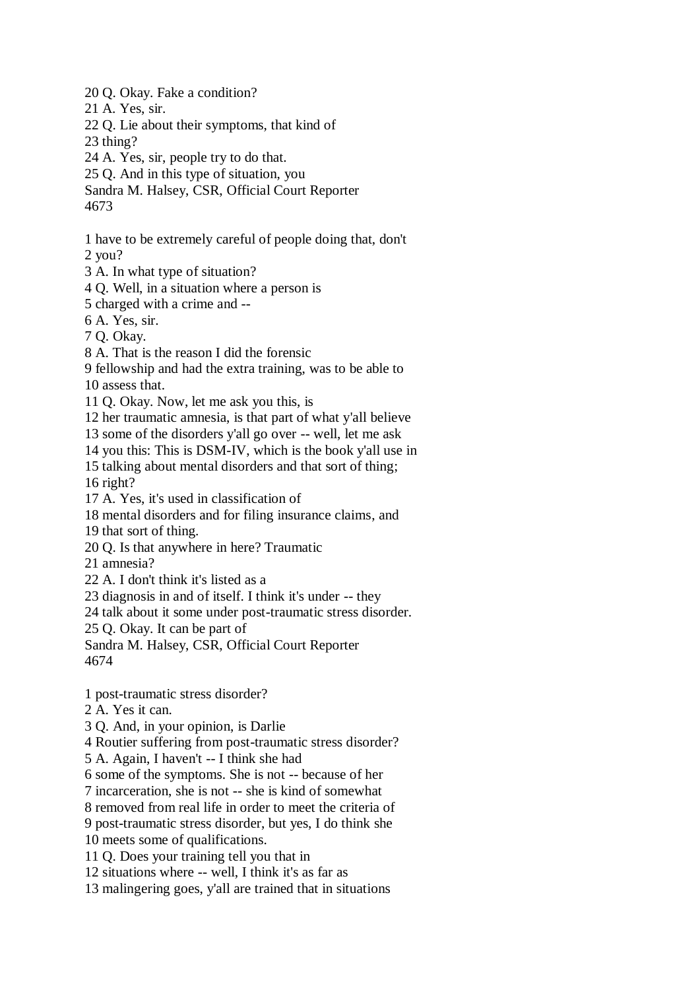20 Q. Okay. Fake a condition?

21 A. Yes, sir.

22 Q. Lie about their symptoms, that kind of

23 thing?

24 A. Yes, sir, people try to do that.

25 Q. And in this type of situation, you

Sandra M. Halsey, CSR, Official Court Reporter

4673

1 have to be extremely careful of people doing that, don't

2 you?

3 A. In what type of situation?

4 Q. Well, in a situation where a person is

5 charged with a crime and --

6 A. Yes, sir.

7 Q. Okay.

8 A. That is the reason I did the forensic

9 fellowship and had the extra training, was to be able to 10 assess that.

11 Q. Okay. Now, let me ask you this, is

12 her traumatic amnesia, is that part of what y'all believe

13 some of the disorders y'all go over -- well, let me ask

14 you this: This is DSM-IV, which is the book y'all use in

15 talking about mental disorders and that sort of thing;

16 right?

17 A. Yes, it's used in classification of

18 mental disorders and for filing insurance claims, and

19 that sort of thing.

20 Q. Is that anywhere in here? Traumatic

21 amnesia?

22 A. I don't think it's listed as a

23 diagnosis in and of itself. I think it's under -- they

24 talk about it some under post-traumatic stress disorder.

25 Q. Okay. It can be part of

Sandra M. Halsey, CSR, Official Court Reporter 4674

1 post-traumatic stress disorder?

2 A. Yes it can.

3 Q. And, in your opinion, is Darlie

4 Routier suffering from post-traumatic stress disorder?

5 A. Again, I haven't -- I think she had

6 some of the symptoms. She is not -- because of her

7 incarceration, she is not -- she is kind of somewhat

8 removed from real life in order to meet the criteria of

9 post-traumatic stress disorder, but yes, I do think she

10 meets some of qualifications.

11 Q. Does your training tell you that in

12 situations where -- well, I think it's as far as

13 malingering goes, y'all are trained that in situations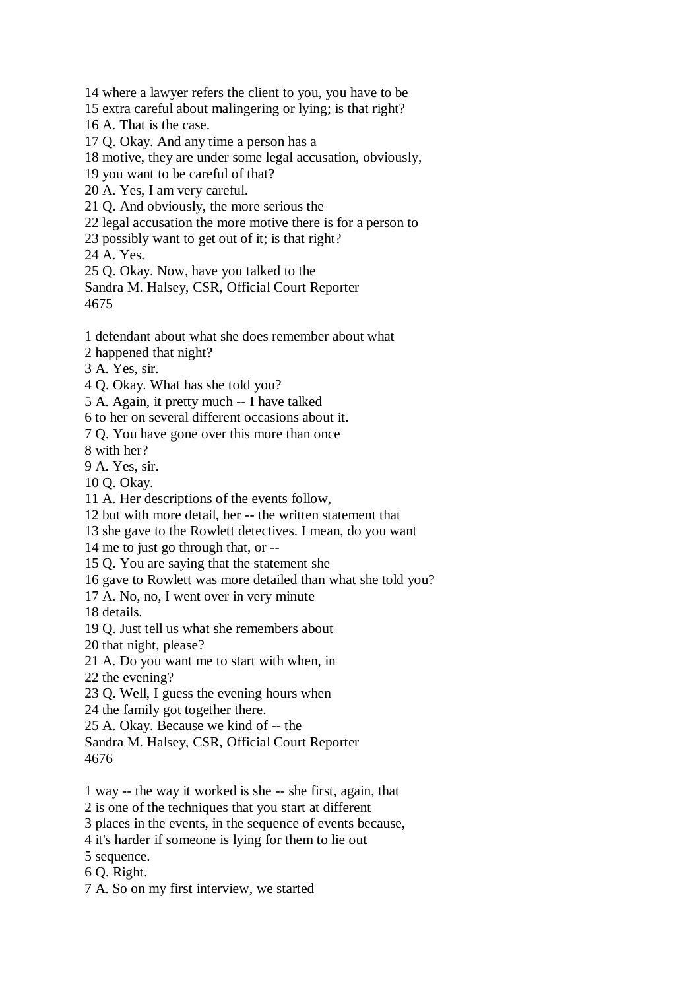14 where a lawyer refers the client to you, you have to be

15 extra careful about malingering or lying; is that right?

16 A. That is the case.

17 Q. Okay. And any time a person has a

18 motive, they are under some legal accusation, obviously,

19 you want to be careful of that?

20 A. Yes, I am very careful.

21 Q. And obviously, the more serious the

22 legal accusation the more motive there is for a person to

23 possibly want to get out of it; is that right?

24 A. Yes.

25 Q. Okay. Now, have you talked to the

Sandra M. Halsey, CSR, Official Court Reporter 4675

1 defendant about what she does remember about what

2 happened that night?

3 A. Yes, sir.

4 Q. Okay. What has she told you?

5 A. Again, it pretty much -- I have talked

6 to her on several different occasions about it.

7 Q. You have gone over this more than once

8 with her?

9 A. Yes, sir.

10 Q. Okay.

11 A. Her descriptions of the events follow,

12 but with more detail, her -- the written statement that

13 she gave to the Rowlett detectives. I mean, do you want

14 me to just go through that, or --

15 Q. You are saying that the statement she

16 gave to Rowlett was more detailed than what she told you?

17 A. No, no, I went over in very minute

18 details.

19 Q. Just tell us what she remembers about

20 that night, please?

21 A. Do you want me to start with when, in

22 the evening?

23 Q. Well, I guess the evening hours when

24 the family got together there.

25 A. Okay. Because we kind of -- the

Sandra M. Halsey, CSR, Official Court Reporter

4676

1 way -- the way it worked is she -- she first, again, that

2 is one of the techniques that you start at different

3 places in the events, in the sequence of events because,

4 it's harder if someone is lying for them to lie out

5 sequence.

6 Q. Right.

7 A. So on my first interview, we started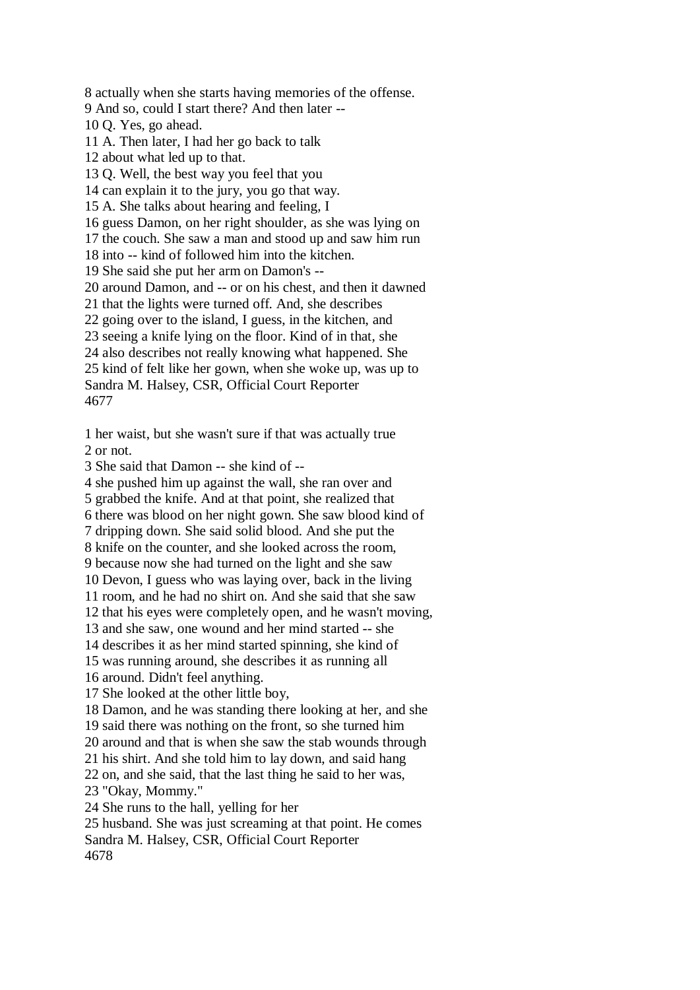8 actually when she starts having memories of the offense. 9 And so, could I start there? And then later -- 10 Q. Yes, go ahead. 11 A. Then later, I had her go back to talk 12 about what led up to that. 13 Q. Well, the best way you feel that you 14 can explain it to the jury, you go that way. 15 A. She talks about hearing and feeling, I 16 guess Damon, on her right shoulder, as she was lying on 17 the couch. She saw a man and stood up and saw him run 18 into -- kind of followed him into the kitchen. 19 She said she put her arm on Damon's -- 20 around Damon, and -- or on his chest, and then it dawned 21 that the lights were turned off. And, she describes 22 going over to the island, I guess, in the kitchen, and 23 seeing a knife lying on the floor. Kind of in that, she 24 also describes not really knowing what happened. She 25 kind of felt like her gown, when she woke up, was up to Sandra M. Halsey, CSR, Official Court Reporter 4677

1 her waist, but she wasn't sure if that was actually true 2 or not.

3 She said that Damon -- she kind of --

4 she pushed him up against the wall, she ran over and

5 grabbed the knife. And at that point, she realized that

6 there was blood on her night gown. She saw blood kind of

7 dripping down. She said solid blood. And she put the

8 knife on the counter, and she looked across the room,

9 because now she had turned on the light and she saw

10 Devon, I guess who was laying over, back in the living 11 room, and he had no shirt on. And she said that she saw

12 that his eyes were completely open, and he wasn't moving,

13 and she saw, one wound and her mind started -- she

14 describes it as her mind started spinning, she kind of

15 was running around, she describes it as running all

16 around. Didn't feel anything.

17 She looked at the other little boy,

18 Damon, and he was standing there looking at her, and she

19 said there was nothing on the front, so she turned him

20 around and that is when she saw the stab wounds through

21 his shirt. And she told him to lay down, and said hang

22 on, and she said, that the last thing he said to her was,

23 "Okay, Mommy."

24 She runs to the hall, yelling for her

25 husband. She was just screaming at that point. He comes Sandra M. Halsey, CSR, Official Court Reporter 4678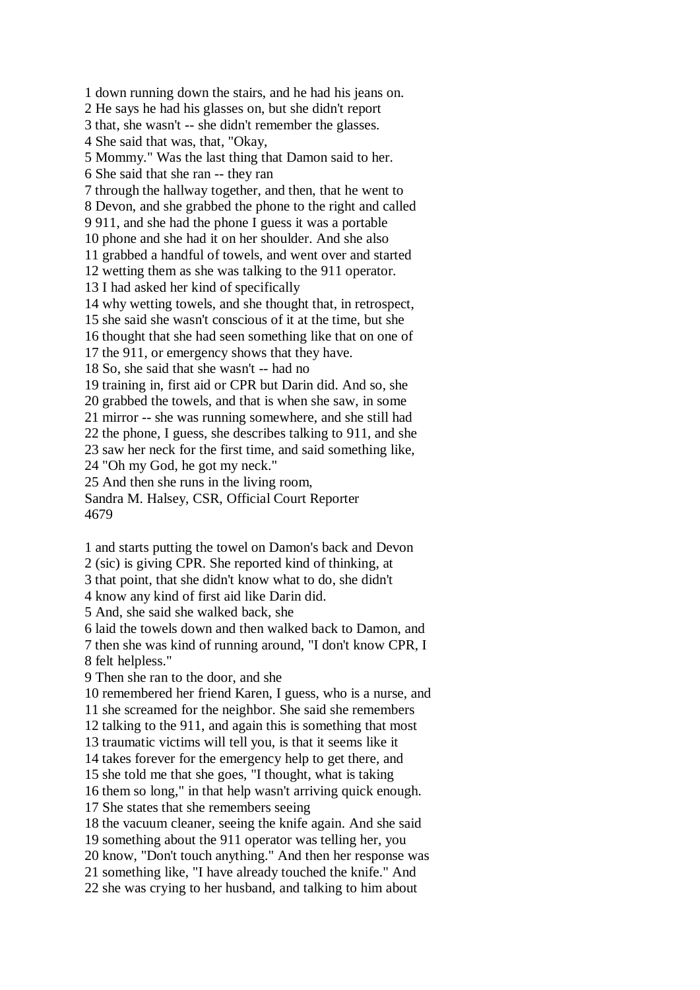1 down running down the stairs, and he had his jeans on. 2 He says he had his glasses on, but she didn't report 3 that, she wasn't -- she didn't remember the glasses. 4 She said that was, that, "Okay, 5 Mommy." Was the last thing that Damon said to her. 6 She said that she ran -- they ran 7 through the hallway together, and then, that he went to 8 Devon, and she grabbed the phone to the right and called 9 911, and she had the phone I guess it was a portable 10 phone and she had it on her shoulder. And she also 11 grabbed a handful of towels, and went over and started 12 wetting them as she was talking to the 911 operator. 13 I had asked her kind of specifically 14 why wetting towels, and she thought that, in retrospect, 15 she said she wasn't conscious of it at the time, but she 16 thought that she had seen something like that on one of 17 the 911, or emergency shows that they have. 18 So, she said that she wasn't -- had no 19 training in, first aid or CPR but Darin did. And so, she 20 grabbed the towels, and that is when she saw, in some 21 mirror -- she was running somewhere, and she still had 22 the phone, I guess, she describes talking to 911, and she 23 saw her neck for the first time, and said something like, 24 "Oh my God, he got my neck." 25 And then she runs in the living room, Sandra M. Halsey, CSR, Official Court Reporter 4679

1 and starts putting the towel on Damon's back and Devon

2 (sic) is giving CPR. She reported kind of thinking, at

3 that point, that she didn't know what to do, she didn't

4 know any kind of first aid like Darin did.

5 And, she said she walked back, she

6 laid the towels down and then walked back to Damon, and

7 then she was kind of running around, "I don't know CPR, I 8 felt helpless."

9 Then she ran to the door, and she

10 remembered her friend Karen, I guess, who is a nurse, and 11 she screamed for the neighbor. She said she remembers

12 talking to the 911, and again this is something that most

13 traumatic victims will tell you, is that it seems like it

14 takes forever for the emergency help to get there, and

15 she told me that she goes, "I thought, what is taking

16 them so long," in that help wasn't arriving quick enough.

17 She states that she remembers seeing

18 the vacuum cleaner, seeing the knife again. And she said

19 something about the 911 operator was telling her, you

20 know, "Don't touch anything." And then her response was

21 something like, "I have already touched the knife." And

22 she was crying to her husband, and talking to him about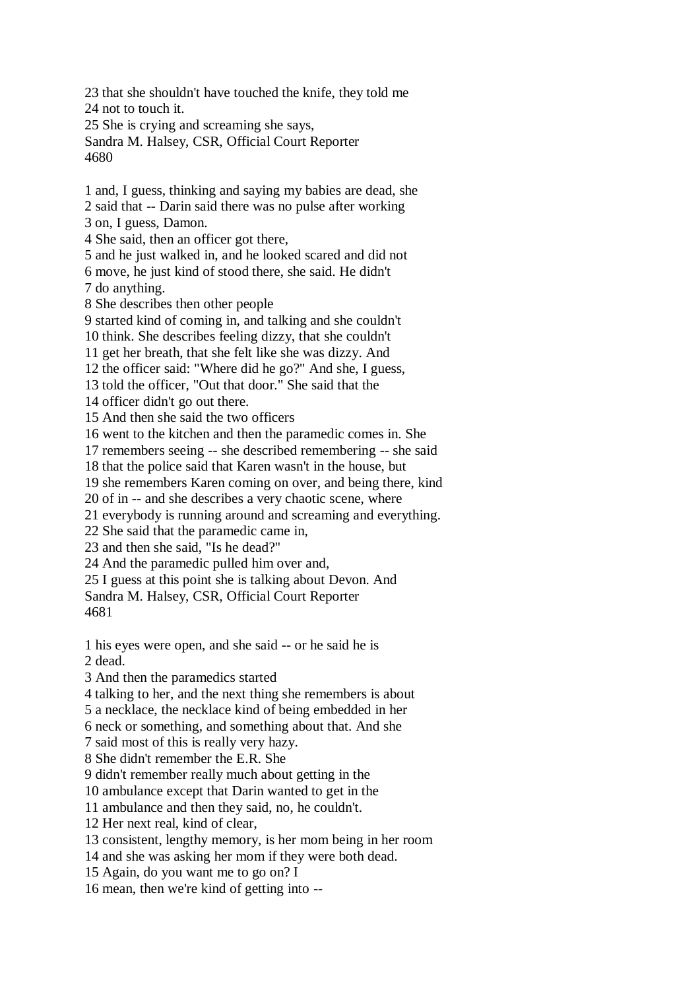23 that she shouldn't have touched the knife, they told me 24 not to touch it. 25 She is crying and screaming she says, Sandra M. Halsey, CSR, Official Court Reporter 4680 1 and, I guess, thinking and saying my babies are dead, she 2 said that -- Darin said there was no pulse after working 3 on, I guess, Damon. 4 She said, then an officer got there, 5 and he just walked in, and he looked scared and did not 6 move, he just kind of stood there, she said. He didn't 7 do anything. 8 She describes then other people 9 started kind of coming in, and talking and she couldn't

10 think. She describes feeling dizzy, that she couldn't

11 get her breath, that she felt like she was dizzy. And

12 the officer said: "Where did he go?" And she, I guess,

13 told the officer, "Out that door." She said that the

14 officer didn't go out there.

15 And then she said the two officers

16 went to the kitchen and then the paramedic comes in. She

17 remembers seeing -- she described remembering -- she said

18 that the police said that Karen wasn't in the house, but

19 she remembers Karen coming on over, and being there, kind

20 of in -- and she describes a very chaotic scene, where

21 everybody is running around and screaming and everything.

22 She said that the paramedic came in,

23 and then she said, "Is he dead?"

24 And the paramedic pulled him over and,

25 I guess at this point she is talking about Devon. And

Sandra M. Halsey, CSR, Official Court Reporter 4681

1 his eyes were open, and she said -- or he said he is

2 dead.

3 And then the paramedics started

4 talking to her, and the next thing she remembers is about

5 a necklace, the necklace kind of being embedded in her

6 neck or something, and something about that. And she

7 said most of this is really very hazy.

8 She didn't remember the E.R. She

9 didn't remember really much about getting in the

10 ambulance except that Darin wanted to get in the

11 ambulance and then they said, no, he couldn't.

12 Her next real, kind of clear,

13 consistent, lengthy memory, is her mom being in her room

14 and she was asking her mom if they were both dead.

15 Again, do you want me to go on? I

16 mean, then we're kind of getting into --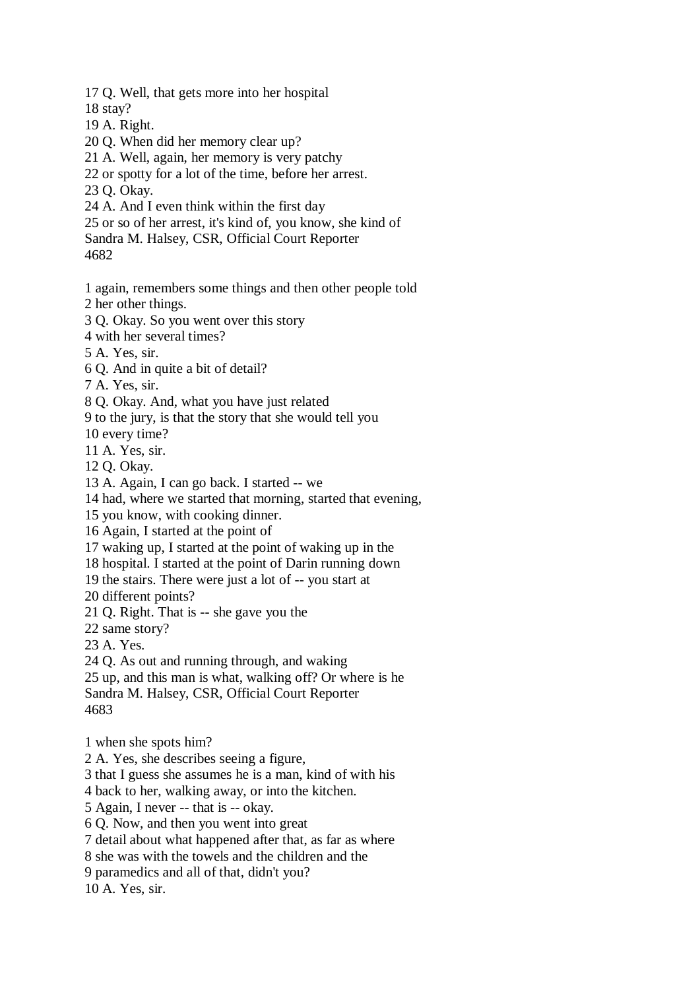17 Q. Well, that gets more into her hospital

18 stay?

- 19 A. Right.
- 20 Q. When did her memory clear up?
- 21 A. Well, again, her memory is very patchy
- 22 or spotty for a lot of the time, before her arrest.
- 23 Q. Okay.
- 24 A. And I even think within the first day
- 25 or so of her arrest, it's kind of, you know, she kind of

Sandra M. Halsey, CSR, Official Court Reporter

4682

1 again, remembers some things and then other people told

2 her other things.

- 3 Q. Okay. So you went over this story
- 4 with her several times?

5 A. Yes, sir.

6 Q. And in quite a bit of detail?

7 A. Yes, sir.

8 Q. Okay. And, what you have just related

9 to the jury, is that the story that she would tell you

10 every time?

11 A. Yes, sir.

12 Q. Okay.

13 A. Again, I can go back. I started -- we

14 had, where we started that morning, started that evening,

15 you know, with cooking dinner.

16 Again, I started at the point of

17 waking up, I started at the point of waking up in the

18 hospital. I started at the point of Darin running down

19 the stairs. There were just a lot of -- you start at

20 different points?

21 Q. Right. That is -- she gave you the

22 same story?

23 A. Yes.

24 Q. As out and running through, and waking

25 up, and this man is what, walking off? Or where is he Sandra M. Halsey, CSR, Official Court Reporter 4683

1 when she spots him?

2 A. Yes, she describes seeing a figure,

3 that I guess she assumes he is a man, kind of with his

4 back to her, walking away, or into the kitchen.

5 Again, I never -- that is -- okay.

6 Q. Now, and then you went into great

7 detail about what happened after that, as far as where

8 she was with the towels and the children and the

9 paramedics and all of that, didn't you?

10 A. Yes, sir.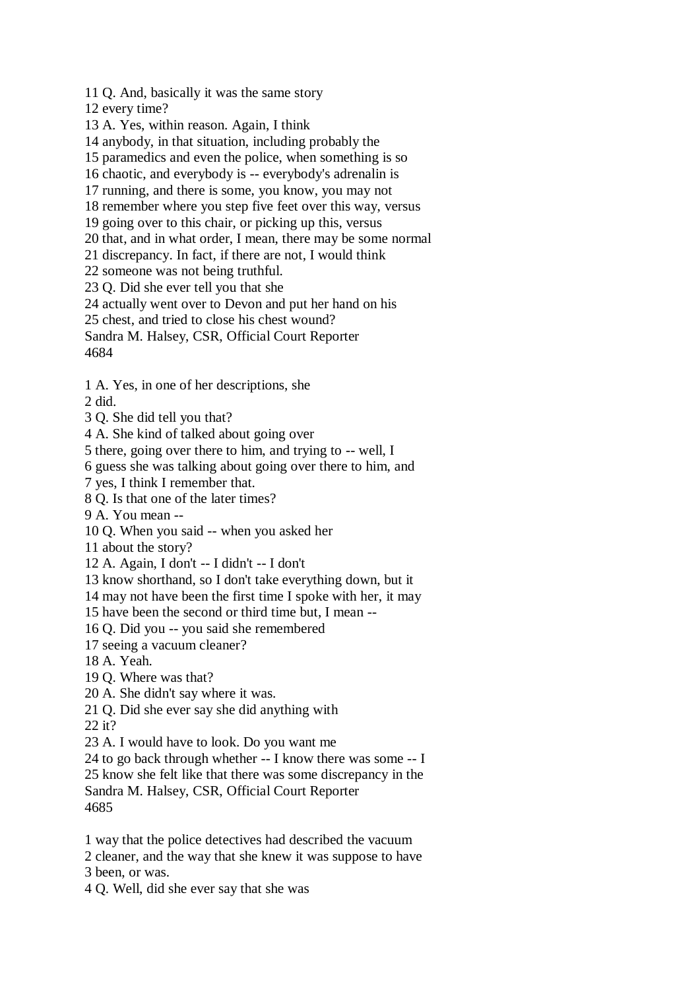11 Q. And, basically it was the same story

12 every time?

13 A. Yes, within reason. Again, I think

14 anybody, in that situation, including probably the

15 paramedics and even the police, when something is so

16 chaotic, and everybody is -- everybody's adrenalin is

17 running, and there is some, you know, you may not

18 remember where you step five feet over this way, versus

19 going over to this chair, or picking up this, versus

20 that, and in what order, I mean, there may be some normal

21 discrepancy. In fact, if there are not, I would think

22 someone was not being truthful.

23 Q. Did she ever tell you that she

24 actually went over to Devon and put her hand on his

25 chest, and tried to close his chest wound?

Sandra M. Halsey, CSR, Official Court Reporter

4684

1 A. Yes, in one of her descriptions, she

2 did.

3 Q. She did tell you that?

4 A. She kind of talked about going over

5 there, going over there to him, and trying to -- well, I

6 guess she was talking about going over there to him, and

7 yes, I think I remember that.

8 Q. Is that one of the later times?

9 A. You mean --

10 Q. When you said -- when you asked her

11 about the story?

12 A. Again, I don't -- I didn't -- I don't

13 know shorthand, so I don't take everything down, but it

14 may not have been the first time I spoke with her, it may

15 have been the second or third time but, I mean --

16 Q. Did you -- you said she remembered

17 seeing a vacuum cleaner?

18 A. Yeah.

19 Q. Where was that?

20 A. She didn't say where it was.

21 Q. Did she ever say she did anything with

22 it?

23 A. I would have to look. Do you want me

24 to go back through whether -- I know there was some -- I

25 know she felt like that there was some discrepancy in the

Sandra M. Halsey, CSR, Official Court Reporter

4685

1 way that the police detectives had described the vacuum

2 cleaner, and the way that she knew it was suppose to have

3 been, or was.

4 Q. Well, did she ever say that she was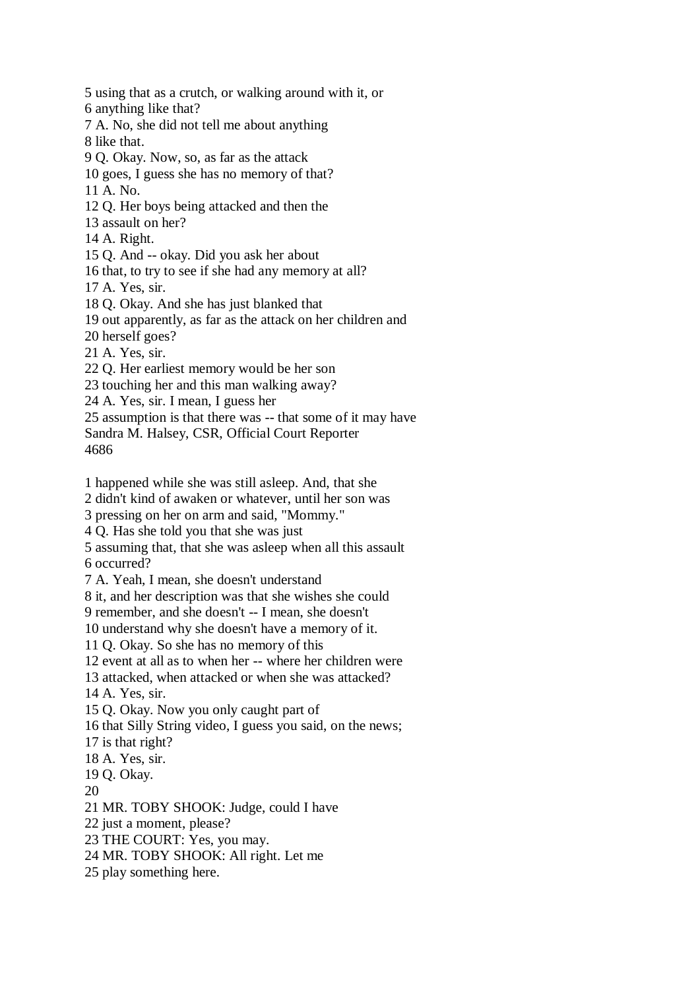5 using that as a crutch, or walking around with it, or 6 anything like that? 7 A. No, she did not tell me about anything 8 like that. 9 Q. Okay. Now, so, as far as the attack 10 goes, I guess she has no memory of that? 11 A. No. 12 Q. Her boys being attacked and then the 13 assault on her? 14 A. Right. 15 Q. And -- okay. Did you ask her about 16 that, to try to see if she had any memory at all? 17 A. Yes, sir. 18 Q. Okay. And she has just blanked that 19 out apparently, as far as the attack on her children and 20 herself goes? 21 A. Yes, sir. 22 Q. Her earliest memory would be her son 23 touching her and this man walking away? 24 A. Yes, sir. I mean, I guess her 25 assumption is that there was -- that some of it may have Sandra M. Halsey, CSR, Official Court Reporter 4686 1 happened while she was still asleep. And, that she 2 didn't kind of awaken or whatever, until her son was 3 pressing on her on arm and said, "Mommy." 4 Q. Has she told you that she was just 5 assuming that, that she was asleep when all this assault 6 occurred? 7 A. Yeah, I mean, she doesn't understand 8 it, and her description was that she wishes she could 9 remember, and she doesn't -- I mean, she doesn't 10 understand why she doesn't have a memory of it. 11 Q. Okay. So she has no memory of this 12 event at all as to when her -- where her children were 13 attacked, when attacked or when she was attacked? 14 A. Yes, sir. 15 Q. Okay. Now you only caught part of 16 that Silly String video, I guess you said, on the news; 17 is that right? 18 A. Yes, sir. 19 Q. Okay. 20 21 MR. TOBY SHOOK: Judge, could I have 22 just a moment, please? 23 THE COURT: Yes, you may. 24 MR. TOBY SHOOK: All right. Let me 25 play something here.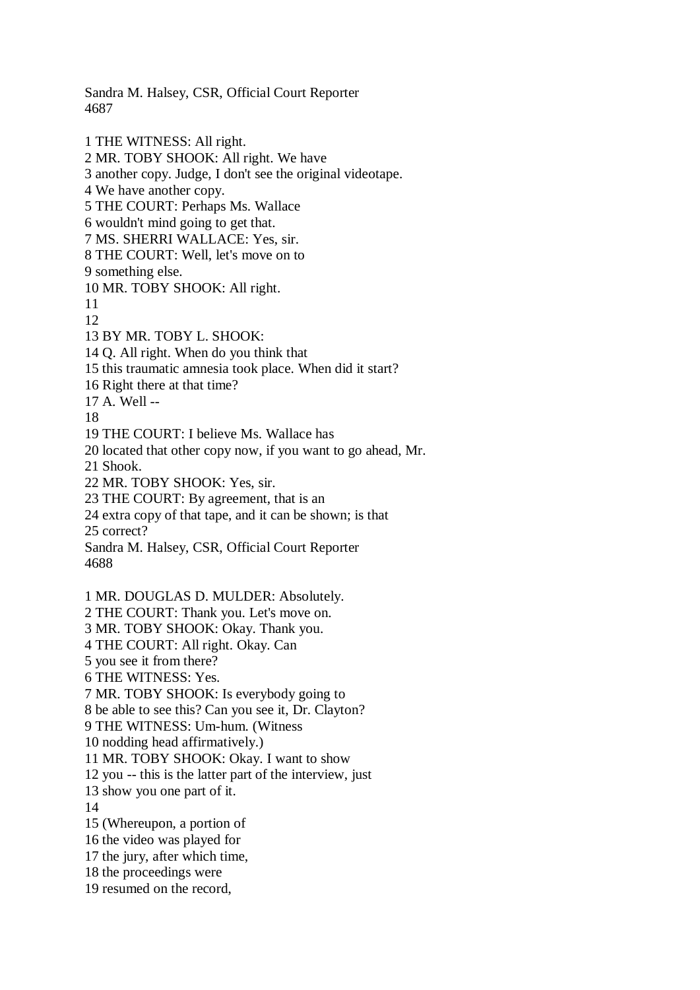Sandra M. Halsey, CSR, Official Court Reporter 4687

1 THE WITNESS: All right. 2 MR. TOBY SHOOK: All right. We have 3 another copy. Judge, I don't see the original videotape. 4 We have another copy. 5 THE COURT: Perhaps Ms. Wallace 6 wouldn't mind going to get that. 7 MS. SHERRI WALLACE: Yes, sir. 8 THE COURT: Well, let's move on to 9 something else. 10 MR. TOBY SHOOK: All right. 11 12 13 BY MR. TOBY L. SHOOK: 14 Q. All right. When do you think that 15 this traumatic amnesia took place. When did it start? 16 Right there at that time? 17 A. Well -- 18 19 THE COURT: I believe Ms. Wallace has 20 located that other copy now, if you want to go ahead, Mr. 21 Shook. 22 MR. TOBY SHOOK: Yes, sir. 23 THE COURT: By agreement, that is an 24 extra copy of that tape, and it can be shown; is that 25 correct? Sandra M. Halsey, CSR, Official Court Reporter 4688 1 MR. DOUGLAS D. MULDER: Absolutely. 2 THE COURT: Thank you. Let's move on. 3 MR. TOBY SHOOK: Okay. Thank you. 4 THE COURT: All right. Okay. Can 5 you see it from there? 6 THE WITNESS: Yes. 7 MR. TOBY SHOOK: Is everybody going to 8 be able to see this? Can you see it, Dr. Clayton? 9 THE WITNESS: Um-hum. (Witness 10 nodding head affirmatively.) 11 MR. TOBY SHOOK: Okay. I want to show 12 you -- this is the latter part of the interview, just 13 show you one part of it. 14 15 (Whereupon, a portion of 16 the video was played for 17 the jury, after which time, 18 the proceedings were 19 resumed on the record,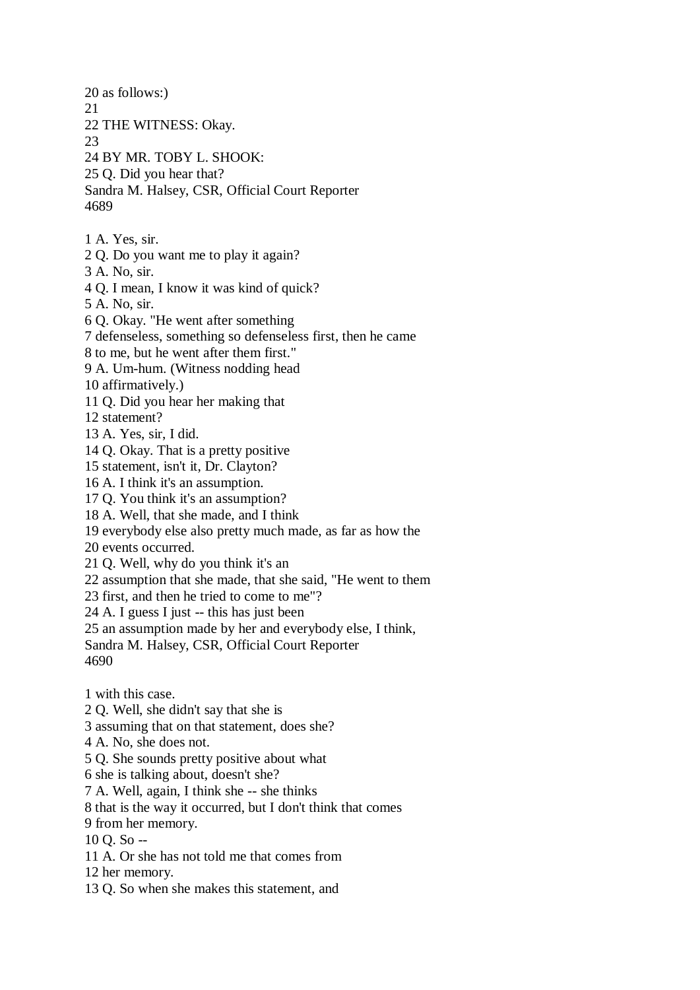20 as follows:) 21 22 THE WITNESS: Okay. 23 24 BY MR. TOBY L. SHOOK: 25 Q. Did you hear that? Sandra M. Halsey, CSR, Official Court Reporter 4689 1 A. Yes, sir. 2 Q. Do you want me to play it again? 3 A. No, sir. 4 Q. I mean, I know it was kind of quick? 5 A. No, sir. 6 Q. Okay. "He went after something 7 defenseless, something so defenseless first, then he came 8 to me, but he went after them first." 9 A. Um-hum. (Witness nodding head 10 affirmatively.) 11 Q. Did you hear her making that 12 statement? 13 A. Yes, sir, I did. 14 Q. Okay. That is a pretty positive 15 statement, isn't it, Dr. Clayton? 16 A. I think it's an assumption. 17 Q. You think it's an assumption? 18 A. Well, that she made, and I think 19 everybody else also pretty much made, as far as how the 20 events occurred. 21 Q. Well, why do you think it's an 22 assumption that she made, that she said, "He went to them 23 first, and then he tried to come to me"? 24 A. I guess I just -- this has just been 25 an assumption made by her and everybody else, I think, Sandra M. Halsey, CSR, Official Court Reporter 4690 1 with this case. 2 Q. Well, she didn't say that she is 3 assuming that on that statement, does she? 4 A. No, she does not. 5 Q. She sounds pretty positive about what 6 she is talking about, doesn't she? 7 A. Well, again, I think she -- she thinks 8 that is the way it occurred, but I don't think that comes 9 from her memory. 10 Q. So --

- 11 A. Or she has not told me that comes from
- 12 her memory.
- 13 Q. So when she makes this statement, and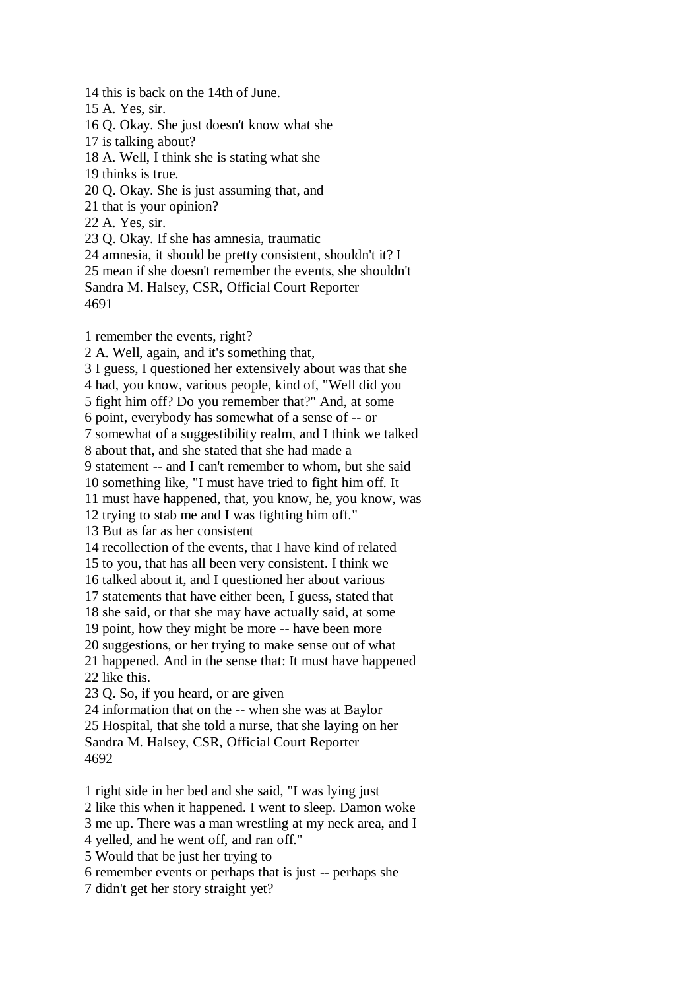14 this is back on the 14th of June. 15 A. Yes, sir. 16 Q. Okay. She just doesn't know what she 17 is talking about? 18 A. Well, I think she is stating what she 19 thinks is true. 20 Q. Okay. She is just assuming that, and 21 that is your opinion? 22 A. Yes, sir. 23 Q. Okay. If she has amnesia, traumatic 24 amnesia, it should be pretty consistent, shouldn't it? I 25 mean if she doesn't remember the events, she shouldn't Sandra M. Halsey, CSR, Official Court Reporter 4691 1 remember the events, right? 2 A. Well, again, and it's something that, 3 I guess, I questioned her extensively about was that she 4 had, you know, various people, kind of, "Well did you 5 fight him off? Do you remember that?" And, at some 6 point, everybody has somewhat of a sense of -- or 7 somewhat of a suggestibility realm, and I think we talked 8 about that, and she stated that she had made a 9 statement -- and I can't remember to whom, but she said 10 something like, "I must have tried to fight him off. It 11 must have happened, that, you know, he, you know, was 12 trying to stab me and I was fighting him off." 13 But as far as her consistent

14 recollection of the events, that I have kind of related

15 to you, that has all been very consistent. I think we

16 talked about it, and I questioned her about various

17 statements that have either been, I guess, stated that

18 she said, or that she may have actually said, at some

19 point, how they might be more -- have been more

20 suggestions, or her trying to make sense out of what

21 happened. And in the sense that: It must have happened 22 like this.

23 Q. So, if you heard, or are given

24 information that on the -- when she was at Baylor 25 Hospital, that she told a nurse, that she laying on her Sandra M. Halsey, CSR, Official Court Reporter 4692

1 right side in her bed and she said, "I was lying just 2 like this when it happened. I went to sleep. Damon woke 3 me up. There was a man wrestling at my neck area, and I 4 yelled, and he went off, and ran off." 5 Would that be just her trying to 6 remember events or perhaps that is just -- perhaps she

7 didn't get her story straight yet?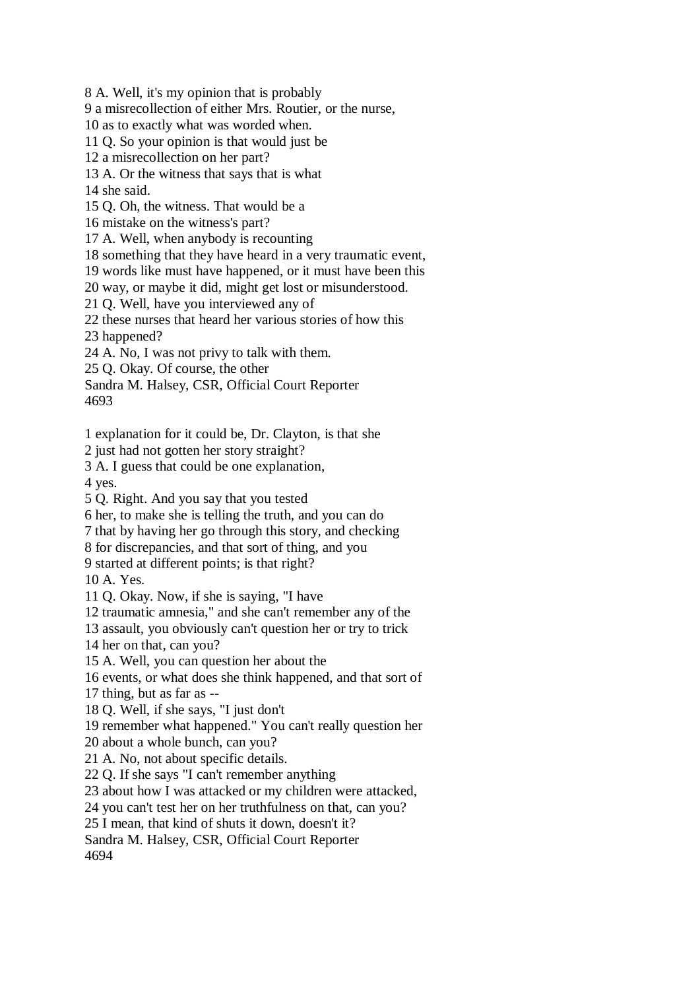8 A. Well, it's my opinion that is probably

9 a misrecollection of either Mrs. Routier, or the nurse,

10 as to exactly what was worded when.

11 Q. So your opinion is that would just be

12 a misrecollection on her part?

13 A. Or the witness that says that is what

14 she said.

15 Q. Oh, the witness. That would be a

16 mistake on the witness's part?

17 A. Well, when anybody is recounting

18 something that they have heard in a very traumatic event,

19 words like must have happened, or it must have been this

20 way, or maybe it did, might get lost or misunderstood.

21 Q. Well, have you interviewed any of

22 these nurses that heard her various stories of how this

23 happened?

24 A. No, I was not privy to talk with them.

25 Q. Okay. Of course, the other

Sandra M. Halsey, CSR, Official Court Reporter 4693

1 explanation for it could be, Dr. Clayton, is that she

2 just had not gotten her story straight?

3 A. I guess that could be one explanation,

4 yes.

5 Q. Right. And you say that you tested

6 her, to make she is telling the truth, and you can do

7 that by having her go through this story, and checking

8 for discrepancies, and that sort of thing, and you

9 started at different points; is that right?

10 A. Yes.

11 Q. Okay. Now, if she is saying, "I have

12 traumatic amnesia," and she can't remember any of the

13 assault, you obviously can't question her or try to trick

14 her on that, can you?

15 A. Well, you can question her about the

16 events, or what does she think happened, and that sort of

17 thing, but as far as --

18 Q. Well, if she says, "I just don't

19 remember what happened." You can't really question her

20 about a whole bunch, can you?

21 A. No, not about specific details.

22 Q. If she says "I can't remember anything

23 about how I was attacked or my children were attacked,

24 you can't test her on her truthfulness on that, can you?

25 I mean, that kind of shuts it down, doesn't it?

Sandra M. Halsey, CSR, Official Court Reporter

4694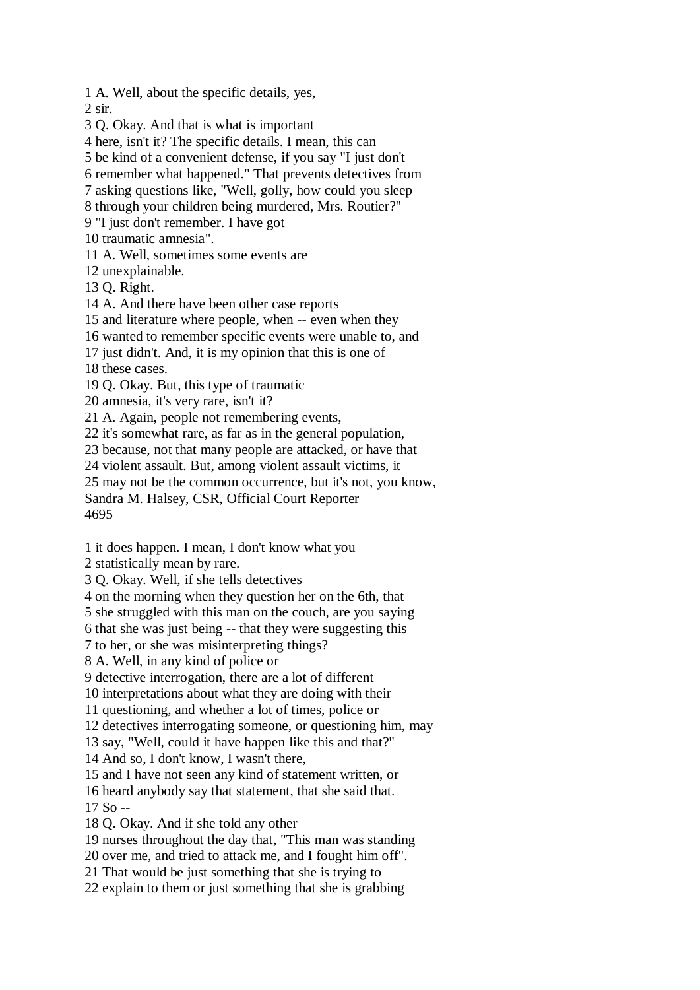1 A. Well, about the specific details, yes, 2 sir. 3 Q. Okay. And that is what is important 4 here, isn't it? The specific details. I mean, this can 5 be kind of a convenient defense, if you say "I just don't 6 remember what happened." That prevents detectives from 7 asking questions like, "Well, golly, how could you sleep 8 through your children being murdered, Mrs. Routier?" 9 "I just don't remember. I have got 10 traumatic amnesia". 11 A. Well, sometimes some events are 12 unexplainable. 13 Q. Right. 14 A. And there have been other case reports 15 and literature where people, when -- even when they 16 wanted to remember specific events were unable to, and 17 just didn't. And, it is my opinion that this is one of 18 these cases. 19 Q. Okay. But, this type of traumatic 20 amnesia, it's very rare, isn't it? 21 A. Again, people not remembering events, 22 it's somewhat rare, as far as in the general population, 23 because, not that many people are attacked, or have that 24 violent assault. But, among violent assault victims, it 25 may not be the common occurrence, but it's not, you know, Sandra M. Halsey, CSR, Official Court Reporter 4695 1 it does happen. I mean, I don't know what you 2 statistically mean by rare. 3 Q. Okay. Well, if she tells detectives

4 on the morning when they question her on the 6th, that

5 she struggled with this man on the couch, are you saying

6 that she was just being -- that they were suggesting this

7 to her, or she was misinterpreting things?

8 A. Well, in any kind of police or

9 detective interrogation, there are a lot of different

10 interpretations about what they are doing with their

11 questioning, and whether a lot of times, police or

12 detectives interrogating someone, or questioning him, may

13 say, "Well, could it have happen like this and that?"

14 And so, I don't know, I wasn't there,

15 and I have not seen any kind of statement written, or

16 heard anybody say that statement, that she said that.

17 So --

18 Q. Okay. And if she told any other

19 nurses throughout the day that, "This man was standing

20 over me, and tried to attack me, and I fought him off".

21 That would be just something that she is trying to

22 explain to them or just something that she is grabbing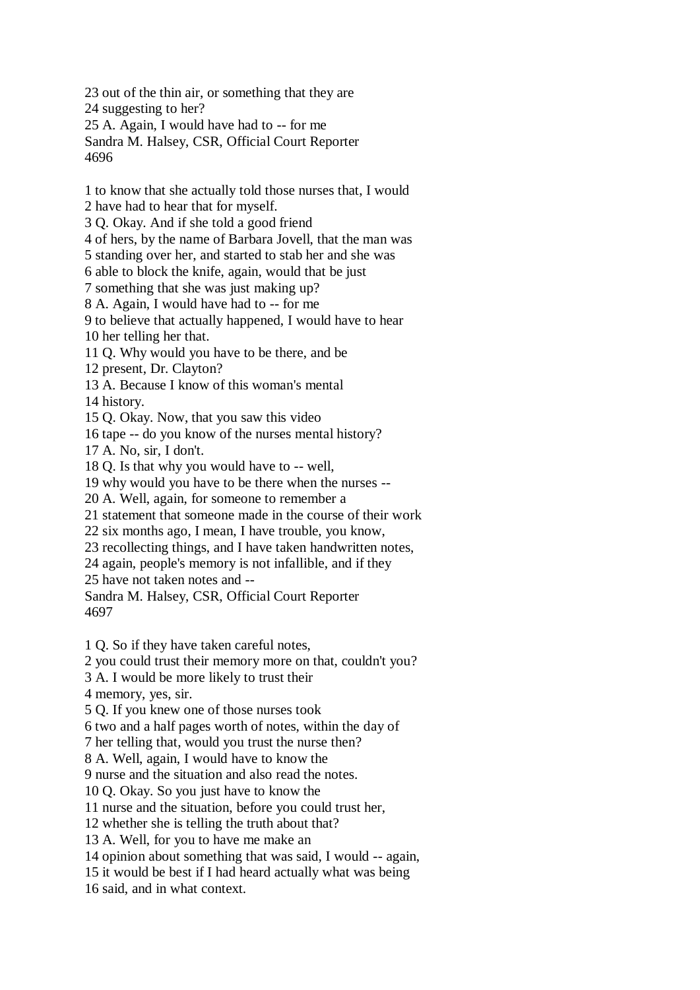23 out of the thin air, or something that they are 24 suggesting to her? 25 A. Again, I would have had to -- for me Sandra M. Halsey, CSR, Official Court Reporter 4696

1 to know that she actually told those nurses that, I would 2 have had to hear that for myself. 3 Q. Okay. And if she told a good friend

4 of hers, by the name of Barbara Jovell, that the man was

5 standing over her, and started to stab her and she was

6 able to block the knife, again, would that be just

7 something that she was just making up?

8 A. Again, I would have had to -- for me

9 to believe that actually happened, I would have to hear 10 her telling her that.

11 Q. Why would you have to be there, and be

12 present, Dr. Clayton?

13 A. Because I know of this woman's mental

14 history.

15 Q. Okay. Now, that you saw this video

16 tape -- do you know of the nurses mental history?

17 A. No, sir, I don't.

18 Q. Is that why you would have to -- well,

19 why would you have to be there when the nurses --

20 A. Well, again, for someone to remember a

21 statement that someone made in the course of their work

22 six months ago, I mean, I have trouble, you know,

23 recollecting things, and I have taken handwritten notes,

24 again, people's memory is not infallible, and if they

25 have not taken notes and --

Sandra M. Halsey, CSR, Official Court Reporter 4697

1 Q. So if they have taken careful notes,

2 you could trust their memory more on that, couldn't you?

3 A. I would be more likely to trust their

4 memory, yes, sir.

5 Q. If you knew one of those nurses took

6 two and a half pages worth of notes, within the day of

7 her telling that, would you trust the nurse then?

8 A. Well, again, I would have to know the

9 nurse and the situation and also read the notes.

10 Q. Okay. So you just have to know the

11 nurse and the situation, before you could trust her,

12 whether she is telling the truth about that?

13 A. Well, for you to have me make an

14 opinion about something that was said, I would -- again,

15 it would be best if I had heard actually what was being

16 said, and in what context.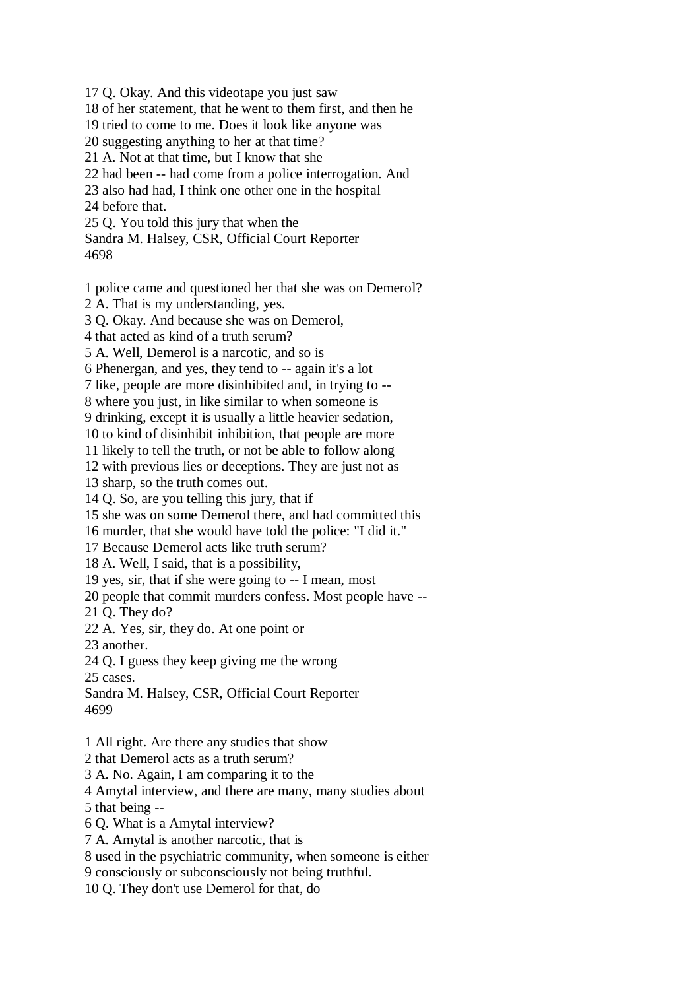17 Q. Okay. And this videotape you just saw 18 of her statement, that he went to them first, and then he 19 tried to come to me. Does it look like anyone was 20 suggesting anything to her at that time? 21 A. Not at that time, but I know that she 22 had been -- had come from a police interrogation. And 23 also had had, I think one other one in the hospital 24 before that. 25 Q. You told this jury that when the Sandra M. Halsey, CSR, Official Court Reporter 4698

1 police came and questioned her that she was on Demerol?

2 A. That is my understanding, yes.

3 Q. Okay. And because she was on Demerol,

4 that acted as kind of a truth serum?

5 A. Well, Demerol is a narcotic, and so is

6 Phenergan, and yes, they tend to -- again it's a lot

7 like, people are more disinhibited and, in trying to --

8 where you just, in like similar to when someone is

9 drinking, except it is usually a little heavier sedation,

10 to kind of disinhibit inhibition, that people are more

11 likely to tell the truth, or not be able to follow along

12 with previous lies or deceptions. They are just not as

13 sharp, so the truth comes out.

14 Q. So, are you telling this jury, that if

15 she was on some Demerol there, and had committed this

16 murder, that she would have told the police: "I did it."

17 Because Demerol acts like truth serum?

18 A. Well, I said, that is a possibility,

19 yes, sir, that if she were going to -- I mean, most

20 people that commit murders confess. Most people have --

21 Q. They do?

22 A. Yes, sir, they do. At one point or

23 another.

24 Q. I guess they keep giving me the wrong 25 cases.

Sandra M. Halsey, CSR, Official Court Reporter 4699

1 All right. Are there any studies that show

2 that Demerol acts as a truth serum?

3 A. No. Again, I am comparing it to the

4 Amytal interview, and there are many, many studies about

5 that being --

6 Q. What is a Amytal interview?

7 A. Amytal is another narcotic, that is

8 used in the psychiatric community, when someone is either

9 consciously or subconsciously not being truthful.

10 Q. They don't use Demerol for that, do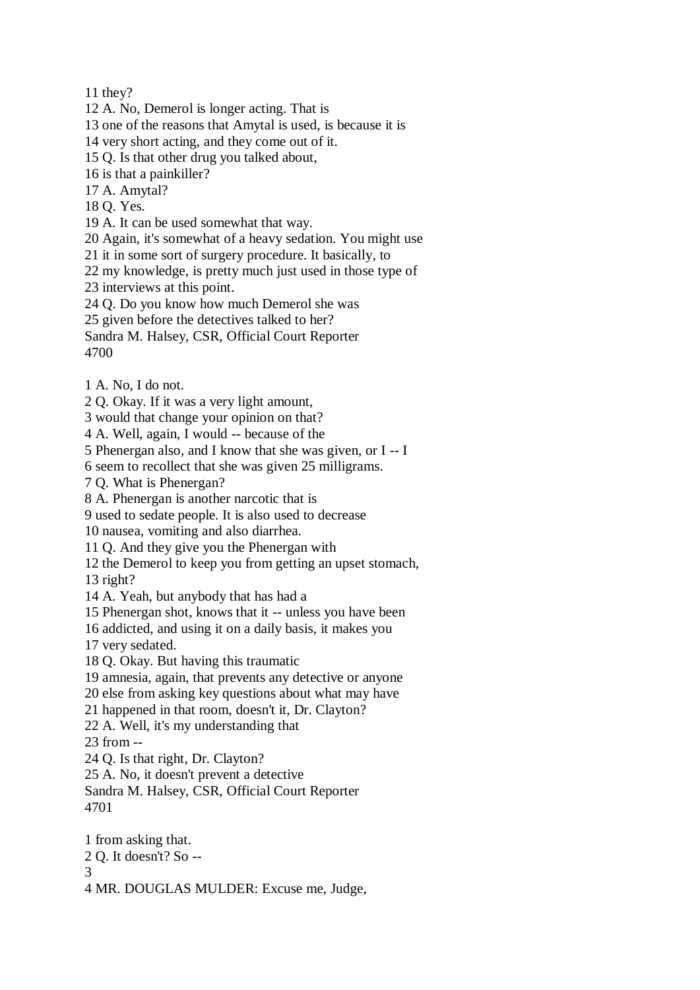11 they?

12 A. No, Demerol is longer acting. That is

13 one of the reasons that Amytal is used, is because it is

14 very short acting, and they come out of it.

15 Q. Is that other drug you talked about,

16 is that a painkiller?

17 A. Amytal?

18 Q. Yes.

19 A. It can be used somewhat that way.

20 Again, it's somewhat of a heavy sedation. You might use

21 it in some sort of surgery procedure. It basically, to

22 my knowledge, is pretty much just used in those type of

23 interviews at this point.

24 Q. Do you know how much Demerol she was

25 given before the detectives talked to her?

Sandra M. Halsey, CSR, Official Court Reporter 4700

1 A. No, I do not.

2 Q. Okay. If it was a very light amount,

3 would that change your opinion on that?

4 A. Well, again, I would -- because of the

5 Phenergan also, and I know that she was given, or I -- I

6 seem to recollect that she was given 25 milligrams.

7 Q. What is Phenergan?

8 A. Phenergan is another narcotic that is

9 used to sedate people. It is also used to decrease

10 nausea, vomiting and also diarrhea.

11 Q. And they give you the Phenergan with

12 the Demerol to keep you from getting an upset stomach,

13 right?

14 A. Yeah, but anybody that has had a

15 Phenergan shot, knows that it -- unless you have been

16 addicted, and using it on a daily basis, it makes you

17 very sedated.

18 Q. Okay. But having this traumatic

19 amnesia, again, that prevents any detective or anyone

20 else from asking key questions about what may have

21 happened in that room, doesn't it, Dr. Clayton?

22 A. Well, it's my understanding that

23 from --

24 Q. Is that right, Dr. Clayton?

25 A. No, it doesn't prevent a detective

Sandra M. Halsey, CSR, Official Court Reporter 4701

1 from asking that. 2 Q. It doesn't? So --

3

4 MR. DOUGLAS MULDER: Excuse me, Judge,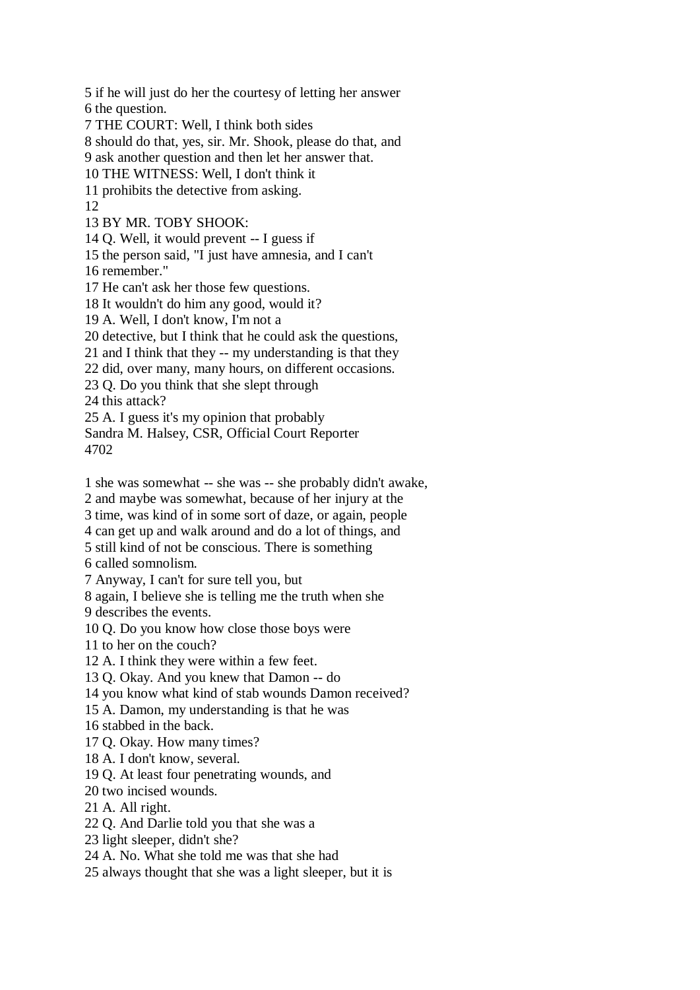5 if he will just do her the courtesy of letting her answer 6 the question. 7 THE COURT: Well, I think both sides 8 should do that, yes, sir. Mr. Shook, please do that, and 9 ask another question and then let her answer that. 10 THE WITNESS: Well, I don't think it 11 prohibits the detective from asking. 12 13 BY MR. TOBY SHOOK: 14 Q. Well, it would prevent -- I guess if 15 the person said, "I just have amnesia, and I can't 16 remember." 17 He can't ask her those few questions. 18 It wouldn't do him any good, would it? 19 A. Well, I don't know, I'm not a 20 detective, but I think that he could ask the questions, 21 and I think that they -- my understanding is that they 22 did, over many, many hours, on different occasions. 23 Q. Do you think that she slept through 24 this attack? 25 A. I guess it's my opinion that probably Sandra M. Halsey, CSR, Official Court Reporter 4702 1 she was somewhat -- she was -- she probably didn't awake, 2 and maybe was somewhat, because of her injury at the 3 time, was kind of in some sort of daze, or again, people 4 can get up and walk around and do a lot of things, and 5 still kind of not be conscious. There is something 6 called somnolism. 7 Anyway, I can't for sure tell you, but 8 again, I believe she is telling me the truth when she 9 describes the events. 10 Q. Do you know how close those boys were 11 to her on the couch? 12 A. I think they were within a few feet. 13 Q. Okay. And you knew that Damon -- do 14 you know what kind of stab wounds Damon received?

15 A. Damon, my understanding is that he was

16 stabbed in the back.

17 Q. Okay. How many times?

18 A. I don't know, several.

19 Q. At least four penetrating wounds, and

20 two incised wounds.

21 A. All right.

22 Q. And Darlie told you that she was a

23 light sleeper, didn't she?

24 A. No. What she told me was that she had

25 always thought that she was a light sleeper, but it is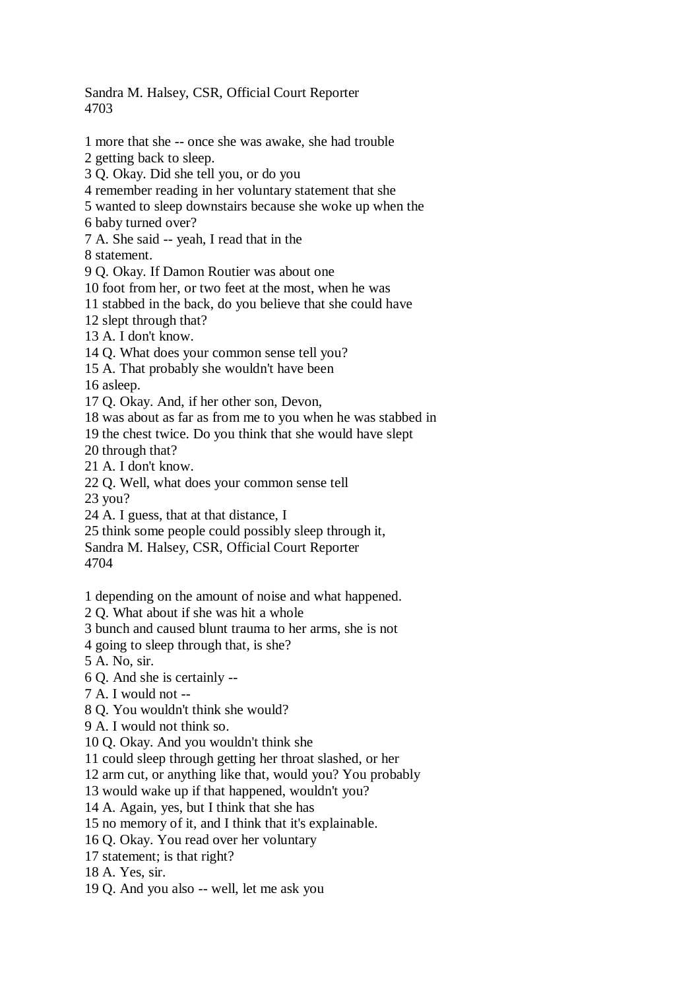Sandra M. Halsey, CSR, Official Court Reporter 4703

1 more that she -- once she was awake, she had trouble 2 getting back to sleep. 3 Q. Okay. Did she tell you, or do you 4 remember reading in her voluntary statement that she 5 wanted to sleep downstairs because she woke up when the 6 baby turned over? 7 A. She said -- yeah, I read that in the 8 statement. 9 Q. Okay. If Damon Routier was about one 10 foot from her, or two feet at the most, when he was 11 stabbed in the back, do you believe that she could have 12 slept through that? 13 A. I don't know. 14 Q. What does your common sense tell you? 15 A. That probably she wouldn't have been 16 asleep. 17 Q. Okay. And, if her other son, Devon, 18 was about as far as from me to you when he was stabbed in 19 the chest twice. Do you think that she would have slept 20 through that? 21 A. I don't know. 22 Q. Well, what does your common sense tell 23 you? 24 A. I guess, that at that distance, I 25 think some people could possibly sleep through it, Sandra M. Halsey, CSR, Official Court Reporter 4704 1 depending on the amount of noise and what happened.

2 Q. What about if she was hit a whole

3 bunch and caused blunt trauma to her arms, she is not

4 going to sleep through that, is she?

5 A. No, sir.

6 Q. And she is certainly --

7 A. I would not --

8 Q. You wouldn't think she would?

9 A. I would not think so.

10 Q. Okay. And you wouldn't think she

11 could sleep through getting her throat slashed, or her

12 arm cut, or anything like that, would you? You probably

13 would wake up if that happened, wouldn't you?

14 A. Again, yes, but I think that she has

15 no memory of it, and I think that it's explainable.

16 Q. Okay. You read over her voluntary

17 statement; is that right?

18 A. Yes, sir.

19 Q. And you also -- well, let me ask you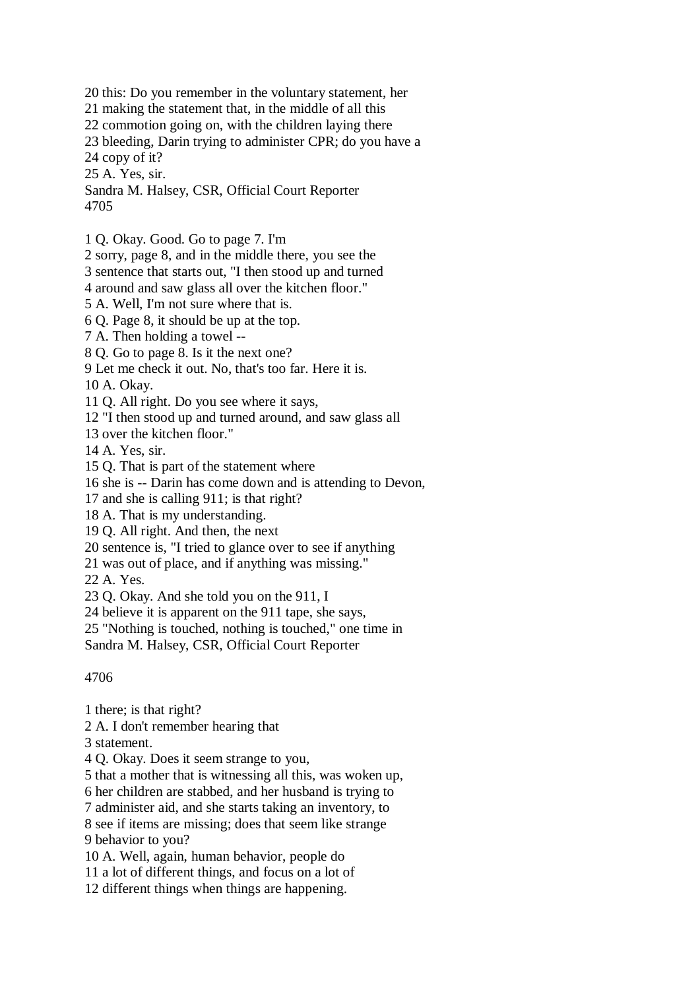20 this: Do you remember in the voluntary statement, her

21 making the statement that, in the middle of all this

22 commotion going on, with the children laying there

23 bleeding, Darin trying to administer CPR; do you have a

24 copy of it?

25 A. Yes, sir.

Sandra M. Halsey, CSR, Official Court Reporter 4705

1 Q. Okay. Good. Go to page 7. I'm

2 sorry, page 8, and in the middle there, you see the

3 sentence that starts out, "I then stood up and turned

4 around and saw glass all over the kitchen floor."

5 A. Well, I'm not sure where that is.

6 Q. Page 8, it should be up at the top.

7 A. Then holding a towel --

8 Q. Go to page 8. Is it the next one?

9 Let me check it out. No, that's too far. Here it is.

10 A. Okay.

11 Q. All right. Do you see where it says,

12 "I then stood up and turned around, and saw glass all

13 over the kitchen floor."

14 A. Yes, sir.

15 Q. That is part of the statement where

16 she is -- Darin has come down and is attending to Devon,

17 and she is calling 911; is that right?

18 A. That is my understanding.

19 Q. All right. And then, the next

20 sentence is, "I tried to glance over to see if anything

21 was out of place, and if anything was missing."

22 A. Yes.

23 Q. Okay. And she told you on the 911, I

24 believe it is apparent on the 911 tape, she says,

25 "Nothing is touched, nothing is touched," one time in

Sandra M. Halsey, CSR, Official Court Reporter

4706

1 there; is that right?

2 A. I don't remember hearing that

3 statement.

4 Q. Okay. Does it seem strange to you,

5 that a mother that is witnessing all this, was woken up,

6 her children are stabbed, and her husband is trying to

7 administer aid, and she starts taking an inventory, to

8 see if items are missing; does that seem like strange 9 behavior to you?

10 A. Well, again, human behavior, people do

11 a lot of different things, and focus on a lot of

12 different things when things are happening.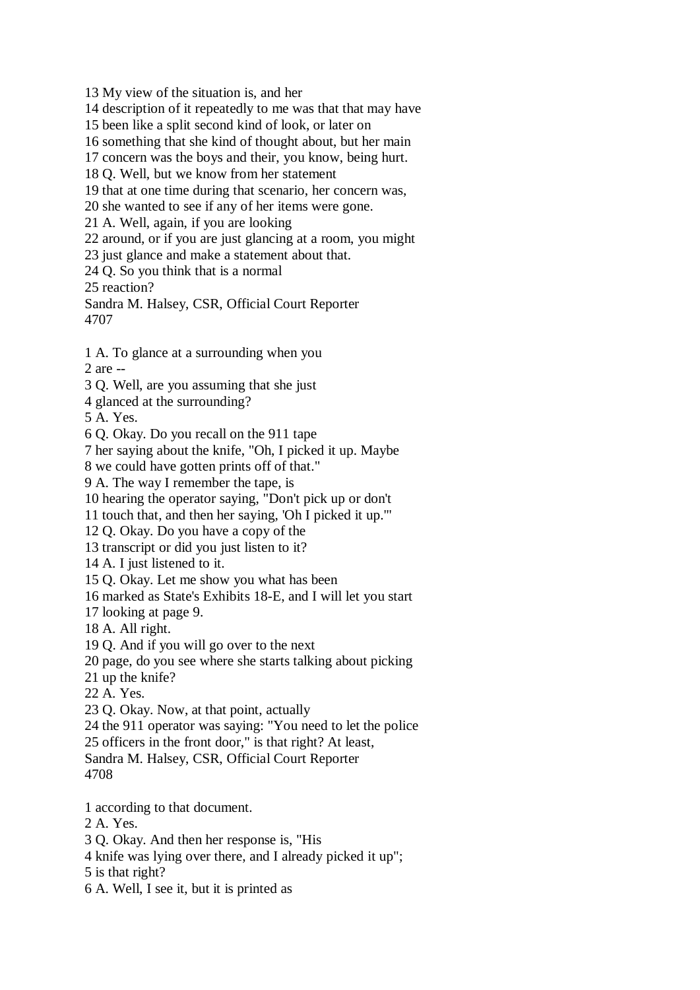13 My view of the situation is, and her

14 description of it repeatedly to me was that that may have

15 been like a split second kind of look, or later on

16 something that she kind of thought about, but her main

17 concern was the boys and their, you know, being hurt.

18 Q. Well, but we know from her statement

19 that at one time during that scenario, her concern was,

20 she wanted to see if any of her items were gone.

21 A. Well, again, if you are looking

22 around, or if you are just glancing at a room, you might

23 just glance and make a statement about that.

24 Q. So you think that is a normal

25 reaction?

Sandra M. Halsey, CSR, Official Court Reporter 4707

1 A. To glance at a surrounding when you 2 are --

3 Q. Well, are you assuming that she just

4 glanced at the surrounding?

5 A. Yes.

6 Q. Okay. Do you recall on the 911 tape

7 her saying about the knife, "Oh, I picked it up. Maybe

8 we could have gotten prints off of that."

9 A. The way I remember the tape, is

10 hearing the operator saying, "Don't pick up or don't

11 touch that, and then her saying, 'Oh I picked it up.'"

12 Q. Okay. Do you have a copy of the

13 transcript or did you just listen to it?

14 A. I just listened to it.

15 Q. Okay. Let me show you what has been

16 marked as State's Exhibits 18-E, and I will let you start

17 looking at page 9.

18 A. All right.

19 Q. And if you will go over to the next

20 page, do you see where she starts talking about picking

21 up the knife?

22 A. Yes.

23 Q. Okay. Now, at that point, actually

24 the 911 operator was saying: "You need to let the police

25 officers in the front door," is that right? At least,

Sandra M. Halsey, CSR, Official Court Reporter

4708

1 according to that document.

2 A. Yes.

3 Q. Okay. And then her response is, "His

4 knife was lying over there, and I already picked it up";

5 is that right?

6 A. Well, I see it, but it is printed as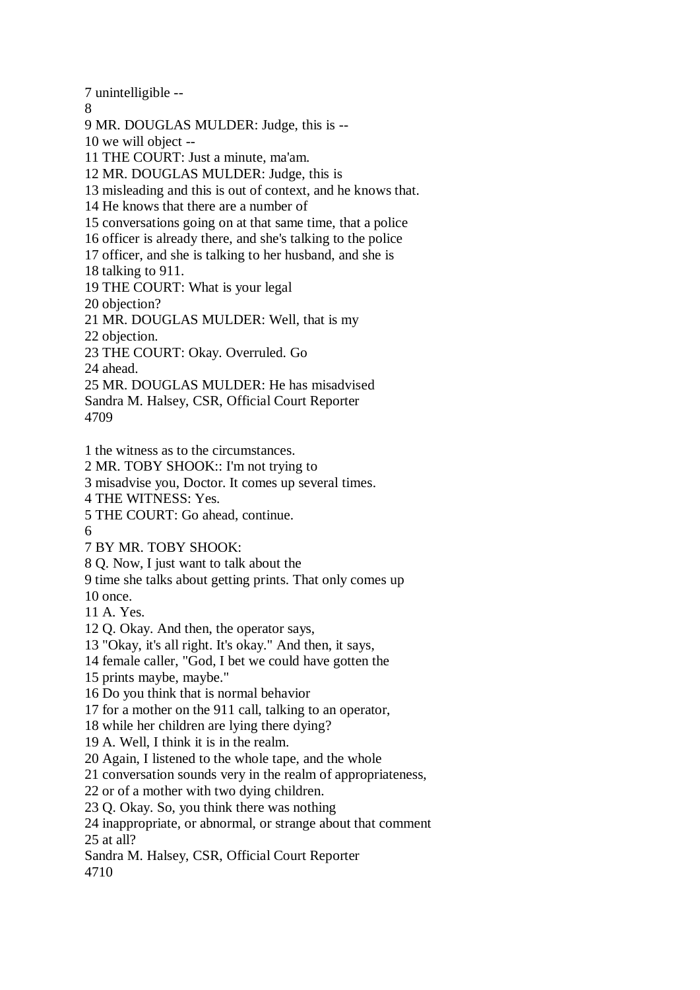7 unintelligible --

8

9 MR. DOUGLAS MULDER: Judge, this is --

10 we will object --

11 THE COURT: Just a minute, ma'am.

12 MR. DOUGLAS MULDER: Judge, this is

13 misleading and this is out of context, and he knows that.

14 He knows that there are a number of

15 conversations going on at that same time, that a police

16 officer is already there, and she's talking to the police

17 officer, and she is talking to her husband, and she is

18 talking to 911.

19 THE COURT: What is your legal

20 objection?

21 MR. DOUGLAS MULDER: Well, that is my

22 objection.

23 THE COURT: Okay. Overruled. Go

24 ahead.

25 MR. DOUGLAS MULDER: He has misadvised Sandra M. Halsey, CSR, Official Court Reporter 4709

1 the witness as to the circumstances.

2 MR. TOBY SHOOK:: I'm not trying to

3 misadvise you, Doctor. It comes up several times.

4 THE WITNESS: Yes.

5 THE COURT: Go ahead, continue.

6

7 BY MR. TOBY SHOOK:

8 Q. Now, I just want to talk about the

9 time she talks about getting prints. That only comes up

10 once.

11 A. Yes.

12 Q. Okay. And then, the operator says,

13 "Okay, it's all right. It's okay." And then, it says,

14 female caller, "God, I bet we could have gotten the

15 prints maybe, maybe."

16 Do you think that is normal behavior

17 for a mother on the 911 call, talking to an operator,

18 while her children are lying there dying?

19 A. Well, I think it is in the realm.

20 Again, I listened to the whole tape, and the whole

21 conversation sounds very in the realm of appropriateness,

22 or of a mother with two dying children.

23 Q. Okay. So, you think there was nothing

24 inappropriate, or abnormal, or strange about that comment 25 at all?

Sandra M. Halsey, CSR, Official Court Reporter

4710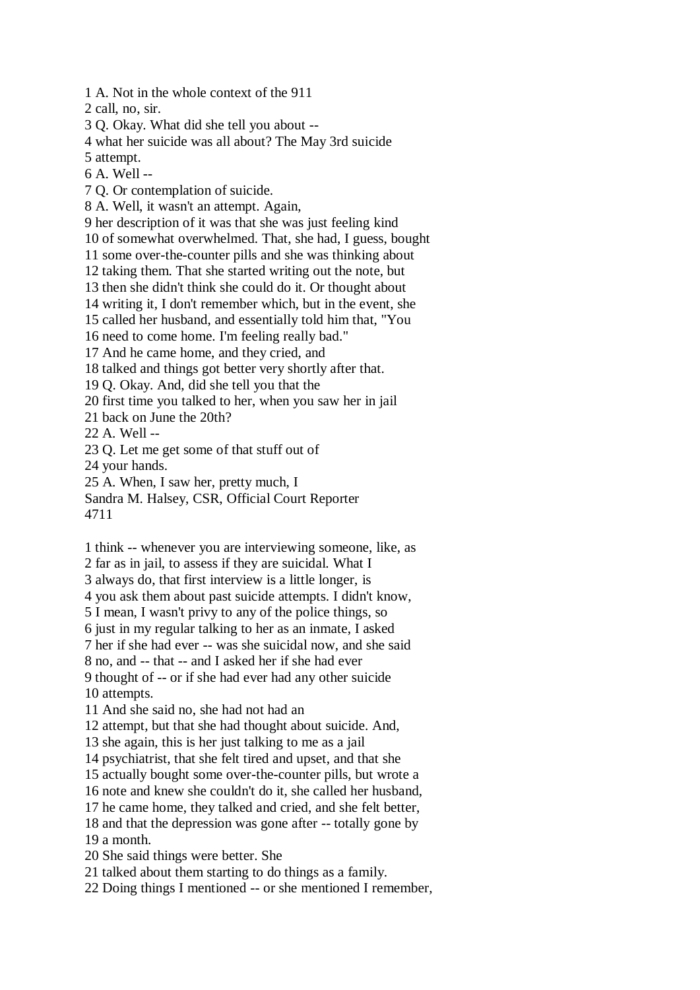1 A. Not in the whole context of the 911

2 call, no, sir.

3 Q. Okay. What did she tell you about --

4 what her suicide was all about? The May 3rd suicide

5 attempt.

6 A. Well --

7 Q. Or contemplation of suicide.

8 A. Well, it wasn't an attempt. Again,

9 her description of it was that she was just feeling kind

10 of somewhat overwhelmed. That, she had, I guess, bought

11 some over-the-counter pills and she was thinking about

12 taking them. That she started writing out the note, but

13 then she didn't think she could do it. Or thought about

14 writing it, I don't remember which, but in the event, she

15 called her husband, and essentially told him that, "You

16 need to come home. I'm feeling really bad."

17 And he came home, and they cried, and

18 talked and things got better very shortly after that.

19 Q. Okay. And, did she tell you that the

20 first time you talked to her, when you saw her in jail

21 back on June the 20th?

22 A. Well --

23 Q. Let me get some of that stuff out of

24 your hands.

25 A. When, I saw her, pretty much, I

Sandra M. Halsey, CSR, Official Court Reporter

4711

1 think -- whenever you are interviewing someone, like, as

2 far as in jail, to assess if they are suicidal. What I

3 always do, that first interview is a little longer, is

4 you ask them about past suicide attempts. I didn't know,

5 I mean, I wasn't privy to any of the police things, so

6 just in my regular talking to her as an inmate, I asked

7 her if she had ever -- was she suicidal now, and she said

8 no, and -- that -- and I asked her if she had ever

9 thought of -- or if she had ever had any other suicide 10 attempts.

11 And she said no, she had not had an

12 attempt, but that she had thought about suicide. And,

13 she again, this is her just talking to me as a jail

14 psychiatrist, that she felt tired and upset, and that she

15 actually bought some over-the-counter pills, but wrote a

16 note and knew she couldn't do it, she called her husband,

17 he came home, they talked and cried, and she felt better,

18 and that the depression was gone after -- totally gone by 19 a month.

20 She said things were better. She

21 talked about them starting to do things as a family.

22 Doing things I mentioned -- or she mentioned I remember,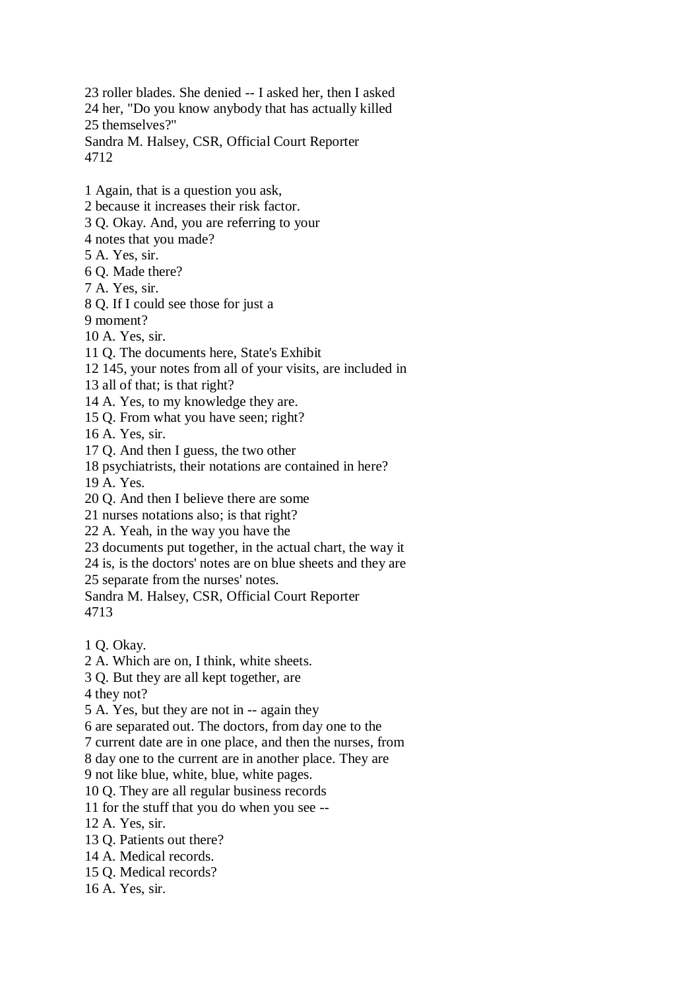23 roller blades. She denied -- I asked her, then I asked 24 her, "Do you know anybody that has actually killed 25 themselves?" Sandra M. Halsey, CSR, Official Court Reporter 4712

1 Again, that is a question you ask,

- 2 because it increases their risk factor.
- 3 Q. Okay. And, you are referring to your
- 4 notes that you made?
- 5 A. Yes, sir.
- 6 Q. Made there?
- 7 A. Yes, sir.
- 8 Q. If I could see those for just a
- 9 moment?
- 10 A. Yes, sir.
- 11 Q. The documents here, State's Exhibit
- 12 145, your notes from all of your visits, are included in
- 13 all of that; is that right?
- 14 A. Yes, to my knowledge they are.
- 15 Q. From what you have seen; right?

16 A. Yes, sir.

- 17 Q. And then I guess, the two other
- 18 psychiatrists, their notations are contained in here?
- 19 A. Yes.
- 20 Q. And then I believe there are some
- 21 nurses notations also; is that right?
- 22 A. Yeah, in the way you have the
- 23 documents put together, in the actual chart, the way it
- 24 is, is the doctors' notes are on blue sheets and they are

25 separate from the nurses' notes.

- Sandra M. Halsey, CSR, Official Court Reporter 4713
- 1 Q. Okay.
- 2 A. Which are on, I think, white sheets.
- 3 Q. But they are all kept together, are

4 they not?

- 5 A. Yes, but they are not in -- again they
- 6 are separated out. The doctors, from day one to the
- 7 current date are in one place, and then the nurses, from
- 8 day one to the current are in another place. They are
- 9 not like blue, white, blue, white pages.
- 10 Q. They are all regular business records
- 11 for the stuff that you do when you see --
- 12 A. Yes, sir.
- 13 Q. Patients out there?
- 14 A. Medical records.
- 15 Q. Medical records?
- 16 A. Yes, sir.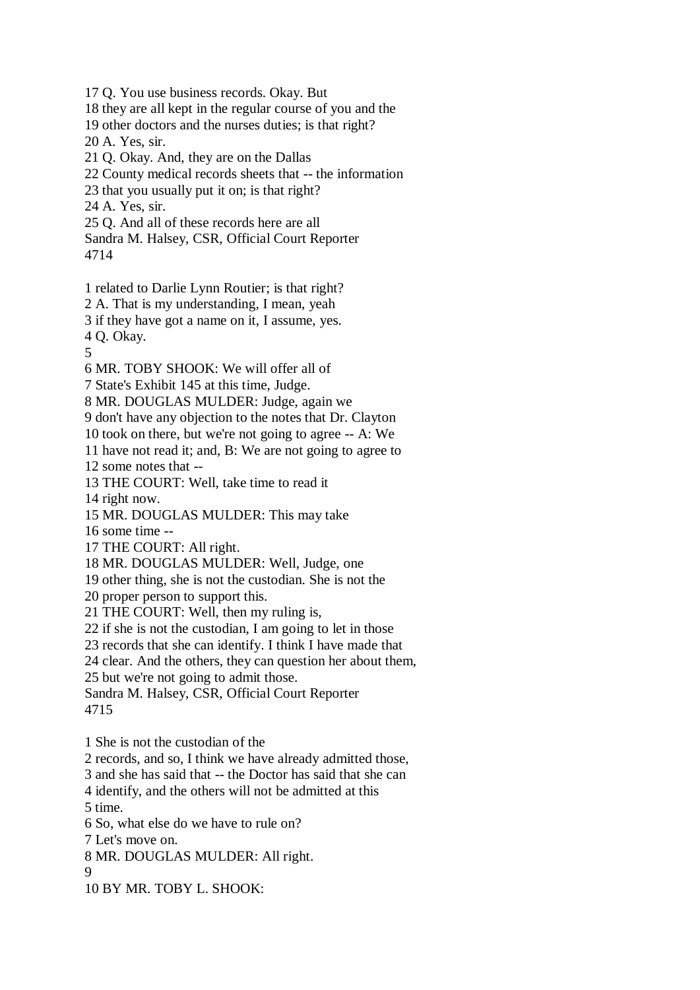17 Q. You use business records. Okay. But 18 they are all kept in the regular course of you and the 19 other doctors and the nurses duties; is that right? 20 A. Yes, sir. 21 Q. Okay. And, they are on the Dallas 22 County medical records sheets that -- the information 23 that you usually put it on; is that right? 24 A. Yes, sir. 25 Q. And all of these records here are all Sandra M. Halsey, CSR, Official Court Reporter 4714 1 related to Darlie Lynn Routier; is that right? 2 A. That is my understanding, I mean, yeah 3 if they have got a name on it, I assume, yes. 4 Q. Okay. 5 6 MR. TOBY SHOOK: We will offer all of 7 State's Exhibit 145 at this time, Judge. 8 MR. DOUGLAS MULDER: Judge, again we 9 don't have any objection to the notes that Dr. Clayton 10 took on there, but we're not going to agree -- A: We 11 have not read it; and, B: We are not going to agree to 12 some notes that -- 13 THE COURT: Well, take time to read it 14 right now. 15 MR. DOUGLAS MULDER: This may take 16 some time -- 17 THE COURT: All right. 18 MR. DOUGLAS MULDER: Well, Judge, one 19 other thing, she is not the custodian. She is not the 20 proper person to support this. 21 THE COURT: Well, then my ruling is, 22 if she is not the custodian, I am going to let in those 23 records that she can identify. I think I have made that 24 clear. And the others, they can question her about them, 25 but we're not going to admit those. Sandra M. Halsey, CSR, Official Court Reporter 4715 1 She is not the custodian of the 2 records, and so, I think we have already admitted those, 3 and she has said that -- the Doctor has said that she can 4 identify, and the others will not be admitted at this 5 time. 6 So, what else do we have to rule on? 7 Let's move on. 8 MR. DOUGLAS MULDER: All right. 9

10 BY MR. TOBY L. SHOOK: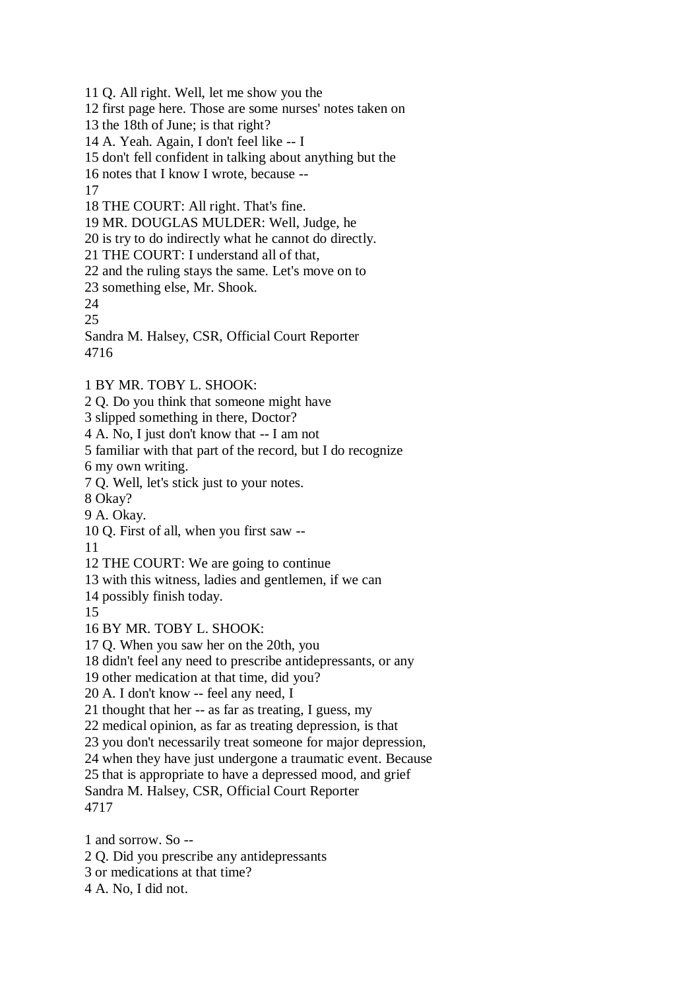- 11 Q. All right. Well, let me show you the
- 12 first page here. Those are some nurses' notes taken on
- 13 the 18th of June; is that right?
- 14 A. Yeah. Again, I don't feel like -- I
- 15 don't fell confident in talking about anything but the
- 16 notes that I know I wrote, because --

17

- 18 THE COURT: All right. That's fine.
- 19 MR. DOUGLAS MULDER: Well, Judge, he
- 20 is try to do indirectly what he cannot do directly.
- 21 THE COURT: I understand all of that,
- 22 and the ruling stays the same. Let's move on to
- 23 something else, Mr. Shook.
- 24
- 25

Sandra M. Halsey, CSR, Official Court Reporter 4716

- 1 BY MR. TOBY L. SHOOK:
- 2 Q. Do you think that someone might have
- 3 slipped something in there, Doctor?
- 4 A. No, I just don't know that -- I am not
- 5 familiar with that part of the record, but I do recognize
- 6 my own writing.
- 7 Q. Well, let's stick just to your notes.
- 8 Okay?
- 9 A. Okay.
- 10 Q. First of all, when you first saw --

11

- 12 THE COURT: We are going to continue
- 13 with this witness, ladies and gentlemen, if we can
- 14 possibly finish today.
- 15
- 16 BY MR. TOBY L. SHOOK:
- 17 Q. When you saw her on the 20th, you
- 18 didn't feel any need to prescribe antidepressants, or any
- 19 other medication at that time, did you?
- 20 A. I don't know -- feel any need, I
- 21 thought that her -- as far as treating, I guess, my
- 22 medical opinion, as far as treating depression, is that
- 23 you don't necessarily treat someone for major depression,
- 24 when they have just undergone a traumatic event. Because
- 25 that is appropriate to have a depressed mood, and grief
- Sandra M. Halsey, CSR, Official Court Reporter 4717
- 1 and sorrow. So -- 2 Q. Did you prescribe any antidepressants 3 or medications at that time?
- 4 A. No, I did not.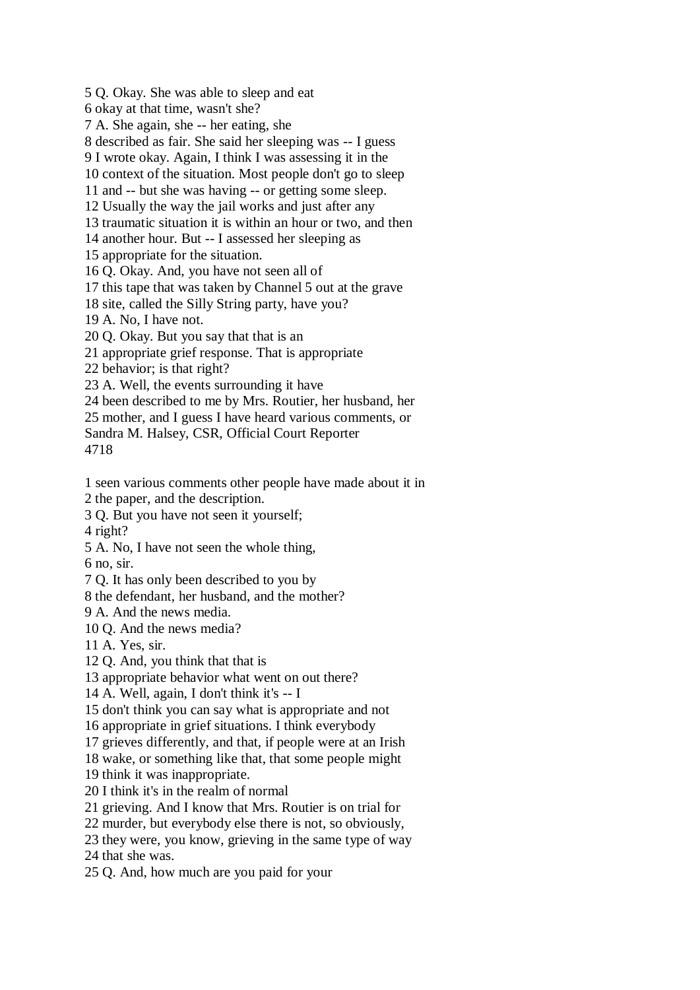5 Q. Okay. She was able to sleep and eat 6 okay at that time, wasn't she? 7 A. She again, she -- her eating, she 8 described as fair. She said her sleeping was -- I guess 9 I wrote okay. Again, I think I was assessing it in the 10 context of the situation. Most people don't go to sleep 11 and -- but she was having -- or getting some sleep. 12 Usually the way the jail works and just after any 13 traumatic situation it is within an hour or two, and then 14 another hour. But -- I assessed her sleeping as 15 appropriate for the situation. 16 Q. Okay. And, you have not seen all of 17 this tape that was taken by Channel 5 out at the grave 18 site, called the Silly String party, have you? 19 A. No, I have not. 20 Q. Okay. But you say that that is an 21 appropriate grief response. That is appropriate 22 behavior; is that right? 23 A. Well, the events surrounding it have 24 been described to me by Mrs. Routier, her husband, her 25 mother, and I guess I have heard various comments, or Sandra M. Halsey, CSR, Official Court Reporter 4718 1 seen various comments other people have made about it in 2 the paper, and the description.

3 Q. But you have not seen it yourself;

4 right?

5 A. No, I have not seen the whole thing,

6 no, sir.

7 Q. It has only been described to you by

8 the defendant, her husband, and the mother?

9 A. And the news media.

10 Q. And the news media?

11 A. Yes, sir.

12 Q. And, you think that that is

13 appropriate behavior what went on out there?

14 A. Well, again, I don't think it's -- I

15 don't think you can say what is appropriate and not

16 appropriate in grief situations. I think everybody

17 grieves differently, and that, if people were at an Irish

18 wake, or something like that, that some people might

19 think it was inappropriate.

20 I think it's in the realm of normal

21 grieving. And I know that Mrs. Routier is on trial for

22 murder, but everybody else there is not, so obviously,

23 they were, you know, grieving in the same type of way

24 that she was.

25 Q. And, how much are you paid for your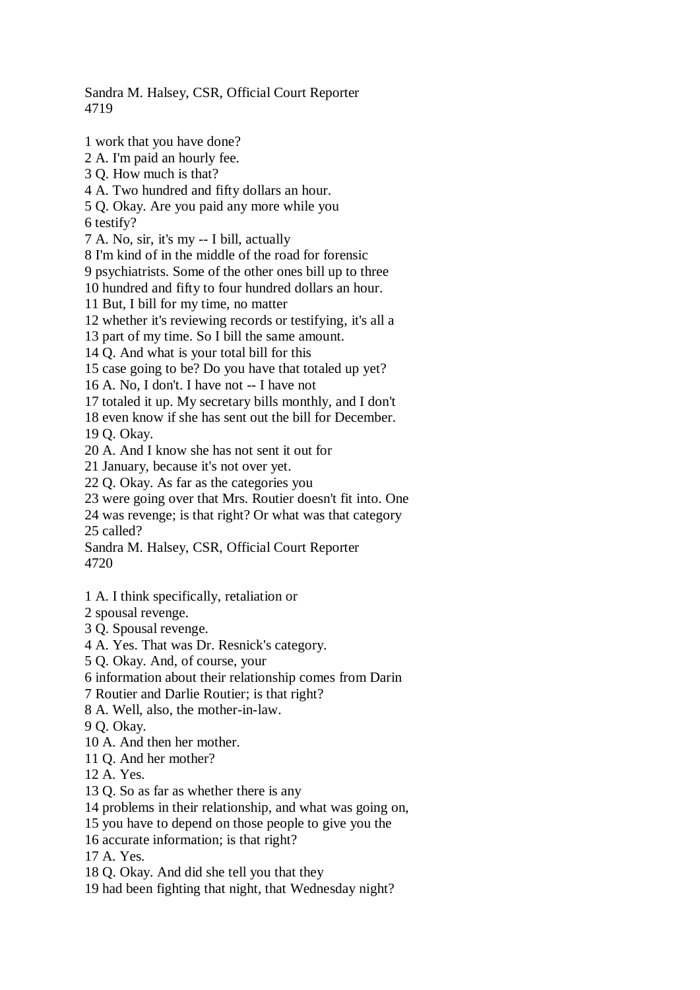## Sandra M. Halsey, CSR, Official Court Reporter 4719

1 work that you have done? 2 A. I'm paid an hourly fee. 3 Q. How much is that? 4 A. Two hundred and fifty dollars an hour. 5 Q. Okay. Are you paid any more while you 6 testify? 7 A. No, sir, it's my -- I bill, actually 8 I'm kind of in the middle of the road for forensic 9 psychiatrists. Some of the other ones bill up to three 10 hundred and fifty to four hundred dollars an hour. 11 But, I bill for my time, no matter 12 whether it's reviewing records or testifying, it's all a 13 part of my time. So I bill the same amount. 14 Q. And what is your total bill for this 15 case going to be? Do you have that totaled up yet? 16 A. No, I don't. I have not -- I have not 17 totaled it up. My secretary bills monthly, and I don't 18 even know if she has sent out the bill for December. 19 Q. Okay. 20 A. And I know she has not sent it out for 21 January, because it's not over yet. 22 Q. Okay. As far as the categories you 23 were going over that Mrs. Routier doesn't fit into. One 24 was revenge; is that right? Or what was that category 25 called? Sandra M. Halsey, CSR, Official Court Reporter 4720 1 A. I think specifically, retaliation or 2 spousal revenge. 3 Q. Spousal revenge. 4 A. Yes. That was Dr. Resnick's category. 5 Q. Okay. And, of course, your 6 information about their relationship comes from Darin

7 Routier and Darlie Routier; is that right?

8 A. Well, also, the mother-in-law.

9 Q. Okay.

10 A. And then her mother.

11 Q. And her mother?

12 A. Yes.

13 Q. So as far as whether there is any

14 problems in their relationship, and what was going on,

15 you have to depend on those people to give you the

16 accurate information; is that right?

17 A. Yes.

18 Q. Okay. And did she tell you that they

19 had been fighting that night, that Wednesday night?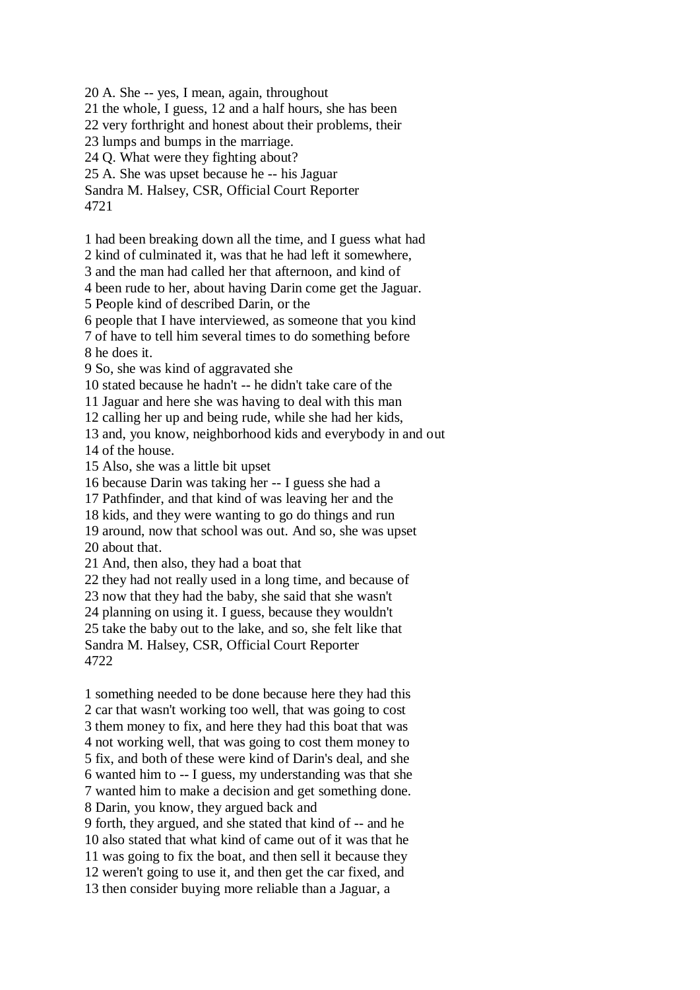20 A. She -- yes, I mean, again, throughout

21 the whole, I guess, 12 and a half hours, she has been

22 very forthright and honest about their problems, their

23 lumps and bumps in the marriage.

24 Q. What were they fighting about?

25 A. She was upset because he -- his Jaguar

Sandra M. Halsey, CSR, Official Court Reporter 4721

1 had been breaking down all the time, and I guess what had

2 kind of culminated it, was that he had left it somewhere,

3 and the man had called her that afternoon, and kind of

4 been rude to her, about having Darin come get the Jaguar.

5 People kind of described Darin, or the

6 people that I have interviewed, as someone that you kind

7 of have to tell him several times to do something before 8 he does it.

9 So, she was kind of aggravated she

10 stated because he hadn't -- he didn't take care of the

11 Jaguar and here she was having to deal with this man

12 calling her up and being rude, while she had her kids,

13 and, you know, neighborhood kids and everybody in and out 14 of the house.

15 Also, she was a little bit upset

16 because Darin was taking her -- I guess she had a

17 Pathfinder, and that kind of was leaving her and the

18 kids, and they were wanting to go do things and run

19 around, now that school was out. And so, she was upset 20 about that.

21 And, then also, they had a boat that

22 they had not really used in a long time, and because of

23 now that they had the baby, she said that she wasn't

24 planning on using it. I guess, because they wouldn't

25 take the baby out to the lake, and so, she felt like that

Sandra M. Halsey, CSR, Official Court Reporter 4722

1 something needed to be done because here they had this 2 car that wasn't working too well, that was going to cost 3 them money to fix, and here they had this boat that was 4 not working well, that was going to cost them money to 5 fix, and both of these were kind of Darin's deal, and she 6 wanted him to -- I guess, my understanding was that she 7 wanted him to make a decision and get something done. 8 Darin, you know, they argued back and

9 forth, they argued, and she stated that kind of -- and he 10 also stated that what kind of came out of it was that he 11 was going to fix the boat, and then sell it because they 12 weren't going to use it, and then get the car fixed, and 13 then consider buying more reliable than a Jaguar, a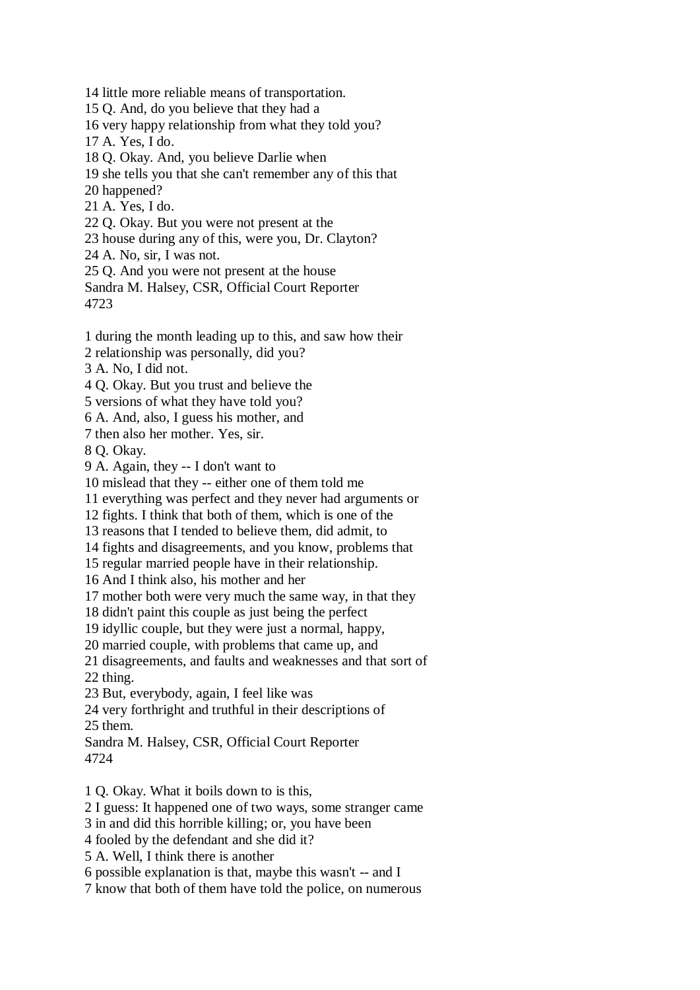14 little more reliable means of transportation. 15 Q. And, do you believe that they had a 16 very happy relationship from what they told you? 17 A. Yes, I do. 18 Q. Okay. And, you believe Darlie when 19 she tells you that she can't remember any of this that 20 happened? 21 A. Yes, I do. 22 Q. Okay. But you were not present at the 23 house during any of this, were you, Dr. Clayton? 24 A. No, sir, I was not. 25 Q. And you were not present at the house Sandra M. Halsey, CSR, Official Court Reporter 4723 1 during the month leading up to this, and saw how their 2 relationship was personally, did you? 3 A. No, I did not. 4 Q. Okay. But you trust and believe the 5 versions of what they have told you? 6 A. And, also, I guess his mother, and 7 then also her mother. Yes, sir. 8 Q. Okay. 9 A. Again, they -- I don't want to 10 mislead that they -- either one of them told me 11 everything was perfect and they never had arguments or 12 fights. I think that both of them, which is one of the 13 reasons that I tended to believe them, did admit, to 14 fights and disagreements, and you know, problems that 15 regular married people have in their relationship. 16 And I think also, his mother and her 17 mother both were very much the same way, in that they 18 didn't paint this couple as just being the perfect 19 idyllic couple, but they were just a normal, happy, 20 married couple, with problems that came up, and 21 disagreements, and faults and weaknesses and that sort of 22 thing. 23 But, everybody, again, I feel like was 24 very forthright and truthful in their descriptions of 25 them. Sandra M. Halsey, CSR, Official Court Reporter 4724 1 Q. Okay. What it boils down to is this, 2 I guess: It happened one of two ways, some stranger came 3 in and did this horrible killing; or, you have been 4 fooled by the defendant and she did it? 5 A. Well, I think there is another

6 possible explanation is that, maybe this wasn't -- and I

7 know that both of them have told the police, on numerous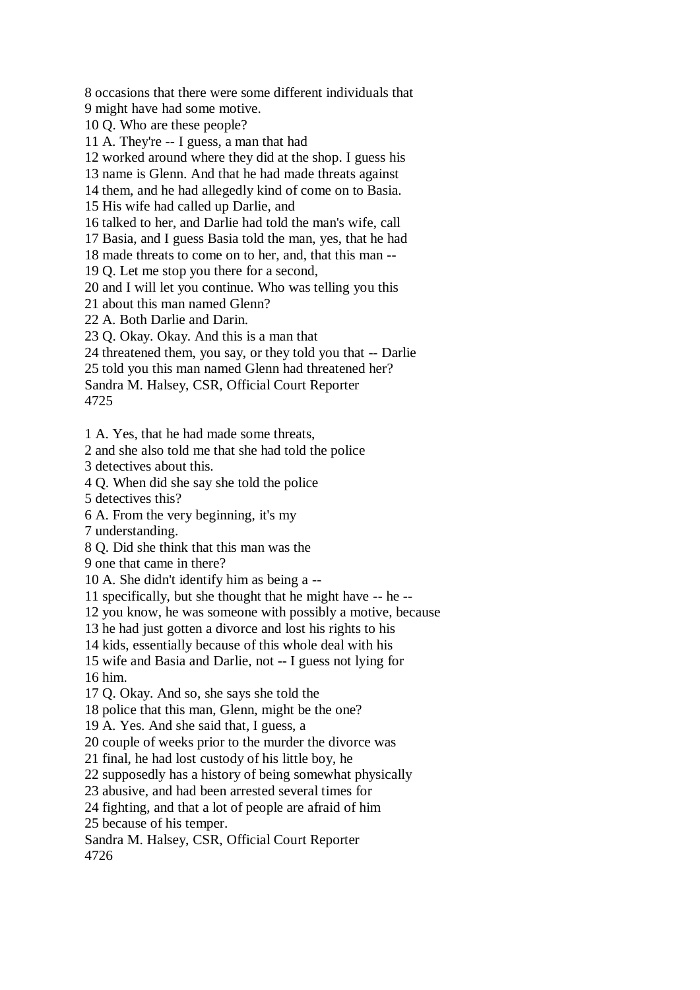8 occasions that there were some different individuals that 9 might have had some motive.

10 Q. Who are these people?

11 A. They're -- I guess, a man that had

12 worked around where they did at the shop. I guess his

13 name is Glenn. And that he had made threats against

14 them, and he had allegedly kind of come on to Basia.

15 His wife had called up Darlie, and

16 talked to her, and Darlie had told the man's wife, call

17 Basia, and I guess Basia told the man, yes, that he had

18 made threats to come on to her, and, that this man --

19 Q. Let me stop you there for a second,

20 and I will let you continue. Who was telling you this

21 about this man named Glenn?

22 A. Both Darlie and Darin.

23 Q. Okay. Okay. And this is a man that

24 threatened them, you say, or they told you that -- Darlie

25 told you this man named Glenn had threatened her?

Sandra M. Halsey, CSR, Official Court Reporter

4725

1 A. Yes, that he had made some threats,

2 and she also told me that she had told the police

3 detectives about this.

4 Q. When did she say she told the police

5 detectives this?

6 A. From the very beginning, it's my

7 understanding.

8 Q. Did she think that this man was the

9 one that came in there?

10 A. She didn't identify him as being a --

11 specifically, but she thought that he might have -- he --

12 you know, he was someone with possibly a motive, because

13 he had just gotten a divorce and lost his rights to his

14 kids, essentially because of this whole deal with his

15 wife and Basia and Darlie, not -- I guess not lying for

16 him.

17 Q. Okay. And so, she says she told the

18 police that this man, Glenn, might be the one?

19 A. Yes. And she said that, I guess, a

20 couple of weeks prior to the murder the divorce was

21 final, he had lost custody of his little boy, he

22 supposedly has a history of being somewhat physically

23 abusive, and had been arrested several times for

24 fighting, and that a lot of people are afraid of him

25 because of his temper.

Sandra M. Halsey, CSR, Official Court Reporter 4726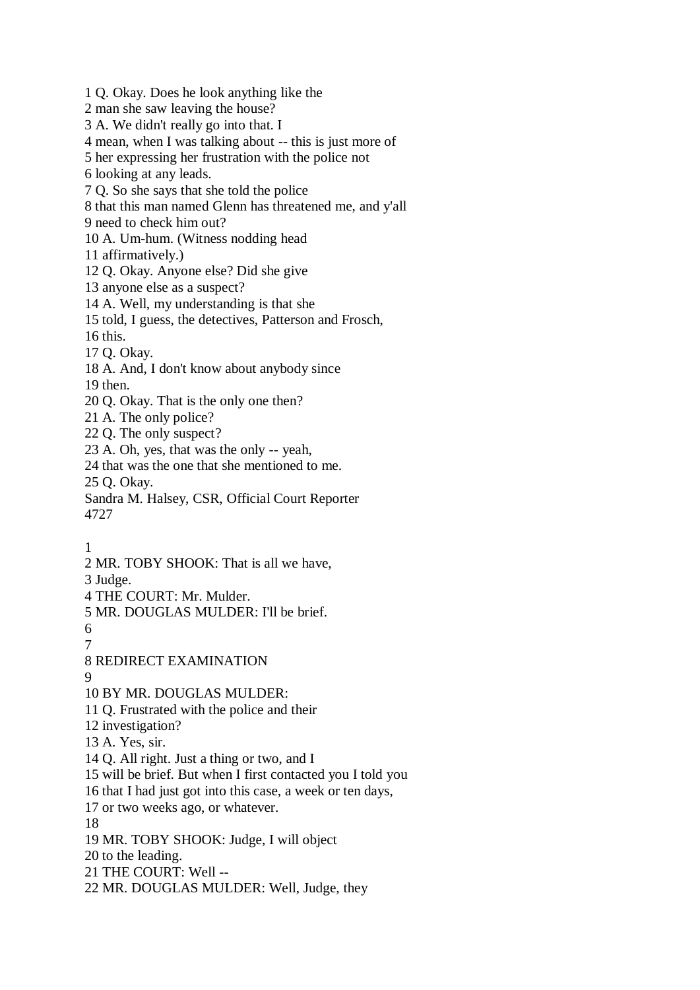1 Q. Okay. Does he look anything like the 2 man she saw leaving the house? 3 A. We didn't really go into that. I 4 mean, when I was talking about -- this is just more of 5 her expressing her frustration with the police not 6 looking at any leads. 7 Q. So she says that she told the police 8 that this man named Glenn has threatened me, and y'all 9 need to check him out? 10 A. Um-hum. (Witness nodding head 11 affirmatively.) 12 Q. Okay. Anyone else? Did she give 13 anyone else as a suspect? 14 A. Well, my understanding is that she 15 told, I guess, the detectives, Patterson and Frosch, 16 this. 17 Q. Okay. 18 A. And, I don't know about anybody since 19 then. 20 Q. Okay. That is the only one then? 21 A. The only police? 22 Q. The only suspect? 23 A. Oh, yes, that was the only -- yeah, 24 that was the one that she mentioned to me. 25 Q. Okay. Sandra M. Halsey, CSR, Official Court Reporter 4727 1 2 MR. TOBY SHOOK: That is all we have, 3 Judge. 4 THE COURT: Mr. Mulder. 5 MR. DOUGLAS MULDER: I'll be brief. 6 7 8 REDIRECT EXAMINATION **9** 10 BY MR. DOUGLAS MULDER: 11 Q. Frustrated with the police and their 12 investigation? 13 A. Yes, sir. 14 Q. All right. Just a thing or two, and I 15 will be brief. But when I first contacted you I told you 16 that I had just got into this case, a week or ten days, 17 or two weeks ago, or whatever. 18 19 MR. TOBY SHOOK: Judge, I will object 20 to the leading. 21 THE COURT: Well -- 22 MR. DOUGLAS MULDER: Well, Judge, they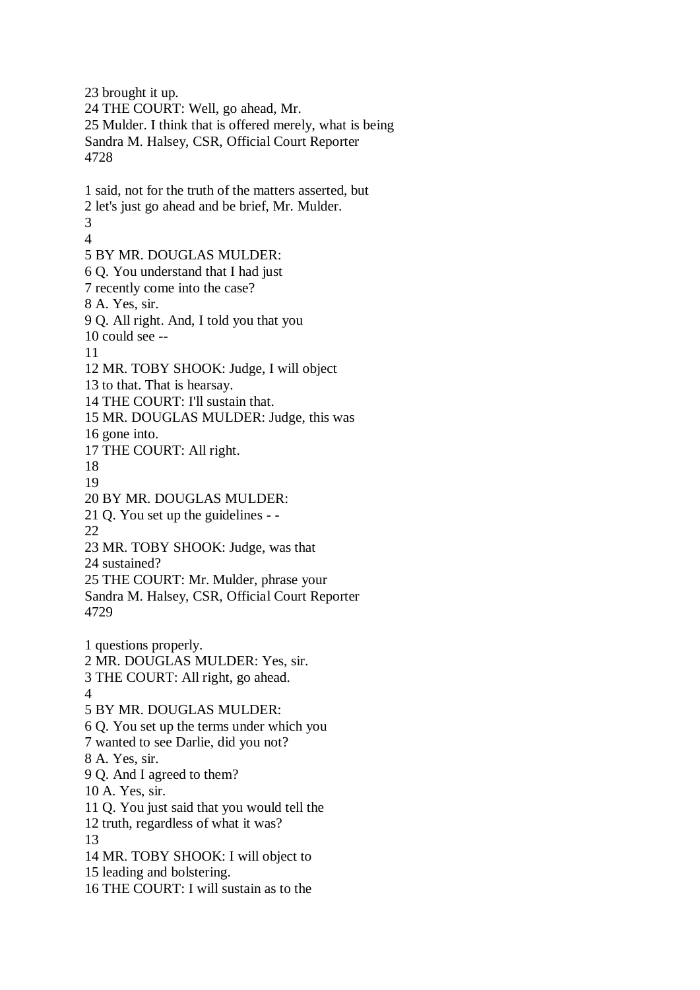23 brought it up. 24 THE COURT: Well, go ahead, Mr. 25 Mulder. I think that is offered merely, what is being Sandra M. Halsey, CSR, Official Court Reporter 4728 1 said, not for the truth of the matters asserted, but 2 let's just go ahead and be brief, Mr. Mulder. 3 4 5 BY MR. DOUGLAS MULDER: 6 Q. You understand that I had just 7 recently come into the case? 8 A. Yes, sir. 9 Q. All right. And, I told you that you 10 could see -- 11 12 MR. TOBY SHOOK: Judge, I will object 13 to that. That is hearsay. 14 THE COURT: I'll sustain that. 15 MR. DOUGLAS MULDER: Judge, this was 16 gone into. 17 THE COURT: All right. 18 19 20 BY MR. DOUGLAS MULDER: 21 Q. You set up the guidelines - - 22 23 MR. TOBY SHOOK: Judge, was that 24 sustained? 25 THE COURT: Mr. Mulder, phrase your Sandra M. Halsey, CSR, Official Court Reporter 4729 1 questions properly. 2 MR. DOUGLAS MULDER: Yes, sir. 3 THE COURT: All right, go ahead. 4 5 BY MR. DOUGLAS MULDER: 6 Q. You set up the terms under which you 7 wanted to see Darlie, did you not? 8 A. Yes, sir. 9 Q. And I agreed to them? 10 A. Yes, sir. 11 Q. You just said that you would tell the 12 truth, regardless of what it was? 13 14 MR. TOBY SHOOK: I will object to 15 leading and bolstering. 16 THE COURT: I will sustain as to the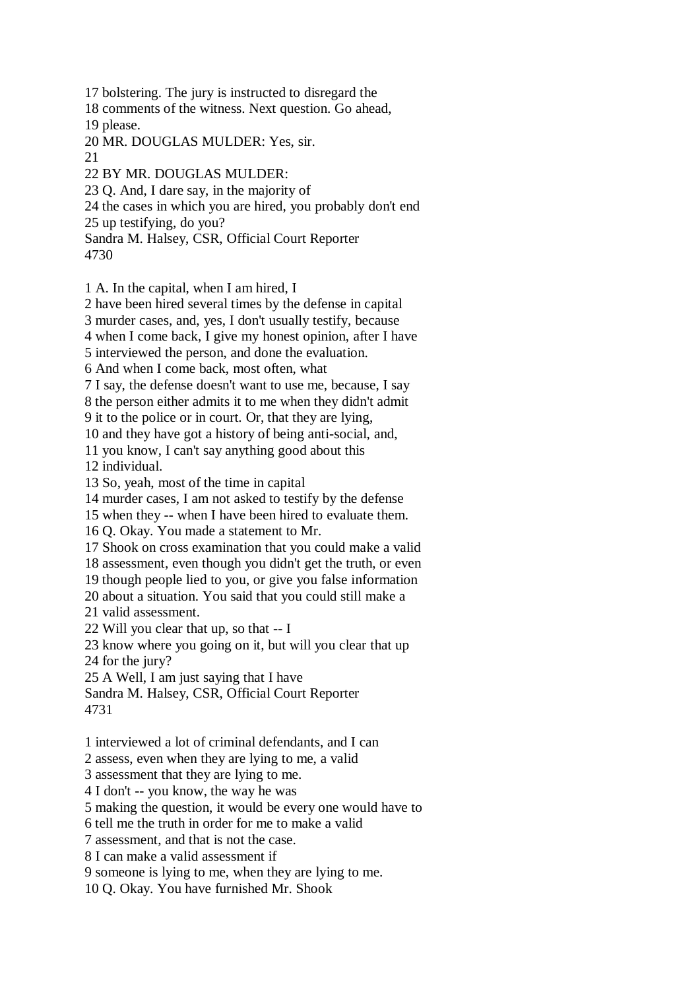17 bolstering. The jury is instructed to disregard the

18 comments of the witness. Next question. Go ahead, 19 please.

20 MR. DOUGLAS MULDER: Yes, sir.

21

22 BY MR. DOUGLAS MULDER:

23 Q. And, I dare say, in the majority of

24 the cases in which you are hired, you probably don't end

25 up testifying, do you?

Sandra M. Halsey, CSR, Official Court Reporter

4730

1 A. In the capital, when I am hired, I

2 have been hired several times by the defense in capital

3 murder cases, and, yes, I don't usually testify, because

4 when I come back, I give my honest opinion, after I have

5 interviewed the person, and done the evaluation.

6 And when I come back, most often, what

7 I say, the defense doesn't want to use me, because, I say 8 the person either admits it to me when they didn't admit

9 it to the police or in court. Or, that they are lying,

10 and they have got a history of being anti-social, and,

11 you know, I can't say anything good about this

12 individual.

13 So, yeah, most of the time in capital

14 murder cases, I am not asked to testify by the defense

15 when they -- when I have been hired to evaluate them.

16 Q. Okay. You made a statement to Mr.

17 Shook on cross examination that you could make a valid

18 assessment, even though you didn't get the truth, or even

19 though people lied to you, or give you false information

20 about a situation. You said that you could still make a

21 valid assessment.

22 Will you clear that up, so that -- I

23 know where you going on it, but will you clear that up

24 for the jury?

25 A Well, I am just saying that I have

Sandra M. Halsey, CSR, Official Court Reporter

4731

1 interviewed a lot of criminal defendants, and I can

2 assess, even when they are lying to me, a valid

3 assessment that they are lying to me.

4 I don't -- you know, the way he was

5 making the question, it would be every one would have to

6 tell me the truth in order for me to make a valid

7 assessment, and that is not the case.

8 I can make a valid assessment if

9 someone is lying to me, when they are lying to me.

10 Q. Okay. You have furnished Mr. Shook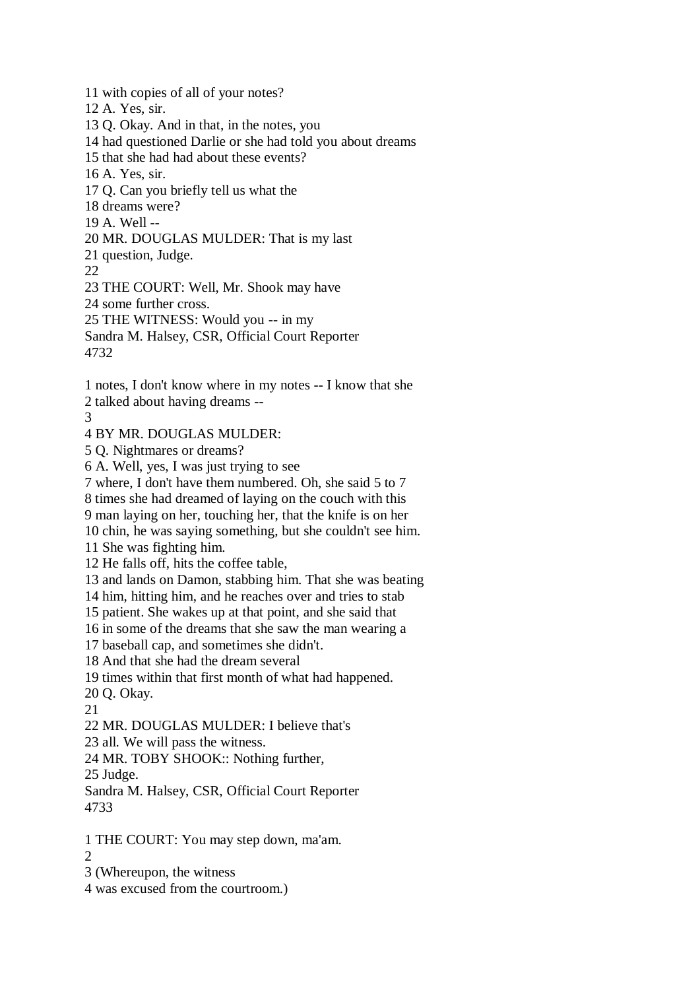11 with copies of all of your notes? 12 A. Yes, sir. 13 Q. Okay. And in that, in the notes, you 14 had questioned Darlie or she had told you about dreams 15 that she had had about these events? 16 A. Yes, sir. 17 Q. Can you briefly tell us what the 18 dreams were? 19 A. Well -- 20 MR. DOUGLAS MULDER: That is my last 21 question, Judge. 22 23 THE COURT: Well, Mr. Shook may have 24 some further cross. 25 THE WITNESS: Would you -- in my Sandra M. Halsey, CSR, Official Court Reporter 4732 1 notes, I don't know where in my notes -- I know that she 2 talked about having dreams -- 3 4 BY MR. DOUGLAS MULDER: 5 Q. Nightmares or dreams? 6 A. Well, yes, I was just trying to see 7 where, I don't have them numbered. Oh, she said 5 to 7 8 times she had dreamed of laying on the couch with this 9 man laying on her, touching her, that the knife is on her 10 chin, he was saying something, but she couldn't see him. 11 She was fighting him. 12 He falls off, hits the coffee table, 13 and lands on Damon, stabbing him. That she was beating 14 him, hitting him, and he reaches over and tries to stab 15 patient. She wakes up at that point, and she said that 16 in some of the dreams that she saw the man wearing a 17 baseball cap, and sometimes she didn't. 18 And that she had the dream several 19 times within that first month of what had happened. 20 Q. Okay. 21 22 MR. DOUGLAS MULDER: I believe that's 23 all. We will pass the witness. 24 MR. TOBY SHOOK:: Nothing further, 25 Judge. Sandra M. Halsey, CSR, Official Court Reporter 4733 1 THE COURT: You may step down, ma'am.  $\mathcal{D}$ 3 (Whereupon, the witness 4 was excused from the courtroom.)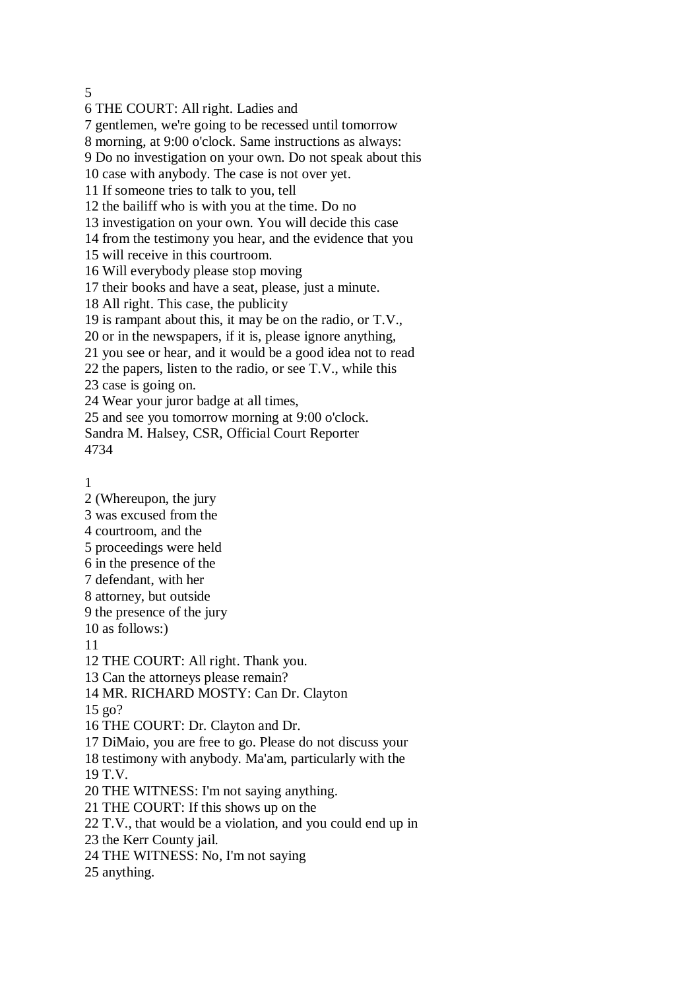5

6 THE COURT: All right. Ladies and 7 gentlemen, we're going to be recessed until tomorrow 8 morning, at 9:00 o'clock. Same instructions as always: 9 Do no investigation on your own. Do not speak about this 10 case with anybody. The case is not over yet. 11 If someone tries to talk to you, tell 12 the bailiff who is with you at the time. Do no 13 investigation on your own. You will decide this case 14 from the testimony you hear, and the evidence that you 15 will receive in this courtroom. 16 Will everybody please stop moving 17 their books and have a seat, please, just a minute. 18 All right. This case, the publicity 19 is rampant about this, it may be on the radio, or T.V., 20 or in the newspapers, if it is, please ignore anything, 21 you see or hear, and it would be a good idea not to read 22 the papers, listen to the radio, or see T.V., while this 23 case is going on. 24 Wear your juror badge at all times, 25 and see you tomorrow morning at 9:00 o'clock. Sandra M. Halsey, CSR, Official Court Reporter 4734

1

11

2 (Whereupon, the jury 3 was excused from the 4 courtroom, and the 5 proceedings were held 6 in the presence of the 7 defendant, with her 8 attorney, but outside 9 the presence of the jury 10 as follows:) 12 THE COURT: All right. Thank you. 13 Can the attorneys please remain? 14 MR. RICHARD MOSTY: Can Dr. Clayton 15 go? 16 THE COURT: Dr. Clayton and Dr. 17 DiMaio, you are free to go. Please do not discuss your 18 testimony with anybody. Ma'am, particularly with the 19 T.V. 20 THE WITNESS: I'm not saying anything. 21 THE COURT: If this shows up on the 22 T.V., that would be a violation, and you could end up in 23 the Kerr County jail. 24 THE WITNESS: No, I'm not saying 25 anything.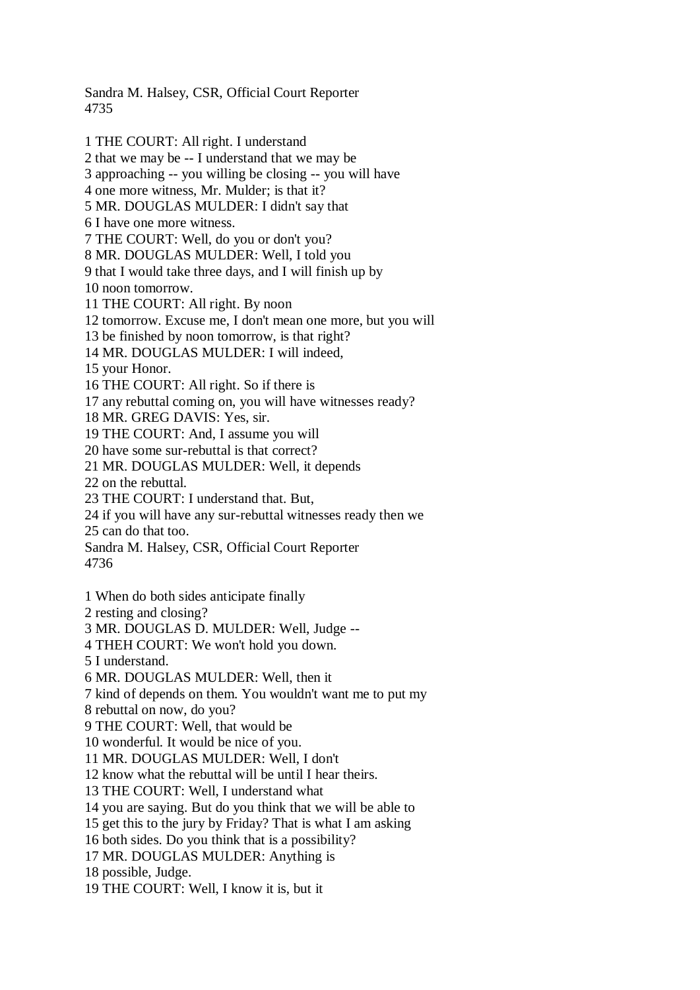Sandra M. Halsey, CSR, Official Court Reporter 4735

1 THE COURT: All right. I understand 2 that we may be -- I understand that we may be 3 approaching -- you willing be closing -- you will have 4 one more witness, Mr. Mulder; is that it? 5 MR. DOUGLAS MULDER: I didn't say that 6 I have one more witness. 7 THE COURT: Well, do you or don't you? 8 MR. DOUGLAS MULDER: Well, I told you 9 that I would take three days, and I will finish up by 10 noon tomorrow. 11 THE COURT: All right. By noon 12 tomorrow. Excuse me, I don't mean one more, but you will 13 be finished by noon tomorrow, is that right? 14 MR. DOUGLAS MULDER: I will indeed, 15 your Honor. 16 THE COURT: All right. So if there is 17 any rebuttal coming on, you will have witnesses ready? 18 MR. GREG DAVIS: Yes, sir. 19 THE COURT: And, I assume you will 20 have some sur-rebuttal is that correct? 21 MR. DOUGLAS MULDER: Well, it depends 22 on the rebuttal. 23 THE COURT: I understand that. But, 24 if you will have any sur-rebuttal witnesses ready then we 25 can do that too. Sandra M. Halsey, CSR, Official Court Reporter 4736 1 When do both sides anticipate finally 2 resting and closing? 3 MR. DOUGLAS D. MULDER: Well, Judge -- 4 THEH COURT: We won't hold you down. 5 I understand. 6 MR. DOUGLAS MULDER: Well, then it 7 kind of depends on them. You wouldn't want me to put my 8 rebuttal on now, do you? 9 THE COURT: Well, that would be 10 wonderful. It would be nice of you. 11 MR. DOUGLAS MULDER: Well, I don't 12 know what the rebuttal will be until I hear theirs. 13 THE COURT: Well, I understand what 14 you are saying. But do you think that we will be able to 15 get this to the jury by Friday? That is what I am asking 16 both sides. Do you think that is a possibility? 17 MR. DOUGLAS MULDER: Anything is 18 possible, Judge.

19 THE COURT: Well, I know it is, but it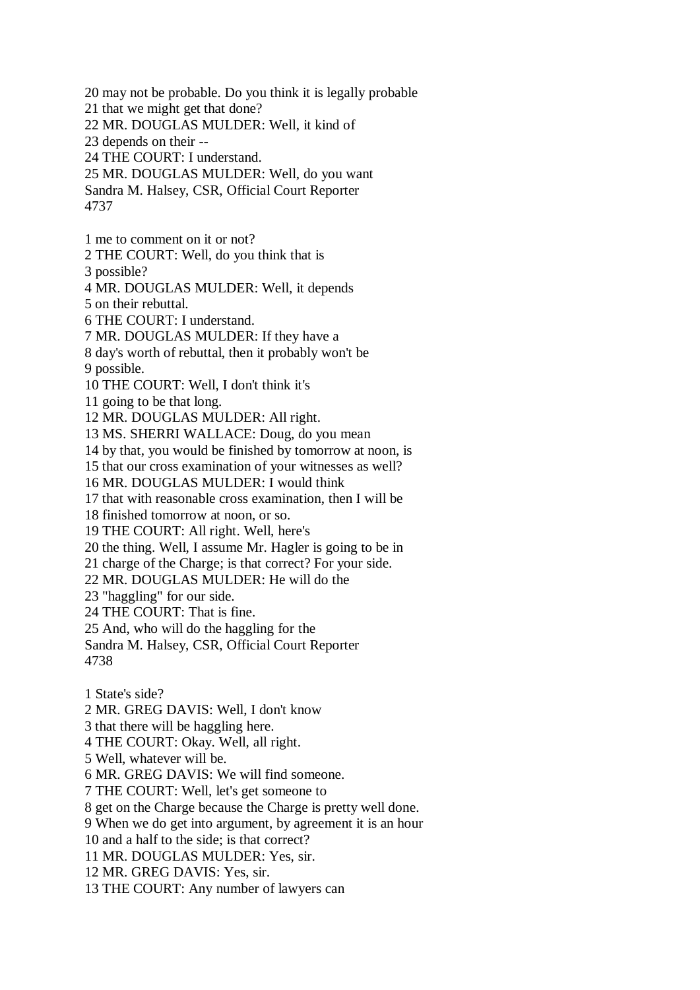20 may not be probable. Do you think it is legally probable 21 that we might get that done? 22 MR. DOUGLAS MULDER: Well, it kind of 23 depends on their -- 24 THE COURT: I understand. 25 MR. DOUGLAS MULDER: Well, do you want Sandra M. Halsey, CSR, Official Court Reporter 4737 1 me to comment on it or not? 2 THE COURT: Well, do you think that is 3 possible? 4 MR. DOUGLAS MULDER: Well, it depends 5 on their rebuttal. 6 THE COURT: I understand. 7 MR. DOUGLAS MULDER: If they have a 8 day's worth of rebuttal, then it probably won't be 9 possible. 10 THE COURT: Well, I don't think it's 11 going to be that long. 12 MR. DOUGLAS MULDER: All right. 13 MS. SHERRI WALLACE: Doug, do you mean 14 by that, you would be finished by tomorrow at noon, is 15 that our cross examination of your witnesses as well? 16 MR. DOUGLAS MULDER: I would think 17 that with reasonable cross examination, then I will be 18 finished tomorrow at noon, or so. 19 THE COURT: All right. Well, here's 20 the thing. Well, I assume Mr. Hagler is going to be in 21 charge of the Charge; is that correct? For your side. 22 MR. DOUGLAS MULDER: He will do the 23 "haggling" for our side. 24 THE COURT: That is fine. 25 And, who will do the haggling for the Sandra M. Halsey, CSR, Official Court Reporter 4738 1 State's side? 2 MR. GREG DAVIS: Well, I don't know 3 that there will be haggling here. 4 THE COURT: Okay. Well, all right. 5 Well, whatever will be. 6 MR. GREG DAVIS: We will find someone. 7 THE COURT: Well, let's get someone to 8 get on the Charge because the Charge is pretty well done. 9 When we do get into argument, by agreement it is an hour 10 and a half to the side; is that correct?

11 MR. DOUGLAS MULDER: Yes, sir.

12 MR. GREG DAVIS: Yes, sir.

13 THE COURT: Any number of lawyers can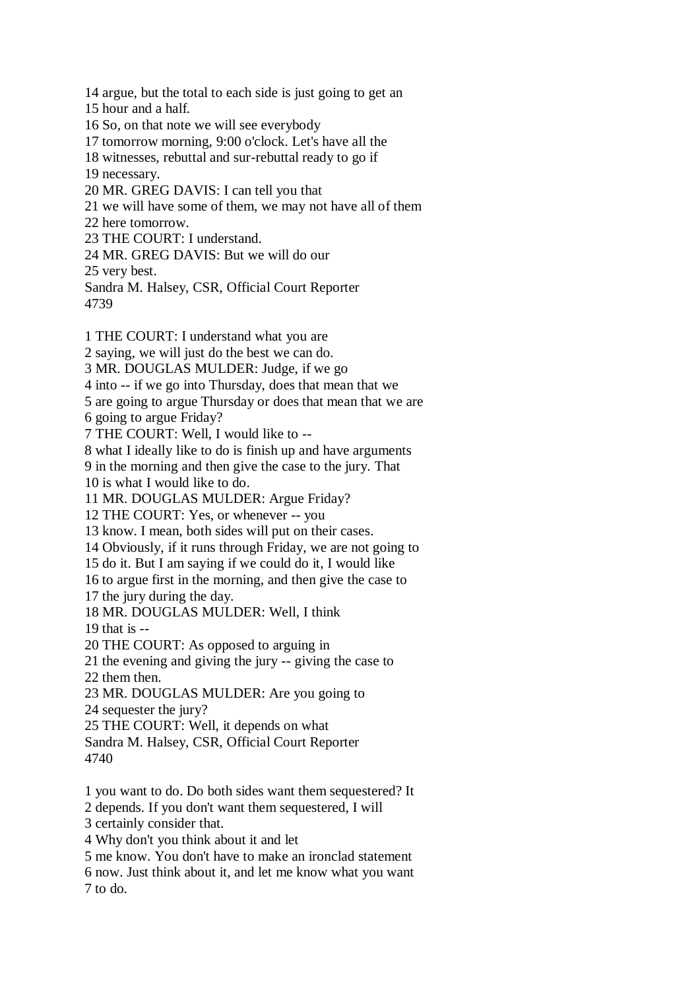14 argue, but the total to each side is just going to get an 15 hour and a half. 16 So, on that note we will see everybody 17 tomorrow morning, 9:00 o'clock. Let's have all the 18 witnesses, rebuttal and sur-rebuttal ready to go if 19 necessary. 20 MR. GREG DAVIS: I can tell you that 21 we will have some of them, we may not have all of them 22 here tomorrow. 23 THE COURT: I understand. 24 MR. GREG DAVIS: But we will do our 25 very best. Sandra M. Halsey, CSR, Official Court Reporter 4739 1 THE COURT: I understand what you are 2 saying, we will just do the best we can do. 3 MR. DOUGLAS MULDER: Judge, if we go 4 into -- if we go into Thursday, does that mean that we 5 are going to argue Thursday or does that mean that we are 6 going to argue Friday? 7 THE COURT: Well, I would like to --

8 what I ideally like to do is finish up and have arguments

9 in the morning and then give the case to the jury. That

10 is what I would like to do.

11 MR. DOUGLAS MULDER: Argue Friday?

12 THE COURT: Yes, or whenever -- you

13 know. I mean, both sides will put on their cases.

14 Obviously, if it runs through Friday, we are not going to

15 do it. But I am saying if we could do it, I would like

16 to argue first in the morning, and then give the case to

17 the jury during the day.

18 MR. DOUGLAS MULDER: Well, I think

19 that is --

20 THE COURT: As opposed to arguing in

21 the evening and giving the jury -- giving the case to 22 them then.

23 MR. DOUGLAS MULDER: Are you going to

24 sequester the jury?

25 THE COURT: Well, it depends on what

Sandra M. Halsey, CSR, Official Court Reporter 4740

1 you want to do. Do both sides want them sequestered? It

2 depends. If you don't want them sequestered, I will

3 certainly consider that.

4 Why don't you think about it and let

5 me know. You don't have to make an ironclad statement

6 now. Just think about it, and let me know what you want 7 to do.